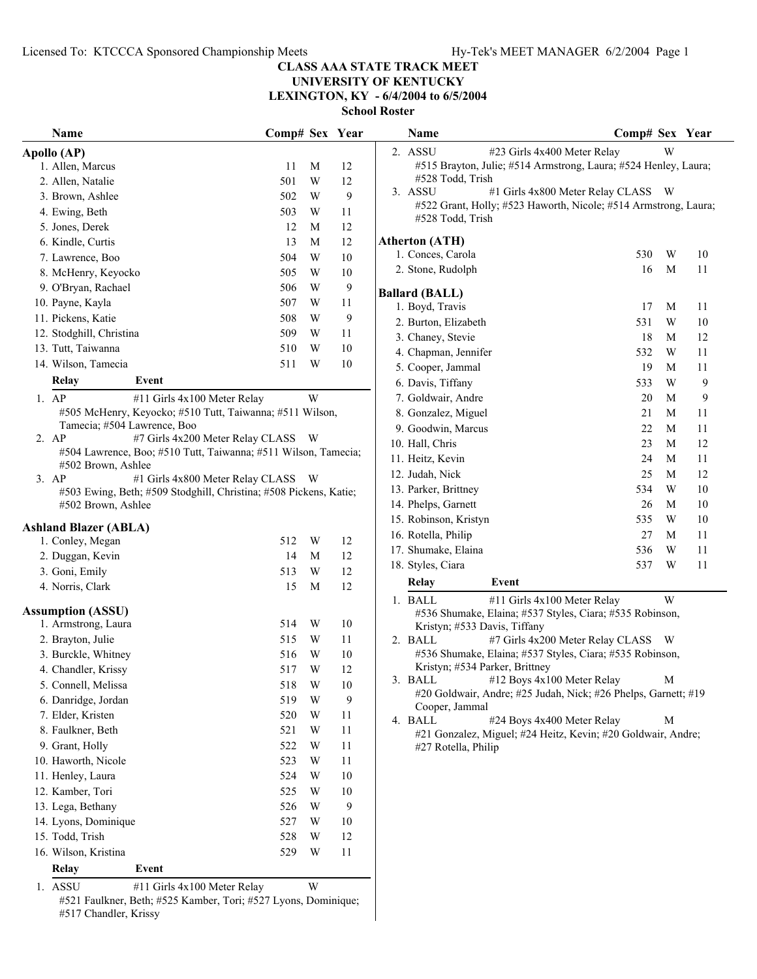# **UNIVERSITY OF KENTUCKY**

**LEXINGTON, KY - 6/4/2004 to 6/5/2004**

| Name                                                                       | Comp# Sex Year |                         |        | <b>Name</b>                  |                                                                 | Comp# Sex Year |   |        |
|----------------------------------------------------------------------------|----------------|-------------------------|--------|------------------------------|-----------------------------------------------------------------|----------------|---|--------|
| Apollo (AP)                                                                |                |                         |        | 2. ASSU                      | #23 Girls 4x400 Meter Relay                                     |                | W |        |
| 1. Allen, Marcus                                                           | 11             | M                       | 12     |                              | #515 Brayton, Julie; #514 Armstrong, Laura; #524 Henley, Laura; |                |   |        |
| 2. Allen, Natalie                                                          | 501            | W                       | 12     | #528 Todd, Trish             |                                                                 |                |   |        |
| 3. Brown, Ashlee                                                           | 502            | W                       | 9      | 3. ASSU                      | #1 Girls 4x800 Meter Relay CLASS W                              |                |   |        |
| 4. Ewing, Beth                                                             | 503            | W                       | 11     |                              | #522 Grant, Holly; #523 Haworth, Nicole; #514 Armstrong, Laura  |                |   |        |
| 5. Jones, Derek                                                            | 12             | M                       | 12     | #528 Todd, Trish             |                                                                 |                |   |        |
| 6. Kindle, Curtis                                                          | 13             | M                       | 12     | <b>Atherton (ATH)</b>        |                                                                 |                |   |        |
| 7. Lawrence, Boo                                                           | 504            | W                       | 10     | 1. Conces, Carola            |                                                                 | 530            | W | 10     |
| 8. McHenry, Keyocko                                                        | 505            | W                       | 10     | 2. Stone, Rudolph            |                                                                 | 16             | M | 11     |
| 9. O'Bryan, Rachael                                                        | 506            | W                       | 9      |                              |                                                                 |                |   |        |
| 10. Payne, Kayla                                                           | 507            | W                       | 11     | <b>Ballard (BALL)</b>        |                                                                 |                | M |        |
| 11. Pickens, Katie                                                         | 508            | $\mathbf W$             | 9      | 1. Boyd, Travis              |                                                                 | 17             |   | 11     |
| 12. Stodghill, Christina                                                   | 509            | W                       | 11     | 2. Burton, Elizabeth         |                                                                 | 531            | W | $10\,$ |
| 13. Tutt, Taiwanna                                                         | 510            | W                       | 10     | 3. Chaney, Stevie            |                                                                 | 18             | M | 12     |
| 14. Wilson, Tamecia                                                        | 511            | W                       | 10     | 4. Chapman, Jennifer         |                                                                 | 532            | W | 11     |
|                                                                            |                |                         |        | 5. Cooper, Jammal            |                                                                 | 19             | M | 11     |
| Relay<br>Event                                                             |                |                         |        | 6. Davis, Tiffany            |                                                                 | 533            | W | 9      |
| $1.$ AP<br>#11 Girls 4x100 Meter Relay                                     |                | W                       |        | 7. Goldwair, Andre           |                                                                 | 20             | M | 9      |
| #505 McHenry, Keyocko; #510 Tutt, Taiwanna; #511 Wilson,                   |                |                         |        | 8. Gonzalez, Miguel          |                                                                 | 21             | M | 11     |
| Tamecia; #504 Lawrence, Boo<br>2. AP<br>#7 Girls 4x200 Meter Relay CLASS W |                |                         |        | 9. Goodwin, Marcus           |                                                                 | 22             | M | 11     |
| #504 Lawrence, Boo; #510 Tutt, Taiwanna; #511 Wilson, Tamecia;             |                |                         |        | 10. Hall, Chris              |                                                                 | 23             | M | 12     |
| #502 Brown, Ashlee                                                         |                |                         |        | 11. Heitz, Kevin             |                                                                 | 24             | M | 11     |
| 3. AP<br>#1 Girls 4x800 Meter Relay CLASS W                                |                |                         |        | 12. Judah, Nick              |                                                                 | 25             | M | 12     |
| #503 Ewing, Beth; #509 Stodghill, Christina; #508 Pickens, Katie;          |                |                         |        | 13. Parker, Brittney         |                                                                 | 534            | W | 10     |
| #502 Brown, Ashlee                                                         |                |                         |        | 14. Phelps, Garnett          |                                                                 | 26             | M | 10     |
| <b>Ashland Blazer (ABLA)</b>                                               |                |                         |        | 15. Robinson, Kristyn        |                                                                 | 535            | W | 10     |
| 1. Conley, Megan                                                           | 512            | W                       | 12     | 16. Rotella, Philip          |                                                                 | 27             | M | 11     |
| 2. Duggan, Kevin                                                           | 14             | M                       | 12     | 17. Shumake, Elaina          |                                                                 | 536            | W | 11     |
| 3. Goni, Emily                                                             | 513            | W                       | 12     | 18. Styles, Ciara            |                                                                 | 537            | W | 11     |
| 4. Norris, Clark                                                           | 15             | M                       | 12     | Relay                        | Event                                                           |                |   |        |
|                                                                            |                |                         |        | 1. BALL                      | #11 Girls 4x100 Meter Relay                                     |                | W |        |
| <b>Assumption (ASSU)</b>                                                   |                |                         |        |                              | #536 Shumake, Elaina; #537 Styles, Ciara; #535 Robinson,        |                |   |        |
| 1. Armstrong, Laura                                                        | 514            | W                       | 10     | Kristyn; #533 Davis, Tiffany |                                                                 |                |   |        |
| 2. Brayton, Julie                                                          | 515            | W                       | 11     | 2. BALL                      | #7 Girls 4x200 Meter Relay CLASS W                              |                |   |        |
| 3. Burckle, Whitney                                                        | 516            | $\ensuremath{\text{W}}$ | 10     |                              | #536 Shumake, Elaina; #537 Styles, Ciara; #535 Robinson,        |                |   |        |
| 4. Chandler, Krissy                                                        | 517            | W                       | 12     |                              | Kristyn; #534 Parker, Brittney                                  |                |   |        |
| 5. Connell, Melissa                                                        | 518            | $\mathbf W$             | $10\,$ |                              | 3. BALL #12 Boys 4x100 Meter Relay                              |                | M |        |
| 6. Danridge, Jordan                                                        | 519            | $\ensuremath{\text{W}}$ | 9      | Cooper, Jammal               | #20 Goldwair, Andre; #25 Judah, Nick; #26 Phelps, Garnett; #19  |                |   |        |
| 7. Elder, Kristen                                                          | 520            | $\ensuremath{\text{W}}$ | 11     | 4. BALL                      | #24 Boys 4x400 Meter Relay                                      |                | M |        |
| 8. Faulkner, Beth                                                          | 521            | W                       | 11     |                              | #21 Gonzalez, Miguel; #24 Heitz, Kevin; #20 Goldwair, Andre;    |                |   |        |
| 9. Grant, Holly                                                            | 522            | W                       | 11     | #27 Rotella, Philip          |                                                                 |                |   |        |
| 10. Haworth, Nicole                                                        | 523            | W                       | 11     |                              |                                                                 |                |   |        |
| 11. Henley, Laura                                                          | 524            | W                       | 10     |                              |                                                                 |                |   |        |
| 12. Kamber, Tori                                                           | 525            | W                       | 10     |                              |                                                                 |                |   |        |
| 13. Lega, Bethany                                                          | 526            | W                       | 9      |                              |                                                                 |                |   |        |
| 14. Lyons, Dominique                                                       | 527            | W                       | 10     |                              |                                                                 |                |   |        |
| 15. Todd, Trish                                                            | 528            | W                       | 12     |                              |                                                                 |                |   |        |
| 16. Wilson, Kristina                                                       | 529            | W                       | 11     |                              |                                                                 |                |   |        |
| <b>Relay</b><br>Event                                                      |                |                         |        |                              |                                                                 |                |   |        |
| 1.011                                                                      |                |                         |        |                              |                                                                 |                |   |        |

<sup>1.</sup> ASSU #11 Girls 4x100 Meter Relay W

|         | <b>Name</b>                                                                         | Comp# Sex Year |   |    |
|---------|-------------------------------------------------------------------------------------|----------------|---|----|
| $2_{-}$ | <b>ASSU</b><br>#23 Girls 4x400 Meter Relay                                          |                | W |    |
|         | #515 Brayton, Julie; #514 Armstrong, Laura; #524 Henley, Laura;                     |                |   |    |
|         | #528 Todd, Trish                                                                    |                |   |    |
|         | 3. ASSU<br>#1 Girls 4x800 Meter Relay CLASS                                         |                | W |    |
|         | #522 Grant, Holly; #523 Haworth, Nicole; #514 Armstrong, Laura;<br>#528 Todd, Trish |                |   |    |
|         |                                                                                     |                |   |    |
|         | Atherton (ATH)                                                                      |                |   |    |
|         | 1. Conces, Carola                                                                   | 530            | W | 10 |
|         | 2. Stone, Rudolph                                                                   | 16             | M | 11 |
|         | <b>Ballard (BALL)</b>                                                               |                |   |    |
|         | 1. Boyd, Travis                                                                     | 17             | M | 11 |
|         | 2. Burton, Elizabeth                                                                | 531            | W | 10 |
|         | 3. Chaney, Stevie                                                                   | 18             | M | 12 |
|         | 4. Chapman, Jennifer                                                                | 532            | W | 11 |
|         | 5. Cooper, Jammal                                                                   | 19             | M | 11 |
|         | 6. Davis, Tiffany                                                                   | 533            | W | 9  |
|         | 7. Goldwair, Andre                                                                  | 20             | М | 9  |
|         | 8. Gonzalez, Miguel                                                                 | 21             | M | 11 |
|         | 9. Goodwin, Marcus                                                                  | 22             | M | 11 |
|         | 10. Hall, Chris                                                                     | 23             | M | 12 |
|         | 11. Heitz, Kevin                                                                    | 24             | M | 11 |
|         | 12. Judah, Nick                                                                     | 25             | M | 12 |
|         | 13. Parker, Brittney                                                                | 534            | W | 10 |
|         | 14. Phelps, Garnett                                                                 | 26             | М | 10 |
|         | 15. Robinson, Kristyn                                                               | 535            | W | 10 |
|         | 16. Rotella, Philip                                                                 | 27             | M | 11 |
|         | 17. Shumake, Elaina                                                                 | 536            | W | 11 |
|         | 18. Styles, Ciara                                                                   | 537            | W | 11 |
|         | Event<br>Relay                                                                      |                |   |    |
| 1.      | #11 Girls 4x100 Meter Relay<br>BALL                                                 |                | W |    |
|         | #536 Shumake, Elaina; #537 Styles, Ciara; #535 Robinson,<br>$H = 22.5$              |                |   |    |

- Kristyn; #533 Davis, Tiffany 2. BALL  $#7$  Girls  $4x200$  Meter Relay CLASS W #536 Shumake, Elaina; #537 Styles, Ciara; #535 Robinson, Kristyn; #534 Parker, Brittney
- $3. \text{ BALL}$  #12 Boys 4x100 Meter Relay M #20 Goldwair, Andre; #25 Judah, Nick; #26 Phelps, Garnett; #19 Cooper, Jammal
- 4. BALL  $#24$  Boys 4x400 Meter Relay M #21 Gonzalez, Miguel; #24 Heitz, Kevin; #20 Goldwair, Andre; #27 Rotella, Philip

<sup>#521</sup> Faulkner, Beth; #525 Kamber, Tori; #527 Lyons, Dominique; #517 Chandler, Krissy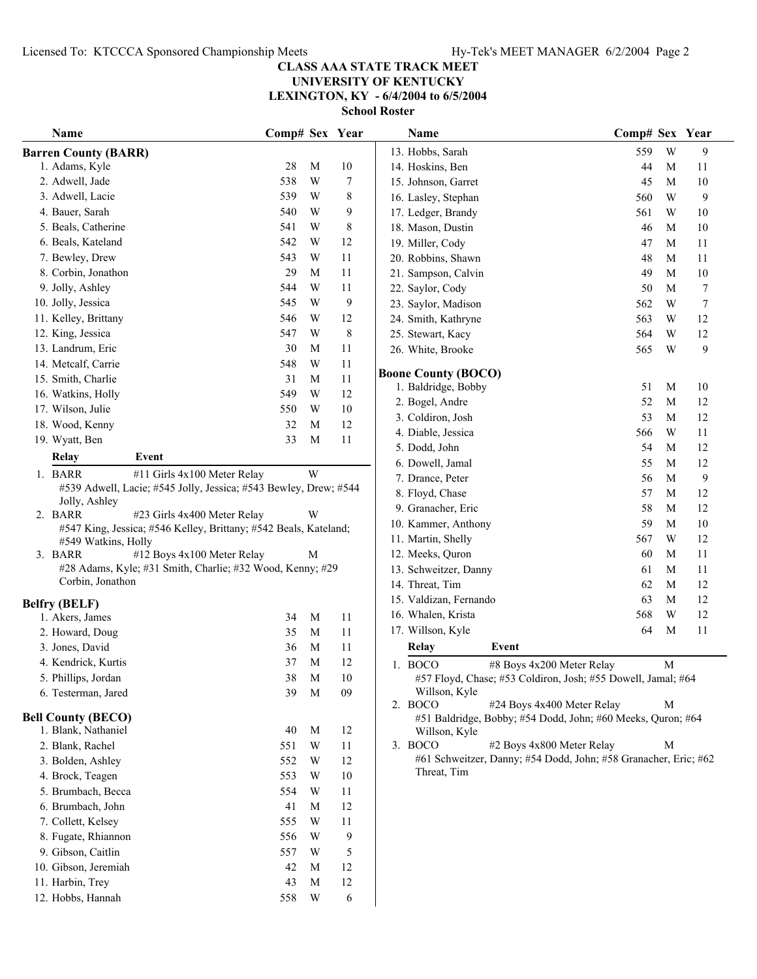### **CLASS AAA STATE TRACK MEET UNIVERSITY OF KENTUCKY LEXINGTON, KY - 6/4/2004 to 6/5/2004**

| Name                               |                                                                  | Comp# Sex Year |             |                  | Name                                                                          | Comp# Sex Year             |             |                  |
|------------------------------------|------------------------------------------------------------------|----------------|-------------|------------------|-------------------------------------------------------------------------------|----------------------------|-------------|------------------|
| <b>Barren County (BARR)</b>        |                                                                  |                |             |                  | 13. Hobbs, Sarah                                                              | 559                        | W           | 9                |
| 1. Adams, Kyle                     |                                                                  | 28             | M           | $10\,$           | 14. Hoskins, Ben                                                              | 44                         | M           | 11               |
| 2. Adwell, Jade                    |                                                                  | 538            | W           | $\boldsymbol{7}$ | 15. Johnson, Garret                                                           | 45                         | M           | 10               |
| 3. Adwell, Lacie                   |                                                                  | 539            | W           | 8                | 16. Lasley, Stephan                                                           | 560                        | W           | 9                |
| 4. Bauer, Sarah                    |                                                                  | 540            | W           | 9                | 17. Ledger, Brandy                                                            | 561                        | W           | 10               |
| 5. Beals, Catherine                |                                                                  | 541            | W           | 8                | 18. Mason, Dustin                                                             | 46                         | M           | 10               |
| 6. Beals, Kateland                 |                                                                  | 542            | W           | 12               | 19. Miller, Cody                                                              | 47                         | M           | 11               |
| 7. Bewley, Drew                    |                                                                  | 543            | W           | 11               | 20. Robbins, Shawn                                                            | 48                         | M           | 11               |
| 8. Corbin, Jonathon                |                                                                  | 29             | M           | 11               | 21. Sampson, Calvin                                                           | 49                         | $\mathbf M$ | 10               |
| 9. Jolly, Ashley                   |                                                                  | 544            | W           | 11               | 22. Saylor, Cody                                                              | 50                         | $\mathbf M$ | $\tau$           |
| 10. Jolly, Jessica                 |                                                                  | 545            | W           | 9                | 23. Saylor, Madison                                                           | 562                        | W           | $\boldsymbol{7}$ |
| 11. Kelley, Brittany               |                                                                  | 546            | W           | 12               | 24. Smith, Kathryne                                                           | 563                        | W           | 12               |
| 12. King, Jessica                  |                                                                  | 547            | W           | $\,$ 8 $\,$      | 25. Stewart, Kacy                                                             | 564                        | W           | 12               |
| 13. Landrum, Eric                  |                                                                  | 30             | M           | 11               | 26. White, Brooke                                                             | 565                        | W           | 9                |
| 14. Metcalf, Carrie                |                                                                  | 548            | W           | 11               |                                                                               |                            |             |                  |
| 15. Smith, Charlie                 |                                                                  | 31             | M           | 11               | <b>Boone County (BOCO)</b>                                                    |                            |             |                  |
| 16. Watkins, Holly                 |                                                                  | 549            | W           | 12               | 1. Baldridge, Bobby                                                           | 51                         | M           | 10               |
| 17. Wilson, Julie                  |                                                                  | 550            | W           | $10\,$           | 2. Bogel, Andre<br>3. Coldiron, Josh                                          | 52<br>53                   | M<br>M      | 12<br>12         |
| 18. Wood, Kenny                    |                                                                  | 32             | M           | 12               | 4. Diable, Jessica                                                            | 566                        | W           | 11               |
| 19. Wyatt, Ben                     |                                                                  | 33             | M           | 11               | 5. Dodd, John                                                                 | 54                         | M           | 12               |
| Relay                              | Event                                                            |                |             |                  | 6. Dowell, Jamal                                                              | 55                         | M           | 12               |
| 1. BARR                            | #11 Girls 4x100 Meter Relay                                      |                | W           |                  | 7. Drance, Peter                                                              | 56                         | M           | 9                |
|                                    | #539 Adwell, Lacie; #545 Jolly, Jessica; #543 Bewley, Drew; #544 |                |             |                  | 8. Floyd, Chase                                                               | 57                         | M           | 12               |
| Jolly, Ashley                      |                                                                  |                |             |                  | 9. Granacher, Eric                                                            | 58                         | M           | 12               |
| 2. BARR                            | #23 Girls 4x400 Meter Relay                                      |                | W           |                  | 10. Kammer, Anthony                                                           | 59                         | $\mathbf M$ | 10               |
|                                    | #547 King, Jessica; #546 Kelley, Brittany; #542 Beals, Kateland; |                |             |                  | 11. Martin, Shelly                                                            | 567                        | W           | 12               |
| #549 Watkins, Holly<br>3. BARR     | #12 Boys 4x100 Meter Relay                                       |                | M           |                  | 12. Meeks, Quron                                                              | 60                         | M           | 11               |
|                                    | #28 Adams, Kyle; #31 Smith, Charlie; #32 Wood, Kenny; #29        |                |             |                  | 13. Schweitzer, Danny                                                         | 61                         | M           | 11               |
| Corbin, Jonathon                   |                                                                  |                |             |                  | 14. Threat, Tim                                                               | 62                         | M           | 12               |
|                                    |                                                                  |                |             |                  | 15. Valdizan, Fernando                                                        | 63                         | $\mathbf M$ | 12               |
| <b>Belfry (BELF)</b>               |                                                                  | 34             | M           |                  | 16. Whalen, Krista                                                            | 568                        | W           | 12               |
| 1. Akers, James                    |                                                                  | 35             | M           | 11<br>11         | 17. Willson, Kyle                                                             | 64                         | M           | 11               |
| 2. Howard, Doug<br>3. Jones, David |                                                                  | 36             | M           | 11               | Relay<br>Event                                                                |                            |             |                  |
| 4. Kendrick, Kurtis                |                                                                  | 37             | M           | 12               |                                                                               |                            |             |                  |
| 5. Phillips, Jordan                |                                                                  | 38             | $\mathbf M$ | 10               | 1. BOCO                                                                       | #8 Boys 4x200 Meter Relay  | M           |                  |
| 6. Testerman, Jared                |                                                                  | 39             | $\mathbf M$ | 09               | #57 Floyd, Chase; #53 Coldiron, Josh; #55 Dowell, Jamal; #64<br>Willson, Kyle |                            |             |                  |
|                                    |                                                                  |                |             |                  | 2. BOCO                                                                       | #24 Boys 4x400 Meter Relay | M           |                  |
| <b>Bell County (BECO)</b>          |                                                                  |                |             |                  | #51 Baldridge, Bobby; #54 Dodd, John; #60 Meeks, Quron; #64                   |                            |             |                  |
| 1. Blank, Nathaniel                |                                                                  | 40             | M           | 12               | Willson, Kyle                                                                 |                            |             |                  |
| 2. Blank, Rachel                   |                                                                  | 551            | W           | 11               | 3. BOCO                                                                       | #2 Boys 4x800 Meter Relay  | M           |                  |
| 3. Bolden, Ashley                  |                                                                  | 552            | W           | 12               | #61 Schweitzer, Danny; #54 Dodd, John; #58 Granacher, Eric; #62               |                            |             |                  |
| 4. Brock, Teagen                   |                                                                  | 553            | W           | 10               | Threat, Tim                                                                   |                            |             |                  |
| 5. Brumbach, Becca                 |                                                                  | 554            | W           | 11               |                                                                               |                            |             |                  |
| 6. Brumbach, John                  |                                                                  | 41             | M           | 12               |                                                                               |                            |             |                  |
| 7. Collett, Kelsey                 |                                                                  | 555            | W           | 11               |                                                                               |                            |             |                  |
| 8. Fugate, Rhiannon                |                                                                  | 556            | W           | $\boldsymbol{9}$ |                                                                               |                            |             |                  |
| 9. Gibson, Caitlin                 |                                                                  | 557            | W           | 5                |                                                                               |                            |             |                  |
| 10. Gibson, Jeremiah               |                                                                  | 42             | M           | 12               |                                                                               |                            |             |                  |
| 11. Harbin, Trey                   |                                                                  | 43             | M           | 12               |                                                                               |                            |             |                  |
| 12. Hobbs, Hannah                  |                                                                  | 558            | W           | 6                |                                                                               |                            |             |                  |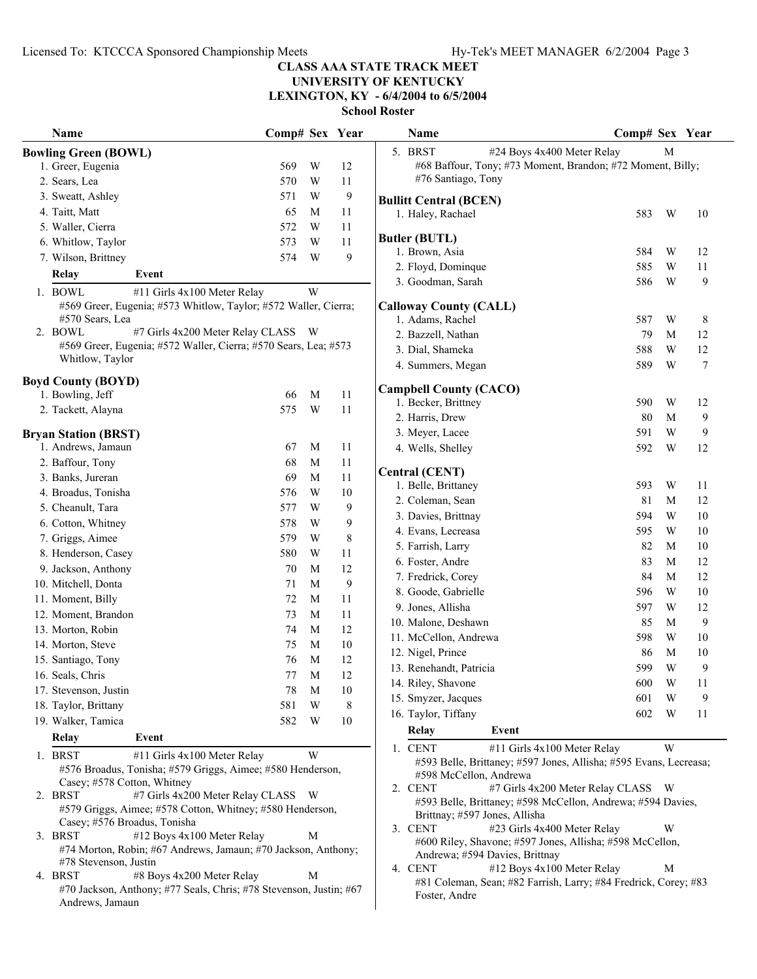**UNIVERSITY OF KENTUCKY**

**LEXINGTON, KY - 6/4/2004 to 6/5/2004**

| 5. BRST<br>#24 Boys 4x400 Meter Relay<br>M<br><b>Bowling Green (BOWL)</b><br>#68 Baffour, Tony; #73 Moment, Brandon; #72 Moment, Billy;<br>1. Greer, Eugenia<br>569<br>W<br>12<br>#76 Santiago, Tony<br>570<br>$\ensuremath{\text{W}}$<br>2. Sears, Lea<br>11<br>571<br>9<br>3. Sweatt, Ashley<br>W<br><b>Bullitt Central (BCEN)</b><br>65<br>4. Taitt, Matt<br>M<br>11<br>W<br>1. Haley, Rachael<br>583<br>10<br>572<br>W<br>5. Waller, Cierra<br>11<br><b>Butler (BUTL)</b><br>573<br>W<br>11<br>6. Whitlow, Taylor<br>584<br>W<br>12<br>1. Brown, Asia<br>574<br>W<br>9<br>7. Wilson, Brittney<br>585<br>W<br>2. Floyd, Dominque<br>11<br>Relay<br>Event<br>586<br>W<br>9<br>3. Goodman, Sarah<br>1. BOWL<br>W<br>#11 Girls 4x100 Meter Relay<br>#569 Greer, Eugenia; #573 Whitlow, Taylor; #572 Waller, Cierra;<br><b>Calloway County (CALL)</b><br>W<br>#570 Sears, Lea<br>1. Adams, Rachel<br>587<br>8<br>2. BOWL<br>#7 Girls 4x200 Meter Relay CLASS W<br>2. Bazzell, Nathan<br>79<br>M<br>12<br>#569 Greer, Eugenia; #572 Waller, Cierra; #570 Sears, Lea; #573<br>3. Dial, Shameka<br>588<br>W<br>12<br>Whitlow, Taylor<br>$\boldsymbol{7}$<br>4. Summers, Megan<br>589<br>W<br><b>Boyd County (BOYD)</b><br><b>Campbell County (CACO)</b><br>1. Bowling, Jeff<br>66<br>M<br>11<br>1. Becker, Brittney<br>590<br>W<br>12<br>$\ensuremath{\text{W}}$<br>575<br>2. Tackett, Alayna<br>11<br>9<br>2. Harris, Drew<br>80<br>M<br>W<br>9<br>3. Meyer, Lacee<br>591<br><b>Bryan Station (BRST)</b><br>1. Andrews, Jamaun<br>M<br>11<br>67<br>592<br>12<br>4. Wells, Shelley<br>W<br>2. Baffour, Tony<br>68<br>M<br>11<br><b>Central (CENT)</b><br>3. Banks, Jureran<br>69<br>M<br>11<br>1. Belle, Brittaney<br>593<br>W<br>11<br>4. Broadus, Tonisha<br>576<br>$\ensuremath{\text{W}}$<br>10<br>81<br>12<br>2. Coleman, Sean<br>M<br>5. Cheanult, Tara<br>577<br>9<br>W<br>594<br>W<br>10<br>3. Davies, Brittnay<br>578<br>$\ensuremath{\text{W}}$<br>9<br>6. Cotton, Whitney<br>595<br>W<br>10<br>4. Evans, Lecreasa<br>7. Griggs, Aimee<br>579<br>$\ensuremath{\text{W}}$<br>8<br>82<br>5. Farrish, Larry<br>M<br>10<br>8. Henderson, Casey<br>580<br>$\ensuremath{\text{W}}$<br>11<br>83<br>12<br>6. Foster, Andre<br>M<br>9. Jackson, Anthony<br>70<br>M<br>12<br>84<br>7. Fredrick, Corey<br>M<br>12<br>9<br>10. Mitchell, Donta<br>71<br>M<br>W<br>8. Goode, Gabrielle<br>596<br>10<br>11<br>11. Moment, Billy<br>72<br>M<br>9. Jones, Allisha<br>597<br>W<br>12<br>12. Moment, Brandon<br>$\mathbf M$<br>11<br>73<br>9<br>10. Malone, Deshawn<br>85<br>M<br>$\mathbf M$<br>12<br>13. Morton, Robin<br>74<br>11. McCellon, Andrewa<br>598<br>W<br>10<br>$\mathbf M$<br>$10\,$<br>14. Morton, Steve<br>75<br>12. Nigel, Prince<br>10<br>86<br>M<br>M<br>12<br>15. Santiago, Tony<br>76<br>599<br>W<br>9<br>13. Renehandt, Patricia<br>16. Seals, Chris<br>$12\,$<br>77<br>$\mathbf M$<br>14. Riley, Shavone<br>600<br>W<br>11<br>78<br>M<br>10<br>17. Stevenson, Justin<br>9<br>15. Smyzer, Jacques<br>601<br>W<br>$\ensuremath{\text{W}}$<br>581<br>8<br>18. Taylor, Brittany<br>16. Taylor, Tiffany<br>W<br>602<br>11<br>19. Walker, Tamica<br>582<br>W<br>10<br><b>Relay</b><br>Event<br>Relay<br>Event<br>W<br>1. CENT<br>#11 Girls 4x100 Meter Relay<br>W<br>1. BRST<br>#11 Girls 4x100 Meter Relay<br>#593 Belle, Brittaney; #597 Jones, Allisha; #595 Evans, Lecreasa;<br>#576 Broadus, Tonisha; #579 Griggs, Aimee; #580 Henderson,<br>#598 McCellon, Andrewa<br>Casey; #578 Cotton, Whitney<br>#7 Girls 4x200 Meter Relay CLASS W<br>2. CENT<br>#7 Girls 4x200 Meter Relay CLASS W<br>2. BRST<br>#593 Belle, Brittaney; #598 McCellon, Andrewa; #594 Davies,<br>#579 Griggs, Aimee; #578 Cotton, Whitney; #580 Henderson,<br>Brittnay; #597 Jones, Allisha<br>Casey; #576 Broadus, Tonisha<br>3. CENT<br>#23 Girls 4x400 Meter Relay<br>W<br>3. BRST<br>#12 Boys 4x100 Meter Relay<br>M<br>#600 Riley, Shavone; #597 Jones, Allisha; #598 McCellon,<br>#74 Morton, Robin; #67 Andrews, Jamaun; #70 Jackson, Anthony;<br>Andrewa; #594 Davies, Brittnay<br>#78 Stevenson, Justin<br>#12 Boys 4x100 Meter Relay<br>4. CENT<br>M<br>4. BRST<br>#8 Boys 4x200 Meter Relay<br>M<br>#81 Coleman, Sean; #82 Farrish, Larry; #84 Fredrick, Corey; #83<br>#70 Jackson, Anthony; #77 Seals, Chris; #78 Stevenson, Justin; #67<br>Foster, Andre<br>Andrews, Jamaun | Name | Comp# Sex Year |  | Name | Comp# Sex Year |  |
|--------------------------------------------------------------------------------------------------------------------------------------------------------------------------------------------------------------------------------------------------------------------------------------------------------------------------------------------------------------------------------------------------------------------------------------------------------------------------------------------------------------------------------------------------------------------------------------------------------------------------------------------------------------------------------------------------------------------------------------------------------------------------------------------------------------------------------------------------------------------------------------------------------------------------------------------------------------------------------------------------------------------------------------------------------------------------------------------------------------------------------------------------------------------------------------------------------------------------------------------------------------------------------------------------------------------------------------------------------------------------------------------------------------------------------------------------------------------------------------------------------------------------------------------------------------------------------------------------------------------------------------------------------------------------------------------------------------------------------------------------------------------------------------------------------------------------------------------------------------------------------------------------------------------------------------------------------------------------------------------------------------------------------------------------------------------------------------------------------------------------------------------------------------------------------------------------------------------------------------------------------------------------------------------------------------------------------------------------------------------------------------------------------------------------------------------------------------------------------------------------------------------------------------------------------------------------------------------------------------------------------------------------------------------------------------------------------------------------------------------------------------------------------------------------------------------------------------------------------------------------------------------------------------------------------------------------------------------------------------------------------------------------------------------------------------------------------------------------------------------------------------------------------------------------------------------------------------------------------------------------------------------------------------------------------------------------------------------------------------------------------------------------------------------------------------------------------------------------------------------------------------------------------------------------------------------------------------------------------------------------------------------------------------------------------------------------------------------------------------------------------------------------------------------------------------------------------------------------------------------------------------------------------------------------------------------------------------------------------------------------------------------------------------------------------------------------------------------------------------------------------------------------------------------------------------------------------------------------------------------------------------------------------------------------------------------------------------------------------------------------|------|----------------|--|------|----------------|--|
|                                                                                                                                                                                                                                                                                                                                                                                                                                                                                                                                                                                                                                                                                                                                                                                                                                                                                                                                                                                                                                                                                                                                                                                                                                                                                                                                                                                                                                                                                                                                                                                                                                                                                                                                                                                                                                                                                                                                                                                                                                                                                                                                                                                                                                                                                                                                                                                                                                                                                                                                                                                                                                                                                                                                                                                                                                                                                                                                                                                                                                                                                                                                                                                                                                                                                                                                                                                                                                                                                                                                                                                                                                                                                                                                                                                                                                                                                                                                                                                                                                                                                                                                                                                                                                                                                                                                                                          |      |                |  |      |                |  |
|                                                                                                                                                                                                                                                                                                                                                                                                                                                                                                                                                                                                                                                                                                                                                                                                                                                                                                                                                                                                                                                                                                                                                                                                                                                                                                                                                                                                                                                                                                                                                                                                                                                                                                                                                                                                                                                                                                                                                                                                                                                                                                                                                                                                                                                                                                                                                                                                                                                                                                                                                                                                                                                                                                                                                                                                                                                                                                                                                                                                                                                                                                                                                                                                                                                                                                                                                                                                                                                                                                                                                                                                                                                                                                                                                                                                                                                                                                                                                                                                                                                                                                                                                                                                                                                                                                                                                                          |      |                |  |      |                |  |
|                                                                                                                                                                                                                                                                                                                                                                                                                                                                                                                                                                                                                                                                                                                                                                                                                                                                                                                                                                                                                                                                                                                                                                                                                                                                                                                                                                                                                                                                                                                                                                                                                                                                                                                                                                                                                                                                                                                                                                                                                                                                                                                                                                                                                                                                                                                                                                                                                                                                                                                                                                                                                                                                                                                                                                                                                                                                                                                                                                                                                                                                                                                                                                                                                                                                                                                                                                                                                                                                                                                                                                                                                                                                                                                                                                                                                                                                                                                                                                                                                                                                                                                                                                                                                                                                                                                                                                          |      |                |  |      |                |  |
|                                                                                                                                                                                                                                                                                                                                                                                                                                                                                                                                                                                                                                                                                                                                                                                                                                                                                                                                                                                                                                                                                                                                                                                                                                                                                                                                                                                                                                                                                                                                                                                                                                                                                                                                                                                                                                                                                                                                                                                                                                                                                                                                                                                                                                                                                                                                                                                                                                                                                                                                                                                                                                                                                                                                                                                                                                                                                                                                                                                                                                                                                                                                                                                                                                                                                                                                                                                                                                                                                                                                                                                                                                                                                                                                                                                                                                                                                                                                                                                                                                                                                                                                                                                                                                                                                                                                                                          |      |                |  |      |                |  |
|                                                                                                                                                                                                                                                                                                                                                                                                                                                                                                                                                                                                                                                                                                                                                                                                                                                                                                                                                                                                                                                                                                                                                                                                                                                                                                                                                                                                                                                                                                                                                                                                                                                                                                                                                                                                                                                                                                                                                                                                                                                                                                                                                                                                                                                                                                                                                                                                                                                                                                                                                                                                                                                                                                                                                                                                                                                                                                                                                                                                                                                                                                                                                                                                                                                                                                                                                                                                                                                                                                                                                                                                                                                                                                                                                                                                                                                                                                                                                                                                                                                                                                                                                                                                                                                                                                                                                                          |      |                |  |      |                |  |
|                                                                                                                                                                                                                                                                                                                                                                                                                                                                                                                                                                                                                                                                                                                                                                                                                                                                                                                                                                                                                                                                                                                                                                                                                                                                                                                                                                                                                                                                                                                                                                                                                                                                                                                                                                                                                                                                                                                                                                                                                                                                                                                                                                                                                                                                                                                                                                                                                                                                                                                                                                                                                                                                                                                                                                                                                                                                                                                                                                                                                                                                                                                                                                                                                                                                                                                                                                                                                                                                                                                                                                                                                                                                                                                                                                                                                                                                                                                                                                                                                                                                                                                                                                                                                                                                                                                                                                          |      |                |  |      |                |  |
|                                                                                                                                                                                                                                                                                                                                                                                                                                                                                                                                                                                                                                                                                                                                                                                                                                                                                                                                                                                                                                                                                                                                                                                                                                                                                                                                                                                                                                                                                                                                                                                                                                                                                                                                                                                                                                                                                                                                                                                                                                                                                                                                                                                                                                                                                                                                                                                                                                                                                                                                                                                                                                                                                                                                                                                                                                                                                                                                                                                                                                                                                                                                                                                                                                                                                                                                                                                                                                                                                                                                                                                                                                                                                                                                                                                                                                                                                                                                                                                                                                                                                                                                                                                                                                                                                                                                                                          |      |                |  |      |                |  |
|                                                                                                                                                                                                                                                                                                                                                                                                                                                                                                                                                                                                                                                                                                                                                                                                                                                                                                                                                                                                                                                                                                                                                                                                                                                                                                                                                                                                                                                                                                                                                                                                                                                                                                                                                                                                                                                                                                                                                                                                                                                                                                                                                                                                                                                                                                                                                                                                                                                                                                                                                                                                                                                                                                                                                                                                                                                                                                                                                                                                                                                                                                                                                                                                                                                                                                                                                                                                                                                                                                                                                                                                                                                                                                                                                                                                                                                                                                                                                                                                                                                                                                                                                                                                                                                                                                                                                                          |      |                |  |      |                |  |
|                                                                                                                                                                                                                                                                                                                                                                                                                                                                                                                                                                                                                                                                                                                                                                                                                                                                                                                                                                                                                                                                                                                                                                                                                                                                                                                                                                                                                                                                                                                                                                                                                                                                                                                                                                                                                                                                                                                                                                                                                                                                                                                                                                                                                                                                                                                                                                                                                                                                                                                                                                                                                                                                                                                                                                                                                                                                                                                                                                                                                                                                                                                                                                                                                                                                                                                                                                                                                                                                                                                                                                                                                                                                                                                                                                                                                                                                                                                                                                                                                                                                                                                                                                                                                                                                                                                                                                          |      |                |  |      |                |  |
|                                                                                                                                                                                                                                                                                                                                                                                                                                                                                                                                                                                                                                                                                                                                                                                                                                                                                                                                                                                                                                                                                                                                                                                                                                                                                                                                                                                                                                                                                                                                                                                                                                                                                                                                                                                                                                                                                                                                                                                                                                                                                                                                                                                                                                                                                                                                                                                                                                                                                                                                                                                                                                                                                                                                                                                                                                                                                                                                                                                                                                                                                                                                                                                                                                                                                                                                                                                                                                                                                                                                                                                                                                                                                                                                                                                                                                                                                                                                                                                                                                                                                                                                                                                                                                                                                                                                                                          |      |                |  |      |                |  |
|                                                                                                                                                                                                                                                                                                                                                                                                                                                                                                                                                                                                                                                                                                                                                                                                                                                                                                                                                                                                                                                                                                                                                                                                                                                                                                                                                                                                                                                                                                                                                                                                                                                                                                                                                                                                                                                                                                                                                                                                                                                                                                                                                                                                                                                                                                                                                                                                                                                                                                                                                                                                                                                                                                                                                                                                                                                                                                                                                                                                                                                                                                                                                                                                                                                                                                                                                                                                                                                                                                                                                                                                                                                                                                                                                                                                                                                                                                                                                                                                                                                                                                                                                                                                                                                                                                                                                                          |      |                |  |      |                |  |
|                                                                                                                                                                                                                                                                                                                                                                                                                                                                                                                                                                                                                                                                                                                                                                                                                                                                                                                                                                                                                                                                                                                                                                                                                                                                                                                                                                                                                                                                                                                                                                                                                                                                                                                                                                                                                                                                                                                                                                                                                                                                                                                                                                                                                                                                                                                                                                                                                                                                                                                                                                                                                                                                                                                                                                                                                                                                                                                                                                                                                                                                                                                                                                                                                                                                                                                                                                                                                                                                                                                                                                                                                                                                                                                                                                                                                                                                                                                                                                                                                                                                                                                                                                                                                                                                                                                                                                          |      |                |  |      |                |  |
|                                                                                                                                                                                                                                                                                                                                                                                                                                                                                                                                                                                                                                                                                                                                                                                                                                                                                                                                                                                                                                                                                                                                                                                                                                                                                                                                                                                                                                                                                                                                                                                                                                                                                                                                                                                                                                                                                                                                                                                                                                                                                                                                                                                                                                                                                                                                                                                                                                                                                                                                                                                                                                                                                                                                                                                                                                                                                                                                                                                                                                                                                                                                                                                                                                                                                                                                                                                                                                                                                                                                                                                                                                                                                                                                                                                                                                                                                                                                                                                                                                                                                                                                                                                                                                                                                                                                                                          |      |                |  |      |                |  |
|                                                                                                                                                                                                                                                                                                                                                                                                                                                                                                                                                                                                                                                                                                                                                                                                                                                                                                                                                                                                                                                                                                                                                                                                                                                                                                                                                                                                                                                                                                                                                                                                                                                                                                                                                                                                                                                                                                                                                                                                                                                                                                                                                                                                                                                                                                                                                                                                                                                                                                                                                                                                                                                                                                                                                                                                                                                                                                                                                                                                                                                                                                                                                                                                                                                                                                                                                                                                                                                                                                                                                                                                                                                                                                                                                                                                                                                                                                                                                                                                                                                                                                                                                                                                                                                                                                                                                                          |      |                |  |      |                |  |
|                                                                                                                                                                                                                                                                                                                                                                                                                                                                                                                                                                                                                                                                                                                                                                                                                                                                                                                                                                                                                                                                                                                                                                                                                                                                                                                                                                                                                                                                                                                                                                                                                                                                                                                                                                                                                                                                                                                                                                                                                                                                                                                                                                                                                                                                                                                                                                                                                                                                                                                                                                                                                                                                                                                                                                                                                                                                                                                                                                                                                                                                                                                                                                                                                                                                                                                                                                                                                                                                                                                                                                                                                                                                                                                                                                                                                                                                                                                                                                                                                                                                                                                                                                                                                                                                                                                                                                          |      |                |  |      |                |  |
|                                                                                                                                                                                                                                                                                                                                                                                                                                                                                                                                                                                                                                                                                                                                                                                                                                                                                                                                                                                                                                                                                                                                                                                                                                                                                                                                                                                                                                                                                                                                                                                                                                                                                                                                                                                                                                                                                                                                                                                                                                                                                                                                                                                                                                                                                                                                                                                                                                                                                                                                                                                                                                                                                                                                                                                                                                                                                                                                                                                                                                                                                                                                                                                                                                                                                                                                                                                                                                                                                                                                                                                                                                                                                                                                                                                                                                                                                                                                                                                                                                                                                                                                                                                                                                                                                                                                                                          |      |                |  |      |                |  |
|                                                                                                                                                                                                                                                                                                                                                                                                                                                                                                                                                                                                                                                                                                                                                                                                                                                                                                                                                                                                                                                                                                                                                                                                                                                                                                                                                                                                                                                                                                                                                                                                                                                                                                                                                                                                                                                                                                                                                                                                                                                                                                                                                                                                                                                                                                                                                                                                                                                                                                                                                                                                                                                                                                                                                                                                                                                                                                                                                                                                                                                                                                                                                                                                                                                                                                                                                                                                                                                                                                                                                                                                                                                                                                                                                                                                                                                                                                                                                                                                                                                                                                                                                                                                                                                                                                                                                                          |      |                |  |      |                |  |
|                                                                                                                                                                                                                                                                                                                                                                                                                                                                                                                                                                                                                                                                                                                                                                                                                                                                                                                                                                                                                                                                                                                                                                                                                                                                                                                                                                                                                                                                                                                                                                                                                                                                                                                                                                                                                                                                                                                                                                                                                                                                                                                                                                                                                                                                                                                                                                                                                                                                                                                                                                                                                                                                                                                                                                                                                                                                                                                                                                                                                                                                                                                                                                                                                                                                                                                                                                                                                                                                                                                                                                                                                                                                                                                                                                                                                                                                                                                                                                                                                                                                                                                                                                                                                                                                                                                                                                          |      |                |  |      |                |  |
|                                                                                                                                                                                                                                                                                                                                                                                                                                                                                                                                                                                                                                                                                                                                                                                                                                                                                                                                                                                                                                                                                                                                                                                                                                                                                                                                                                                                                                                                                                                                                                                                                                                                                                                                                                                                                                                                                                                                                                                                                                                                                                                                                                                                                                                                                                                                                                                                                                                                                                                                                                                                                                                                                                                                                                                                                                                                                                                                                                                                                                                                                                                                                                                                                                                                                                                                                                                                                                                                                                                                                                                                                                                                                                                                                                                                                                                                                                                                                                                                                                                                                                                                                                                                                                                                                                                                                                          |      |                |  |      |                |  |
|                                                                                                                                                                                                                                                                                                                                                                                                                                                                                                                                                                                                                                                                                                                                                                                                                                                                                                                                                                                                                                                                                                                                                                                                                                                                                                                                                                                                                                                                                                                                                                                                                                                                                                                                                                                                                                                                                                                                                                                                                                                                                                                                                                                                                                                                                                                                                                                                                                                                                                                                                                                                                                                                                                                                                                                                                                                                                                                                                                                                                                                                                                                                                                                                                                                                                                                                                                                                                                                                                                                                                                                                                                                                                                                                                                                                                                                                                                                                                                                                                                                                                                                                                                                                                                                                                                                                                                          |      |                |  |      |                |  |
|                                                                                                                                                                                                                                                                                                                                                                                                                                                                                                                                                                                                                                                                                                                                                                                                                                                                                                                                                                                                                                                                                                                                                                                                                                                                                                                                                                                                                                                                                                                                                                                                                                                                                                                                                                                                                                                                                                                                                                                                                                                                                                                                                                                                                                                                                                                                                                                                                                                                                                                                                                                                                                                                                                                                                                                                                                                                                                                                                                                                                                                                                                                                                                                                                                                                                                                                                                                                                                                                                                                                                                                                                                                                                                                                                                                                                                                                                                                                                                                                                                                                                                                                                                                                                                                                                                                                                                          |      |                |  |      |                |  |
|                                                                                                                                                                                                                                                                                                                                                                                                                                                                                                                                                                                                                                                                                                                                                                                                                                                                                                                                                                                                                                                                                                                                                                                                                                                                                                                                                                                                                                                                                                                                                                                                                                                                                                                                                                                                                                                                                                                                                                                                                                                                                                                                                                                                                                                                                                                                                                                                                                                                                                                                                                                                                                                                                                                                                                                                                                                                                                                                                                                                                                                                                                                                                                                                                                                                                                                                                                                                                                                                                                                                                                                                                                                                                                                                                                                                                                                                                                                                                                                                                                                                                                                                                                                                                                                                                                                                                                          |      |                |  |      |                |  |
|                                                                                                                                                                                                                                                                                                                                                                                                                                                                                                                                                                                                                                                                                                                                                                                                                                                                                                                                                                                                                                                                                                                                                                                                                                                                                                                                                                                                                                                                                                                                                                                                                                                                                                                                                                                                                                                                                                                                                                                                                                                                                                                                                                                                                                                                                                                                                                                                                                                                                                                                                                                                                                                                                                                                                                                                                                                                                                                                                                                                                                                                                                                                                                                                                                                                                                                                                                                                                                                                                                                                                                                                                                                                                                                                                                                                                                                                                                                                                                                                                                                                                                                                                                                                                                                                                                                                                                          |      |                |  |      |                |  |
|                                                                                                                                                                                                                                                                                                                                                                                                                                                                                                                                                                                                                                                                                                                                                                                                                                                                                                                                                                                                                                                                                                                                                                                                                                                                                                                                                                                                                                                                                                                                                                                                                                                                                                                                                                                                                                                                                                                                                                                                                                                                                                                                                                                                                                                                                                                                                                                                                                                                                                                                                                                                                                                                                                                                                                                                                                                                                                                                                                                                                                                                                                                                                                                                                                                                                                                                                                                                                                                                                                                                                                                                                                                                                                                                                                                                                                                                                                                                                                                                                                                                                                                                                                                                                                                                                                                                                                          |      |                |  |      |                |  |
|                                                                                                                                                                                                                                                                                                                                                                                                                                                                                                                                                                                                                                                                                                                                                                                                                                                                                                                                                                                                                                                                                                                                                                                                                                                                                                                                                                                                                                                                                                                                                                                                                                                                                                                                                                                                                                                                                                                                                                                                                                                                                                                                                                                                                                                                                                                                                                                                                                                                                                                                                                                                                                                                                                                                                                                                                                                                                                                                                                                                                                                                                                                                                                                                                                                                                                                                                                                                                                                                                                                                                                                                                                                                                                                                                                                                                                                                                                                                                                                                                                                                                                                                                                                                                                                                                                                                                                          |      |                |  |      |                |  |
|                                                                                                                                                                                                                                                                                                                                                                                                                                                                                                                                                                                                                                                                                                                                                                                                                                                                                                                                                                                                                                                                                                                                                                                                                                                                                                                                                                                                                                                                                                                                                                                                                                                                                                                                                                                                                                                                                                                                                                                                                                                                                                                                                                                                                                                                                                                                                                                                                                                                                                                                                                                                                                                                                                                                                                                                                                                                                                                                                                                                                                                                                                                                                                                                                                                                                                                                                                                                                                                                                                                                                                                                                                                                                                                                                                                                                                                                                                                                                                                                                                                                                                                                                                                                                                                                                                                                                                          |      |                |  |      |                |  |
|                                                                                                                                                                                                                                                                                                                                                                                                                                                                                                                                                                                                                                                                                                                                                                                                                                                                                                                                                                                                                                                                                                                                                                                                                                                                                                                                                                                                                                                                                                                                                                                                                                                                                                                                                                                                                                                                                                                                                                                                                                                                                                                                                                                                                                                                                                                                                                                                                                                                                                                                                                                                                                                                                                                                                                                                                                                                                                                                                                                                                                                                                                                                                                                                                                                                                                                                                                                                                                                                                                                                                                                                                                                                                                                                                                                                                                                                                                                                                                                                                                                                                                                                                                                                                                                                                                                                                                          |      |                |  |      |                |  |
|                                                                                                                                                                                                                                                                                                                                                                                                                                                                                                                                                                                                                                                                                                                                                                                                                                                                                                                                                                                                                                                                                                                                                                                                                                                                                                                                                                                                                                                                                                                                                                                                                                                                                                                                                                                                                                                                                                                                                                                                                                                                                                                                                                                                                                                                                                                                                                                                                                                                                                                                                                                                                                                                                                                                                                                                                                                                                                                                                                                                                                                                                                                                                                                                                                                                                                                                                                                                                                                                                                                                                                                                                                                                                                                                                                                                                                                                                                                                                                                                                                                                                                                                                                                                                                                                                                                                                                          |      |                |  |      |                |  |
|                                                                                                                                                                                                                                                                                                                                                                                                                                                                                                                                                                                                                                                                                                                                                                                                                                                                                                                                                                                                                                                                                                                                                                                                                                                                                                                                                                                                                                                                                                                                                                                                                                                                                                                                                                                                                                                                                                                                                                                                                                                                                                                                                                                                                                                                                                                                                                                                                                                                                                                                                                                                                                                                                                                                                                                                                                                                                                                                                                                                                                                                                                                                                                                                                                                                                                                                                                                                                                                                                                                                                                                                                                                                                                                                                                                                                                                                                                                                                                                                                                                                                                                                                                                                                                                                                                                                                                          |      |                |  |      |                |  |
|                                                                                                                                                                                                                                                                                                                                                                                                                                                                                                                                                                                                                                                                                                                                                                                                                                                                                                                                                                                                                                                                                                                                                                                                                                                                                                                                                                                                                                                                                                                                                                                                                                                                                                                                                                                                                                                                                                                                                                                                                                                                                                                                                                                                                                                                                                                                                                                                                                                                                                                                                                                                                                                                                                                                                                                                                                                                                                                                                                                                                                                                                                                                                                                                                                                                                                                                                                                                                                                                                                                                                                                                                                                                                                                                                                                                                                                                                                                                                                                                                                                                                                                                                                                                                                                                                                                                                                          |      |                |  |      |                |  |
|                                                                                                                                                                                                                                                                                                                                                                                                                                                                                                                                                                                                                                                                                                                                                                                                                                                                                                                                                                                                                                                                                                                                                                                                                                                                                                                                                                                                                                                                                                                                                                                                                                                                                                                                                                                                                                                                                                                                                                                                                                                                                                                                                                                                                                                                                                                                                                                                                                                                                                                                                                                                                                                                                                                                                                                                                                                                                                                                                                                                                                                                                                                                                                                                                                                                                                                                                                                                                                                                                                                                                                                                                                                                                                                                                                                                                                                                                                                                                                                                                                                                                                                                                                                                                                                                                                                                                                          |      |                |  |      |                |  |
|                                                                                                                                                                                                                                                                                                                                                                                                                                                                                                                                                                                                                                                                                                                                                                                                                                                                                                                                                                                                                                                                                                                                                                                                                                                                                                                                                                                                                                                                                                                                                                                                                                                                                                                                                                                                                                                                                                                                                                                                                                                                                                                                                                                                                                                                                                                                                                                                                                                                                                                                                                                                                                                                                                                                                                                                                                                                                                                                                                                                                                                                                                                                                                                                                                                                                                                                                                                                                                                                                                                                                                                                                                                                                                                                                                                                                                                                                                                                                                                                                                                                                                                                                                                                                                                                                                                                                                          |      |                |  |      |                |  |
|                                                                                                                                                                                                                                                                                                                                                                                                                                                                                                                                                                                                                                                                                                                                                                                                                                                                                                                                                                                                                                                                                                                                                                                                                                                                                                                                                                                                                                                                                                                                                                                                                                                                                                                                                                                                                                                                                                                                                                                                                                                                                                                                                                                                                                                                                                                                                                                                                                                                                                                                                                                                                                                                                                                                                                                                                                                                                                                                                                                                                                                                                                                                                                                                                                                                                                                                                                                                                                                                                                                                                                                                                                                                                                                                                                                                                                                                                                                                                                                                                                                                                                                                                                                                                                                                                                                                                                          |      |                |  |      |                |  |
|                                                                                                                                                                                                                                                                                                                                                                                                                                                                                                                                                                                                                                                                                                                                                                                                                                                                                                                                                                                                                                                                                                                                                                                                                                                                                                                                                                                                                                                                                                                                                                                                                                                                                                                                                                                                                                                                                                                                                                                                                                                                                                                                                                                                                                                                                                                                                                                                                                                                                                                                                                                                                                                                                                                                                                                                                                                                                                                                                                                                                                                                                                                                                                                                                                                                                                                                                                                                                                                                                                                                                                                                                                                                                                                                                                                                                                                                                                                                                                                                                                                                                                                                                                                                                                                                                                                                                                          |      |                |  |      |                |  |
|                                                                                                                                                                                                                                                                                                                                                                                                                                                                                                                                                                                                                                                                                                                                                                                                                                                                                                                                                                                                                                                                                                                                                                                                                                                                                                                                                                                                                                                                                                                                                                                                                                                                                                                                                                                                                                                                                                                                                                                                                                                                                                                                                                                                                                                                                                                                                                                                                                                                                                                                                                                                                                                                                                                                                                                                                                                                                                                                                                                                                                                                                                                                                                                                                                                                                                                                                                                                                                                                                                                                                                                                                                                                                                                                                                                                                                                                                                                                                                                                                                                                                                                                                                                                                                                                                                                                                                          |      |                |  |      |                |  |
|                                                                                                                                                                                                                                                                                                                                                                                                                                                                                                                                                                                                                                                                                                                                                                                                                                                                                                                                                                                                                                                                                                                                                                                                                                                                                                                                                                                                                                                                                                                                                                                                                                                                                                                                                                                                                                                                                                                                                                                                                                                                                                                                                                                                                                                                                                                                                                                                                                                                                                                                                                                                                                                                                                                                                                                                                                                                                                                                                                                                                                                                                                                                                                                                                                                                                                                                                                                                                                                                                                                                                                                                                                                                                                                                                                                                                                                                                                                                                                                                                                                                                                                                                                                                                                                                                                                                                                          |      |                |  |      |                |  |
|                                                                                                                                                                                                                                                                                                                                                                                                                                                                                                                                                                                                                                                                                                                                                                                                                                                                                                                                                                                                                                                                                                                                                                                                                                                                                                                                                                                                                                                                                                                                                                                                                                                                                                                                                                                                                                                                                                                                                                                                                                                                                                                                                                                                                                                                                                                                                                                                                                                                                                                                                                                                                                                                                                                                                                                                                                                                                                                                                                                                                                                                                                                                                                                                                                                                                                                                                                                                                                                                                                                                                                                                                                                                                                                                                                                                                                                                                                                                                                                                                                                                                                                                                                                                                                                                                                                                                                          |      |                |  |      |                |  |
|                                                                                                                                                                                                                                                                                                                                                                                                                                                                                                                                                                                                                                                                                                                                                                                                                                                                                                                                                                                                                                                                                                                                                                                                                                                                                                                                                                                                                                                                                                                                                                                                                                                                                                                                                                                                                                                                                                                                                                                                                                                                                                                                                                                                                                                                                                                                                                                                                                                                                                                                                                                                                                                                                                                                                                                                                                                                                                                                                                                                                                                                                                                                                                                                                                                                                                                                                                                                                                                                                                                                                                                                                                                                                                                                                                                                                                                                                                                                                                                                                                                                                                                                                                                                                                                                                                                                                                          |      |                |  |      |                |  |
|                                                                                                                                                                                                                                                                                                                                                                                                                                                                                                                                                                                                                                                                                                                                                                                                                                                                                                                                                                                                                                                                                                                                                                                                                                                                                                                                                                                                                                                                                                                                                                                                                                                                                                                                                                                                                                                                                                                                                                                                                                                                                                                                                                                                                                                                                                                                                                                                                                                                                                                                                                                                                                                                                                                                                                                                                                                                                                                                                                                                                                                                                                                                                                                                                                                                                                                                                                                                                                                                                                                                                                                                                                                                                                                                                                                                                                                                                                                                                                                                                                                                                                                                                                                                                                                                                                                                                                          |      |                |  |      |                |  |
|                                                                                                                                                                                                                                                                                                                                                                                                                                                                                                                                                                                                                                                                                                                                                                                                                                                                                                                                                                                                                                                                                                                                                                                                                                                                                                                                                                                                                                                                                                                                                                                                                                                                                                                                                                                                                                                                                                                                                                                                                                                                                                                                                                                                                                                                                                                                                                                                                                                                                                                                                                                                                                                                                                                                                                                                                                                                                                                                                                                                                                                                                                                                                                                                                                                                                                                                                                                                                                                                                                                                                                                                                                                                                                                                                                                                                                                                                                                                                                                                                                                                                                                                                                                                                                                                                                                                                                          |      |                |  |      |                |  |
|                                                                                                                                                                                                                                                                                                                                                                                                                                                                                                                                                                                                                                                                                                                                                                                                                                                                                                                                                                                                                                                                                                                                                                                                                                                                                                                                                                                                                                                                                                                                                                                                                                                                                                                                                                                                                                                                                                                                                                                                                                                                                                                                                                                                                                                                                                                                                                                                                                                                                                                                                                                                                                                                                                                                                                                                                                                                                                                                                                                                                                                                                                                                                                                                                                                                                                                                                                                                                                                                                                                                                                                                                                                                                                                                                                                                                                                                                                                                                                                                                                                                                                                                                                                                                                                                                                                                                                          |      |                |  |      |                |  |
|                                                                                                                                                                                                                                                                                                                                                                                                                                                                                                                                                                                                                                                                                                                                                                                                                                                                                                                                                                                                                                                                                                                                                                                                                                                                                                                                                                                                                                                                                                                                                                                                                                                                                                                                                                                                                                                                                                                                                                                                                                                                                                                                                                                                                                                                                                                                                                                                                                                                                                                                                                                                                                                                                                                                                                                                                                                                                                                                                                                                                                                                                                                                                                                                                                                                                                                                                                                                                                                                                                                                                                                                                                                                                                                                                                                                                                                                                                                                                                                                                                                                                                                                                                                                                                                                                                                                                                          |      |                |  |      |                |  |
|                                                                                                                                                                                                                                                                                                                                                                                                                                                                                                                                                                                                                                                                                                                                                                                                                                                                                                                                                                                                                                                                                                                                                                                                                                                                                                                                                                                                                                                                                                                                                                                                                                                                                                                                                                                                                                                                                                                                                                                                                                                                                                                                                                                                                                                                                                                                                                                                                                                                                                                                                                                                                                                                                                                                                                                                                                                                                                                                                                                                                                                                                                                                                                                                                                                                                                                                                                                                                                                                                                                                                                                                                                                                                                                                                                                                                                                                                                                                                                                                                                                                                                                                                                                                                                                                                                                                                                          |      |                |  |      |                |  |
|                                                                                                                                                                                                                                                                                                                                                                                                                                                                                                                                                                                                                                                                                                                                                                                                                                                                                                                                                                                                                                                                                                                                                                                                                                                                                                                                                                                                                                                                                                                                                                                                                                                                                                                                                                                                                                                                                                                                                                                                                                                                                                                                                                                                                                                                                                                                                                                                                                                                                                                                                                                                                                                                                                                                                                                                                                                                                                                                                                                                                                                                                                                                                                                                                                                                                                                                                                                                                                                                                                                                                                                                                                                                                                                                                                                                                                                                                                                                                                                                                                                                                                                                                                                                                                                                                                                                                                          |      |                |  |      |                |  |
|                                                                                                                                                                                                                                                                                                                                                                                                                                                                                                                                                                                                                                                                                                                                                                                                                                                                                                                                                                                                                                                                                                                                                                                                                                                                                                                                                                                                                                                                                                                                                                                                                                                                                                                                                                                                                                                                                                                                                                                                                                                                                                                                                                                                                                                                                                                                                                                                                                                                                                                                                                                                                                                                                                                                                                                                                                                                                                                                                                                                                                                                                                                                                                                                                                                                                                                                                                                                                                                                                                                                                                                                                                                                                                                                                                                                                                                                                                                                                                                                                                                                                                                                                                                                                                                                                                                                                                          |      |                |  |      |                |  |
|                                                                                                                                                                                                                                                                                                                                                                                                                                                                                                                                                                                                                                                                                                                                                                                                                                                                                                                                                                                                                                                                                                                                                                                                                                                                                                                                                                                                                                                                                                                                                                                                                                                                                                                                                                                                                                                                                                                                                                                                                                                                                                                                                                                                                                                                                                                                                                                                                                                                                                                                                                                                                                                                                                                                                                                                                                                                                                                                                                                                                                                                                                                                                                                                                                                                                                                                                                                                                                                                                                                                                                                                                                                                                                                                                                                                                                                                                                                                                                                                                                                                                                                                                                                                                                                                                                                                                                          |      |                |  |      |                |  |
|                                                                                                                                                                                                                                                                                                                                                                                                                                                                                                                                                                                                                                                                                                                                                                                                                                                                                                                                                                                                                                                                                                                                                                                                                                                                                                                                                                                                                                                                                                                                                                                                                                                                                                                                                                                                                                                                                                                                                                                                                                                                                                                                                                                                                                                                                                                                                                                                                                                                                                                                                                                                                                                                                                                                                                                                                                                                                                                                                                                                                                                                                                                                                                                                                                                                                                                                                                                                                                                                                                                                                                                                                                                                                                                                                                                                                                                                                                                                                                                                                                                                                                                                                                                                                                                                                                                                                                          |      |                |  |      |                |  |
|                                                                                                                                                                                                                                                                                                                                                                                                                                                                                                                                                                                                                                                                                                                                                                                                                                                                                                                                                                                                                                                                                                                                                                                                                                                                                                                                                                                                                                                                                                                                                                                                                                                                                                                                                                                                                                                                                                                                                                                                                                                                                                                                                                                                                                                                                                                                                                                                                                                                                                                                                                                                                                                                                                                                                                                                                                                                                                                                                                                                                                                                                                                                                                                                                                                                                                                                                                                                                                                                                                                                                                                                                                                                                                                                                                                                                                                                                                                                                                                                                                                                                                                                                                                                                                                                                                                                                                          |      |                |  |      |                |  |
|                                                                                                                                                                                                                                                                                                                                                                                                                                                                                                                                                                                                                                                                                                                                                                                                                                                                                                                                                                                                                                                                                                                                                                                                                                                                                                                                                                                                                                                                                                                                                                                                                                                                                                                                                                                                                                                                                                                                                                                                                                                                                                                                                                                                                                                                                                                                                                                                                                                                                                                                                                                                                                                                                                                                                                                                                                                                                                                                                                                                                                                                                                                                                                                                                                                                                                                                                                                                                                                                                                                                                                                                                                                                                                                                                                                                                                                                                                                                                                                                                                                                                                                                                                                                                                                                                                                                                                          |      |                |  |      |                |  |
|                                                                                                                                                                                                                                                                                                                                                                                                                                                                                                                                                                                                                                                                                                                                                                                                                                                                                                                                                                                                                                                                                                                                                                                                                                                                                                                                                                                                                                                                                                                                                                                                                                                                                                                                                                                                                                                                                                                                                                                                                                                                                                                                                                                                                                                                                                                                                                                                                                                                                                                                                                                                                                                                                                                                                                                                                                                                                                                                                                                                                                                                                                                                                                                                                                                                                                                                                                                                                                                                                                                                                                                                                                                                                                                                                                                                                                                                                                                                                                                                                                                                                                                                                                                                                                                                                                                                                                          |      |                |  |      |                |  |
|                                                                                                                                                                                                                                                                                                                                                                                                                                                                                                                                                                                                                                                                                                                                                                                                                                                                                                                                                                                                                                                                                                                                                                                                                                                                                                                                                                                                                                                                                                                                                                                                                                                                                                                                                                                                                                                                                                                                                                                                                                                                                                                                                                                                                                                                                                                                                                                                                                                                                                                                                                                                                                                                                                                                                                                                                                                                                                                                                                                                                                                                                                                                                                                                                                                                                                                                                                                                                                                                                                                                                                                                                                                                                                                                                                                                                                                                                                                                                                                                                                                                                                                                                                                                                                                                                                                                                                          |      |                |  |      |                |  |
|                                                                                                                                                                                                                                                                                                                                                                                                                                                                                                                                                                                                                                                                                                                                                                                                                                                                                                                                                                                                                                                                                                                                                                                                                                                                                                                                                                                                                                                                                                                                                                                                                                                                                                                                                                                                                                                                                                                                                                                                                                                                                                                                                                                                                                                                                                                                                                                                                                                                                                                                                                                                                                                                                                                                                                                                                                                                                                                                                                                                                                                                                                                                                                                                                                                                                                                                                                                                                                                                                                                                                                                                                                                                                                                                                                                                                                                                                                                                                                                                                                                                                                                                                                                                                                                                                                                                                                          |      |                |  |      |                |  |

|    | Name                                                                                                                          | Comp# Sex                                                                                                                                                                                                                                                                                               |        | Year     |
|----|-------------------------------------------------------------------------------------------------------------------------------|---------------------------------------------------------------------------------------------------------------------------------------------------------------------------------------------------------------------------------------------------------------------------------------------------------|--------|----------|
| 5. | <b>BRST</b><br>#24 Boys 4x400 Meter Relay<br>#68 Baffour, Tony; #73 Moment, Brandon; #72 Moment, Billy;<br>#76 Santiago, Tony |                                                                                                                                                                                                                                                                                                         | М      |          |
|    | <b>Bullitt Central (BCEN)</b>                                                                                                 |                                                                                                                                                                                                                                                                                                         |        |          |
|    | 1. Haley, Rachael                                                                                                             | 583                                                                                                                                                                                                                                                                                                     | W      | 10       |
|    |                                                                                                                               |                                                                                                                                                                                                                                                                                                         |        |          |
|    | <b>Butler (BUTL)</b>                                                                                                          |                                                                                                                                                                                                                                                                                                         |        |          |
|    | 1. Brown, Asia                                                                                                                | 584                                                                                                                                                                                                                                                                                                     | W      | 12       |
|    | 2. Floyd, Dominque                                                                                                            | 585                                                                                                                                                                                                                                                                                                     | W      | 11       |
|    | 3. Goodman, Sarah                                                                                                             | 586                                                                                                                                                                                                                                                                                                     | W      | 9        |
|    | <b>Calloway County (CALL)</b>                                                                                                 |                                                                                                                                                                                                                                                                                                         |        |          |
|    | 1. Adams, Rachel                                                                                                              | 587                                                                                                                                                                                                                                                                                                     | W      | 8        |
|    | 2. Bazzell, Nathan                                                                                                            | 79                                                                                                                                                                                                                                                                                                      | М      | 12       |
|    | 3. Dial, Shameka                                                                                                              | 588                                                                                                                                                                                                                                                                                                     | W      | 12       |
|    | 4. Summers, Megan                                                                                                             | 589                                                                                                                                                                                                                                                                                                     | W      | 7        |
|    | <b>Campbell County (CACO)</b>                                                                                                 |                                                                                                                                                                                                                                                                                                         |        |          |
|    | 1. Becker, Brittney                                                                                                           | 590                                                                                                                                                                                                                                                                                                     | W      | 12       |
|    | 2. Harris, Drew                                                                                                               | 80                                                                                                                                                                                                                                                                                                      | М      | 9        |
|    | 3. Meyer, Lacee                                                                                                               | 591                                                                                                                                                                                                                                                                                                     | W      | 9        |
|    | 4. Wells, Shelley                                                                                                             | 592                                                                                                                                                                                                                                                                                                     | W      | 12       |
|    |                                                                                                                               |                                                                                                                                                                                                                                                                                                         |        |          |
|    | <b>Central (CENT)</b>                                                                                                         |                                                                                                                                                                                                                                                                                                         |        |          |
|    | 1. Belle, Brittaney                                                                                                           | 593                                                                                                                                                                                                                                                                                                     | W      | 11       |
|    | 2. Coleman, Sean                                                                                                              | 81                                                                                                                                                                                                                                                                                                      | М      | 12       |
|    | 3. Davies, Brittnay                                                                                                           | 594                                                                                                                                                                                                                                                                                                     | W      | 10       |
|    | 4. Evans, Lecreasa                                                                                                            | 595                                                                                                                                                                                                                                                                                                     | W      | 10       |
|    | 5. Farrish, Larry                                                                                                             | 82                                                                                                                                                                                                                                                                                                      | М      | 10       |
|    | 6. Foster, Andre                                                                                                              | 83                                                                                                                                                                                                                                                                                                      | М      | 12       |
|    | 7. Fredrick, Corey                                                                                                            | 84                                                                                                                                                                                                                                                                                                      | M      | 12       |
|    | 8. Goode, Gabrielle<br>9. Jones, Allisha                                                                                      | 596<br>597                                                                                                                                                                                                                                                                                              | W      | 10<br>12 |
|    | 10. Malone, Deshawn                                                                                                           | 85                                                                                                                                                                                                                                                                                                      | W<br>М | 9        |
|    | 11. McCellon, Andrewa                                                                                                         | 598                                                                                                                                                                                                                                                                                                     | W      | 10       |
|    | 12. Nigel, Prince                                                                                                             | 86                                                                                                                                                                                                                                                                                                      | М      | 10       |
|    | 13. Renehandt, Patricia                                                                                                       | 599                                                                                                                                                                                                                                                                                                     | W      | 9        |
|    | 14. Riley, Shavone                                                                                                            | 600                                                                                                                                                                                                                                                                                                     | W      | 11       |
|    | 15. Smyzer, Jacques                                                                                                           | 601                                                                                                                                                                                                                                                                                                     | W      | 9        |
|    | 16. Taylor, Tiffany                                                                                                           | 602                                                                                                                                                                                                                                                                                                     | W      | 11       |
|    | Event                                                                                                                         |                                                                                                                                                                                                                                                                                                         |        |          |
|    | <b>Relay</b>                                                                                                                  |                                                                                                                                                                                                                                                                                                         |        |          |
| 1. | <b>CENT</b><br>#11 Girls 4x100 Meter Relay<br>#593 Belle, Brittaney; #597 Jones, Allisha; #595 Evans, Lecreasa;               |                                                                                                                                                                                                                                                                                                         | W      |          |
|    | #598 McCellon, Andrewa                                                                                                        |                                                                                                                                                                                                                                                                                                         |        |          |
|    |                                                                                                                               | $200 M_{\odot}$ $M_{\odot}$ $R_{\odot}$ $R_{\odot}$ $R_{\odot}$ $R_{\odot}$ $R_{\odot}$ $R_{\odot}$ $R_{\odot}$ $R_{\odot}$ $R_{\odot}$ $R_{\odot}$ $R_{\odot}$ $R_{\odot}$ $R_{\odot}$ $R_{\odot}$ $R_{\odot}$ $R_{\odot}$ $R_{\odot}$ $R_{\odot}$ $R_{\odot}$ $R_{\odot}$ $R_{\odot}$ $R_{\odot}$ $R$ |        |          |

- 2. CENT #7 Girls 4x200 Meter Relay CLASS W #593 Belle, Brittaney; #598 McCellon, Andrewa; #594 Davies, Brittnay; #597 Jones, Allisha
- 3. CENT #23 Girls 4x400 Meter Relay W #600 Riley, Shavone; #597 Jones, Allisha; #598 McCellon, Andrewa; #594 Davies, Brittnay
- 4. CENT  $#12$  Boys  $4x100$  Meter Relay M #81 Coleman, Sean; #82 Farrish, Larry; #84 Fredrick, Corey; #83 Foster, Andre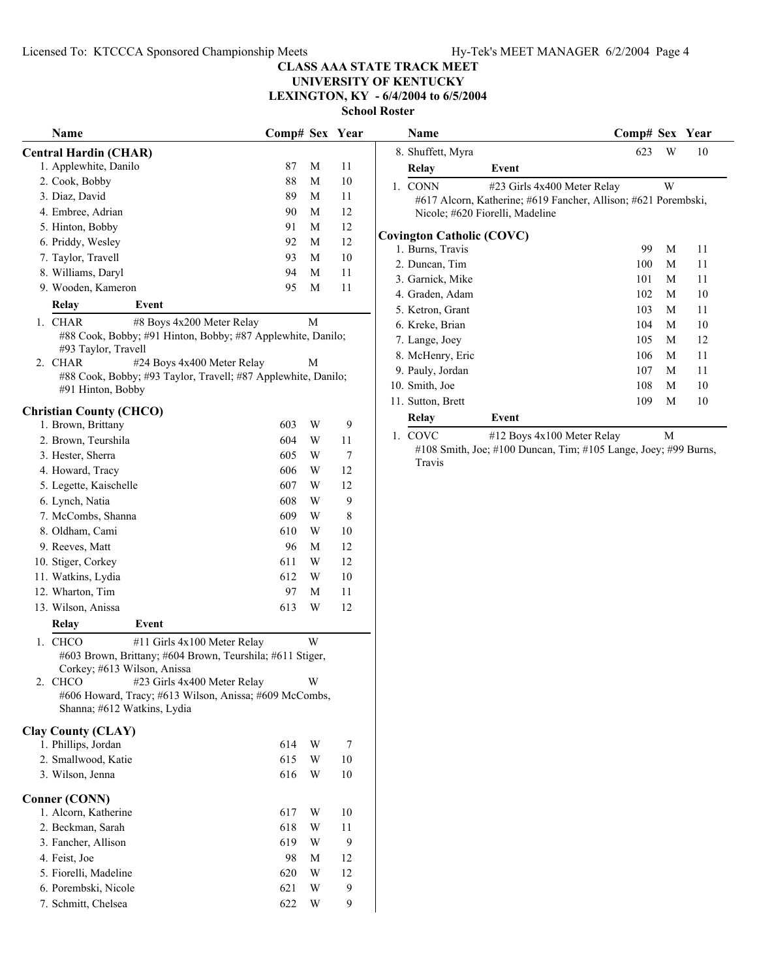Licensed To: KTCCCA Sponsored Championship Meets Hy-Tek's MEET MANAGER 6/2/2004 Page 4

# **CLASS AAA STATE TRACK MEET**

**UNIVERSITY OF KENTUCKY LEXINGTON, KY - 6/4/2004 to 6/5/2004**

**School Roster**

|                                                                                                                                    |                |   | SCHOOL |
|------------------------------------------------------------------------------------------------------------------------------------|----------------|---|--------|
| Name                                                                                                                               | Comp# Sex Year |   |        |
| <b>Central Hardin (CHAR)</b>                                                                                                       |                |   |        |
| 1. Applewhite, Danilo                                                                                                              | 87             | М | 11     |
| 2. Cook, Bobby                                                                                                                     | 88             | М | 10     |
| 3. Diaz, David                                                                                                                     | 89             | М | 11     |
| 4. Embree, Adrian                                                                                                                  | 90             | М | 12     |
| 5. Hinton, Bobby                                                                                                                   | 91             | М | 12     |
| 6. Priddy, Wesley                                                                                                                  | 92             | М | 12     |
| 7. Taylor, Travell                                                                                                                 | 93             | М | 10     |
| 8. Williams, Daryl                                                                                                                 | 94             | М | 11     |
| 9. Wooden, Kameron                                                                                                                 | 95             | М | 11     |
| Relay<br>Event                                                                                                                     |                |   |        |
| 1. CHAR<br>#8 Boys 4x200 Meter Relay<br>#88 Cook, Bobby; #91 Hinton, Bobby; #87 Applewhite, Danilo;<br>#93 Taylor, Travell         |                | М |        |
| 2. CHAR<br>#24 Boys 4x400 Meter Relay<br>#88 Cook, Bobby; #93 Taylor, Travell; #87 Applewhite, Danilo;<br>#91 Hinton, Bobby        |                | М |        |
| <b>Christian County (CHCO)</b>                                                                                                     |                |   |        |
| 1. Brown, Brittany                                                                                                                 | 603            | W | 9      |
| 2. Brown, Teurshila                                                                                                                | 604            | W | 11     |
| 3. Hester, Sherra                                                                                                                  | 605            | W | 7      |
| 4. Howard, Tracy                                                                                                                   | 606            | W | 12     |
| 5. Legette, Kaischelle                                                                                                             | 607            | W | 12     |
| 6. Lynch, Natia                                                                                                                    | 608            | W | 9      |
| 7. McCombs, Shanna                                                                                                                 | 609            | W | 8      |
| 8. Oldham, Cami                                                                                                                    | 610            | W | 10     |
| 9. Reeves, Matt                                                                                                                    | 96             | М | 12     |
| 10. Stiger, Corkey                                                                                                                 | 611            | W | 12     |
| 11. Watkins, Lydia                                                                                                                 | 612            | W | 10     |
| 12. Wharton, Tim                                                                                                                   | 97             | М | 11     |
| 13. Wilson, Anissa                                                                                                                 | 613            | W | 12     |
| Relay<br>Event                                                                                                                     |                |   |        |
| 1. CHCO<br>#11 Girls 4x100 Meter Relay<br>#603 Brown, Brittany; #604 Brown, Teurshila; #611 Stiger,<br>Corkey; #613 Wilson, Anissa |                | W |        |
| #23 Girls 4x400 Meter Relay<br>2. CHCO<br>#606 Howard, Tracy; #613 Wilson, Anissa; #609 McCombs,<br>Shanna; #612 Watkins, Lydia    |                | W |        |
| <b>Clay County (CLAY)</b><br>1. Phillips, Jordan                                                                                   | 614            | W | 7      |
| 2. Smallwood, Katie                                                                                                                | 615            | W | 10     |
| 3. Wilson, Jenna                                                                                                                   | 616            | W | 10     |
| <b>Conner (CONN)</b>                                                                                                               |                |   |        |
| 1. Alcorn, Katherine                                                                                                               | 617            | W | 10     |
| 2. Beckman, Sarah                                                                                                                  | 618            | W | 11     |
| 3. Fancher, Allison                                                                                                                | 619            | W | 9      |
| 4. Feist, Joe                                                                                                                      | 98             | М | 12     |
| 5. Fiorelli, Madeline                                                                                                              | 620            | W | 12     |
| 6. Porembski, Nicole                                                                                                               | 621            | W | 9      |
| 7. Schmitt, Chelsea                                                                                                                | 622            | W | 9      |

| Name                                                                               | Comp# Sex Year |   |    | Name                                                 |                                                                                                                                      | Comp# Sex Year |   |    |
|------------------------------------------------------------------------------------|----------------|---|----|------------------------------------------------------|--------------------------------------------------------------------------------------------------------------------------------------|----------------|---|----|
| al Hardin (CHAR)                                                                   |                |   |    | 8. Shuffett, Myra                                    |                                                                                                                                      | 623            | W | 10 |
| Applewhite, Danilo                                                                 | 87             | M | 11 | Relay                                                | Event                                                                                                                                |                |   |    |
| Cook, Bobby                                                                        | 88             | M | 10 | 1. CONN                                              | #23 Girls 4x400 Meter Relay                                                                                                          |                | W |    |
| Diaz, David                                                                        | 89             | M | 11 |                                                      | #617 Alcorn, Katherine; #619 Fancher, Allison; #621 Porembski,                                                                       |                |   |    |
| Embree, Adrian                                                                     | 90             | M | 12 |                                                      | Nicole; #620 Fiorelli, Madeline                                                                                                      |                |   |    |
| Hinton, Bobby                                                                      | 91             | M | 12 |                                                      |                                                                                                                                      |                |   |    |
| Priddy, Wesley                                                                     | 92             | M | 12 | <b>Covington Catholic (COVC)</b><br>1. Burns, Travis |                                                                                                                                      | 99             | M | 11 |
| Taylor, Travell                                                                    | 93             | M | 10 | 2. Duncan, Tim                                       |                                                                                                                                      | 100            | M | 11 |
| Williams, Daryl                                                                    | 94             | M | 11 | 3. Garnick, Mike                                     |                                                                                                                                      | 101            | М | 11 |
| Wooden, Kameron                                                                    | 95             | M | 11 | 4. Graden, Adam                                      |                                                                                                                                      | 102            | М | 10 |
| Relay<br>Event                                                                     |                |   |    | 5. Ketron, Grant                                     |                                                                                                                                      | 103            | М | 11 |
| <b>CHAR</b><br>#8 Boys 4x200 Meter Relay                                           |                | M |    | 6. Kreke, Brian                                      |                                                                                                                                      | 104            | M | 10 |
| #88 Cook, Bobby; #91 Hinton, Bobby; #87 Applewhite, Danilo;                        |                |   |    | 7. Lange, Joey                                       |                                                                                                                                      | 105            | M | 12 |
| #93 Taylor, Travell                                                                |                |   |    | 8. McHenry, Eric                                     |                                                                                                                                      | 106            | M | 11 |
| CHAR<br>#24 Boys 4x400 Meter Relay                                                 |                | M |    | 9. Pauly, Jordan                                     |                                                                                                                                      | 107            | М | 11 |
| #88 Cook, Bobby; #93 Taylor, Travell; #87 Applewhite, Danilo;<br>#91 Hinton, Bobby |                |   |    | 10. Smith, Joe                                       |                                                                                                                                      | 108            | M | 10 |
|                                                                                    |                |   |    | 11. Sutton, Brett                                    |                                                                                                                                      | 109            | M | 10 |
| tian County (CHCO)                                                                 |                |   |    | Relay                                                | Event                                                                                                                                |                |   |    |
| Brown, Brittany                                                                    | 603            | W | 9  |                                                      |                                                                                                                                      |                | M |    |
| Brown, Teurshila                                                                   | 604            | W | 11 | 1. COVC                                              | #12 Boys 4x100 Meter Relay<br>$1100 \, \text{C}$ $\ldots 11$ $\ldots 1100 \, \text{D}$ $\ldots$ $\text{T}$ $\ldots 1100 \, \text{D}$ |                |   |    |

#108 Smith, Joe; #100 Duncan, Tim; #105 Lange, Joey; #99 Burns, Travis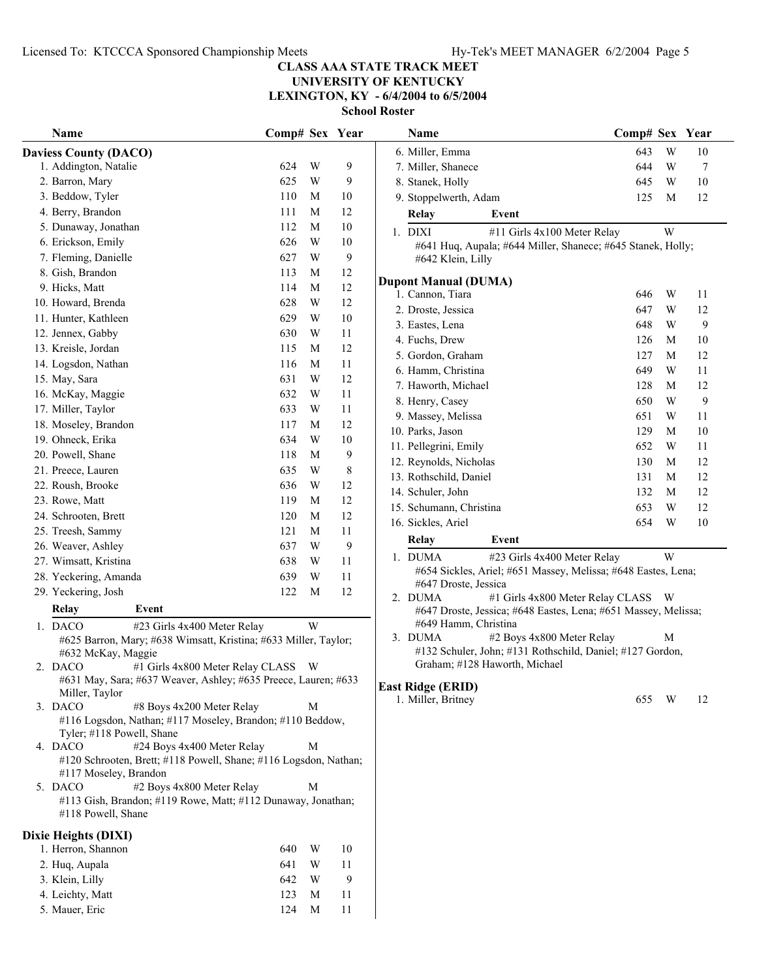**UNIVERSITY OF KENTUCKY**

**LEXINGTON, KY - 6/4/2004 to 6/5/2004**

| Name                                                                                                            | Comp# Sex Year |   |                | Name                                                                                              | Comp# Sex Year |   |        |
|-----------------------------------------------------------------------------------------------------------------|----------------|---|----------------|---------------------------------------------------------------------------------------------------|----------------|---|--------|
| <b>Daviess County (DACO)</b>                                                                                    |                |   |                | 6. Miller, Emma                                                                                   | 643            | W | 10     |
| 1. Addington, Natalie                                                                                           | 624            | W | 9              | 7. Miller, Shanece                                                                                | 644            | W | 7      |
| 2. Barron, Mary                                                                                                 | 625            | W | 9              | 8. Stanek, Holly                                                                                  | 645            | W | 10     |
| 3. Beddow, Tyler                                                                                                | 110            | M | 10             | 9. Stoppelwerth, Adam                                                                             | 125            | M | 12     |
| 4. Berry, Brandon                                                                                               | 111            | M | 12             | <b>Relay</b><br>Event                                                                             |                |   |        |
| 5. Dunaway, Jonathan                                                                                            | 112            | M | 10             | 1. DIXI<br>#11 Girls 4x100 Meter Relay                                                            |                | W |        |
| 6. Erickson, Emily                                                                                              | 626            | W | 10             | #641 Huq, Aupala; #644 Miller, Shanece; #645 Stanek, Holly;                                       |                |   |        |
| 7. Fleming, Danielle                                                                                            | 627            | W | 9              | #642 Klein, Lilly                                                                                 |                |   |        |
| 8. Gish, Brandon                                                                                                | 113            | M | 12             |                                                                                                   |                |   |        |
| 9. Hicks, Matt                                                                                                  | 114            | M | $12\,$         | <b>Dupont Manual (DUMA)</b><br>1. Cannon, Tiara                                                   | 646            | W | 11     |
| 10. Howard, Brenda                                                                                              | 628            | W | 12             |                                                                                                   | 647            | W | 12     |
| 11. Hunter, Kathleen                                                                                            | 629            | W | $10\,$         | 2. Droste, Jessica                                                                                |                |   |        |
| 12. Jennex, Gabby                                                                                               | 630            | W | 11             | 3. Eastes, Lena                                                                                   | 648            | W | 9      |
| 13. Kreisle, Jordan                                                                                             | 115            | M | 12             | 4. Fuchs, Drew                                                                                    | 126            | M | 10     |
| 14. Logsdon, Nathan                                                                                             | 116            | M | 11             | 5. Gordon, Graham                                                                                 | 127            | M | 12     |
| 15. May, Sara                                                                                                   | 631            | W | 12             | 6. Hamm, Christina                                                                                | 649            | W | 11     |
| 16. McKay, Maggie                                                                                               | 632            | W | 11             | 7. Haworth, Michael                                                                               | 128            | M | 12     |
| 17. Miller, Taylor                                                                                              | 633            | W | 11             | 8. Henry, Casey                                                                                   | 650            | W | 9      |
| 18. Moseley, Brandon                                                                                            | 117            | M | 12             | 9. Massey, Melissa                                                                                | 651            | W | 11     |
| 19. Ohneck, Erika                                                                                               | 634            | W | 10             | 10. Parks, Jason                                                                                  | 129            | M | 10     |
| 20. Powell, Shane                                                                                               | 118            | M | 9              | 11. Pellegrini, Emily                                                                             | 652            | W | 11     |
| 21. Preece, Lauren                                                                                              | 635            | W | $8\phantom{1}$ | 12. Reynolds, Nicholas                                                                            | 130            | M | 12     |
| 22. Roush, Brooke                                                                                               | 636            | W | 12             | 13. Rothschild, Daniel                                                                            | 131            | M | 12     |
| 23. Rowe, Matt                                                                                                  | 119            | M | 12             | 14. Schuler, John                                                                                 | 132            | M | 12     |
| 24. Schrooten, Brett                                                                                            | 120            | M | 12             | 15. Schumann, Christina                                                                           | 653            | W | 12     |
|                                                                                                                 |                | M |                | 16. Sickles, Ariel                                                                                | 654            | W | $10\,$ |
| 25. Treesh, Sammy                                                                                               | 121<br>637     | W | 11             | <b>Relay</b><br>Event                                                                             |                |   |        |
| 26. Weaver, Ashley                                                                                              |                |   | 9              | 1. DUMA<br>#23 Girls 4x400 Meter Relay                                                            |                | W |        |
| 27. Wimsatt, Kristina                                                                                           | 638            | W | 11             | #654 Sickles, Ariel; #651 Massey, Melissa; #648 Eastes, Lena;                                     |                |   |        |
| 28. Yeckering, Amanda                                                                                           | 639            | W | 11             | #647 Droste, Jessica                                                                              |                |   |        |
| 29. Yeckering, Josh                                                                                             | 122            | M | 12             | #1 Girls 4x800 Meter Relay CLASS<br>2. DUMA                                                       |                | W |        |
| Relay<br>Event                                                                                                  |                |   |                | #647 Droste, Jessica; #648 Eastes, Lena; #651 Massey, Melissa;                                    |                |   |        |
| 1. DACO<br>#23 Girls 4x400 Meter Relay                                                                          |                | W |                | #649 Hamm, Christina                                                                              |                |   |        |
| #625 Barron, Mary; #638 Wimsatt, Kristina; #633 Miller, Taylor;                                                 |                |   |                | #2 Boys 4x800 Meter Relay<br>3. DUMA<br>#132 Schuler, John; #131 Rothschild, Daniel; #127 Gordon, |                | М |        |
| #632 McKay, Maggie                                                                                              |                |   |                | Graham; #128 Haworth, Michael                                                                     |                |   |        |
| 2. DACO<br>#1 Girls 4x800 Meter Relay CLASS W<br>#631 May, Sara; #637 Weaver, Ashley; #635 Preece, Lauren; #633 |                |   |                |                                                                                                   |                |   |        |
| Miller, Taylor                                                                                                  |                |   |                | <b>East Ridge (ERID)</b>                                                                          |                |   |        |
| 3. DACO<br>#8 Boys 4x200 Meter Relay                                                                            |                | M |                | 1. Miller, Britney                                                                                | 655            | W | 12     |
| #116 Logsdon, Nathan; #117 Moseley, Brandon; #110 Beddow,                                                       |                |   |                |                                                                                                   |                |   |        |
| Tyler; #118 Powell, Shane                                                                                       |                |   |                |                                                                                                   |                |   |        |
| 4. DACO<br>#24 Boys 4x400 Meter Relay                                                                           |                | M |                |                                                                                                   |                |   |        |
| #120 Schrooten, Brett; #118 Powell, Shane; #116 Logsdon, Nathan;                                                |                |   |                |                                                                                                   |                |   |        |
| #117 Moseley, Brandon                                                                                           |                |   |                |                                                                                                   |                |   |        |
| #2 Boys 4x800 Meter Relay<br>5. DACO                                                                            |                | M |                |                                                                                                   |                |   |        |
| #113 Gish, Brandon; #119 Rowe, Matt; #112 Dunaway, Jonathan;<br>#118 Powell, Shane                              |                |   |                |                                                                                                   |                |   |        |
| Dixie Heights (DIXI)                                                                                            |                |   |                |                                                                                                   |                |   |        |
| 1. Herron, Shannon                                                                                              | 640            | W | 10             |                                                                                                   |                |   |        |
| 2. Huq, Aupala                                                                                                  | 641            | W | 11             |                                                                                                   |                |   |        |
| 3. Klein, Lilly                                                                                                 | 642            | W | 9              |                                                                                                   |                |   |        |
| 4. Leichty, Matt                                                                                                | 123            | M | 11             |                                                                                                   |                |   |        |
| 5. Mauer, Eric                                                                                                  | 124            | M | 11             |                                                                                                   |                |   |        |
|                                                                                                                 |                |   |                |                                                                                                   |                |   |        |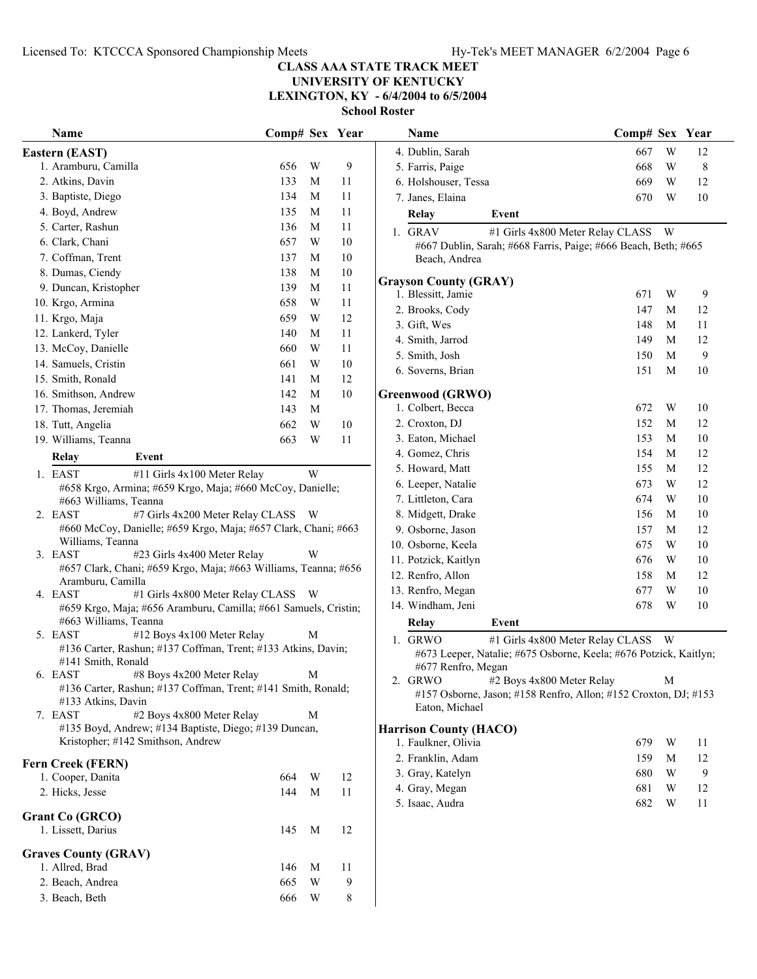**UNIVERSITY OF KENTUCKY**

**LEXINGTON, KY - 6/4/2004 to 6/5/2004**

| Name                                                                                | Comp# Sex Year |     |    | Name                                                                              | Comp# Sex Year |   |        |
|-------------------------------------------------------------------------------------|----------------|-----|----|-----------------------------------------------------------------------------------|----------------|---|--------|
| Eastern (EAST)                                                                      |                |     |    | 4. Dublin, Sarah                                                                  | 667            | W | 12     |
| 1. Aramburu, Camilla                                                                | 656            | W   | 9  | 5. Farris, Paige                                                                  | 668            | W | 8      |
| 2. Atkins, Davin                                                                    | 133            | M   | 11 | 6. Holshouser, Tessa                                                              | 669            | W | 12     |
| 3. Baptiste, Diego                                                                  | 134            | M   | 11 | 7. Janes, Elaina                                                                  | 670            | W | 10     |
| 4. Boyd, Andrew                                                                     | 135            | M   | 11 | Relay<br>Event                                                                    |                |   |        |
| 5. Carter, Rashun                                                                   | 136            | M   | 11 | #1 Girls 4x800 Meter Relay CLASS W<br>1. GRAV                                     |                |   |        |
| 6. Clark, Chani                                                                     | 657            | W   | 10 | #667 Dublin, Sarah; #668 Farris, Paige; #666 Beach, Beth; #665                    |                |   |        |
| 7. Coffman, Trent                                                                   | 137            | M   | 10 | Beach, Andrea                                                                     |                |   |        |
| 8. Dumas, Ciendy                                                                    | 138            | M   | 10 |                                                                                   |                |   |        |
| 9. Duncan, Kristopher                                                               | 139            | M   | 11 | <b>Grayson County (GRAY)</b><br>1. Blessitt, Jamie                                | 671            | W | 9      |
| 10. Krgo, Armina                                                                    | 658            | W   | 11 | 2. Brooks, Cody                                                                   | 147            | M | 12     |
| 11. Krgo, Maja                                                                      | 659            | W   | 12 | 3. Gift, Wes                                                                      | 148            | M | 11     |
| 12. Lankerd, Tyler                                                                  | 140            | M   | 11 | 4. Smith, Jarrod                                                                  | 149            | M | 12     |
| 13. McCoy, Danielle                                                                 | 660            | W   | 11 | 5. Smith, Josh                                                                    | 150            | M | 9      |
| 14. Samuels, Cristin                                                                | 661            | W   | 10 | 6. Soverns, Brian                                                                 | 151            | M | 10     |
| 15. Smith, Ronald                                                                   | 141            | M   | 12 |                                                                                   |                |   |        |
| 16. Smithson, Andrew                                                                | 142            | M   | 10 | <b>Greenwood (GRWO)</b>                                                           |                |   |        |
| 17. Thomas, Jeremiah                                                                | 143            | M   |    | 1. Colbert, Becca                                                                 | 672            | W | 10     |
| 18. Tutt, Angelia                                                                   | 662            | W   | 10 | 2. Croxton, DJ                                                                    | 152            | M | 12     |
| 19. Williams, Teanna                                                                | 663            | W   | 11 | 3. Eaton, Michael                                                                 | 153            | M | 10     |
| Relay<br>Event                                                                      |                |     |    | 4. Gomez, Chris                                                                   | 154            | M | 12     |
| 1. EAST<br>#11 Girls 4x100 Meter Relay                                              |                | W   |    | 5. Howard, Matt                                                                   | 155            | M | 12     |
| #658 Krgo, Armina; #659 Krgo, Maja; #660 McCoy, Danielle;                           |                |     |    | 6. Leeper, Natalie                                                                | 673            | W | 12     |
| #663 Williams, Teanna                                                               |                |     |    | 7. Littleton, Cara                                                                | 674            | W | 10     |
| #7 Girls 4x200 Meter Relay CLASS<br>2. EAST                                         |                | - W |    | 8. Midgett, Drake                                                                 | 156            | M | 10     |
| #660 McCoy, Danielle; #659 Krgo, Maja; #657 Clark, Chani; #663                      |                |     |    | 9. Osborne, Jason                                                                 | 157            | M | 12     |
| Williams, Teanna<br>3. EAST<br>#23 Girls 4x400 Meter Relay                          |                | W   |    | 10. Osborne, Keela                                                                | 675            | W | 10     |
| #657 Clark, Chani; #659 Krgo, Maja; #663 Williams, Teanna; #656                     |                |     |    | 11. Potzick, Kaitlyn                                                              | 676            | W | 10     |
| Aramburu, Camilla                                                                   |                |     |    | 12. Renfro, Allon                                                                 | 158            | M | 12     |
| 4. EAST<br>#1 Girls 4x800 Meter Relay CLASS W                                       |                |     |    | 13. Renfro, Megan                                                                 | 677            | W | $10\,$ |
| #659 Krgo, Maja; #656 Aramburu, Camilla; #661 Samuels, Cristin;                     |                |     |    | 14. Windham, Jeni                                                                 | 678            | W | 10     |
| #663 Williams, Teanna                                                               |                |     |    | <b>Relay</b><br>Event                                                             |                |   |        |
| 5. EAST<br>#12 Boys 4x100 Meter Relay                                               |                | M   |    | 1. GRWO<br>#1 Girls 4x800 Meter Relay CLASS W                                     |                |   |        |
| #136 Carter, Rashun; #137 Coffman, Trent; #133 Atkins, Davin;<br>#141 Smith, Ronald |                |     |    | #673 Leeper, Natalie; #675 Osborne, Keela; #676 Potzick, Kaitlyn                  |                |   |        |
| 6. EAST<br>#8 Boys 4x200 Meter Relay                                                |                | M   |    | #677 Renfro, Megan                                                                |                |   |        |
| #136 Carter, Rashun; #137 Coffman, Trent; #141 Smith, Ronald;                       |                |     |    | 2. GRWO<br>#2 Boys 4x800 Meter Relay                                              |                | M |        |
| #133 Atkins, Davin                                                                  |                |     |    | #157 Osborne, Jason; #158 Renfro, Allon; #152 Croxton, DJ; #153<br>Eaton, Michael |                |   |        |
| #2 Boys 4x800 Meter Relay<br>7. EAST                                                |                | M   |    |                                                                                   |                |   |        |
| #135 Boyd, Andrew; #134 Baptiste, Diego; #139 Duncan,                               |                |     |    | <b>Harrison County (HACO)</b>                                                     |                |   |        |
| Kristopher; #142 Smithson, Andrew                                                   |                |     |    | 1. Faulkner, Olivia                                                               | 679            | W | 11     |
| Fern Creek (FERN)                                                                   |                |     |    | 2. Franklin, Adam                                                                 | 159            | M | 12     |
| 1. Cooper, Danita                                                                   | 664            | W   | 12 | 3. Gray, Katelyn                                                                  | 680            | W | 9      |
| 2. Hicks, Jesse                                                                     | 144            | M   | 11 | 4. Gray, Megan                                                                    | 681            | W | 12     |
|                                                                                     |                |     |    | 5. Isaac, Audra                                                                   | 682            | W | 11     |
| Grant Co (GRCO)                                                                     | 145            | M   | 12 |                                                                                   |                |   |        |
| 1. Lissett, Darius                                                                  |                |     |    |                                                                                   |                |   |        |
| <b>Graves County (GRAV)</b>                                                         |                |     |    |                                                                                   |                |   |        |
| 1. Allred, Brad                                                                     | 146            | M   | 11 |                                                                                   |                |   |        |
| 2. Beach, Andrea                                                                    | 665            | W   | 9  |                                                                                   |                |   |        |
| 3. Beach, Beth                                                                      | 666            | W   | 8  |                                                                                   |                |   |        |

| Name                                                                                                    | Comp# Sex                        |   | Year |
|---------------------------------------------------------------------------------------------------------|----------------------------------|---|------|
| 4. Dublin, Sarah                                                                                        | 667                              | W | 12   |
| 5. Farris, Paige                                                                                        | 668                              | W | 8    |
| 6. Holshouser, Tessa                                                                                    | 669                              | W | 12   |
| 7. Janes, Elaina                                                                                        | 670                              | W | 10   |
| Event<br>Relay                                                                                          |                                  |   |      |
| <b>GRAV</b><br>1.                                                                                       | #1 Girls 4x800 Meter Relay CLASS | W |      |
| #667 Dublin, Sarah; #668 Farris, Paige; #666 Beach, Beth; #665<br>Beach, Andrea                         |                                  |   |      |
| <b>Grayson County (GRAY)</b>                                                                            |                                  |   |      |
| 1. Blessitt, Jamie                                                                                      | 671                              | W | 9    |
| 2. Brooks, Cody                                                                                         | 147                              | M | 12   |
| 3. Gift, Wes                                                                                            | 148                              | M | 11   |
| 4. Smith, Jarrod                                                                                        | 149                              | М | 12   |
| 5. Smith, Josh                                                                                          | 150                              | М | 9    |
| 6. Soverns, Brian                                                                                       | 151                              | М | 10   |
| Greenwood (GRWO)                                                                                        |                                  |   |      |
| 1. Colbert, Becca                                                                                       | 672                              | W | 10   |
| 2. Croxton, DJ                                                                                          | 152                              | М | 12   |
| 3. Eaton, Michael                                                                                       | 153                              | М | 10   |
| 4. Gomez, Chris                                                                                         | 154                              | М | 12   |
| 5. Howard, Matt                                                                                         | 155                              | М | 12   |
| 6. Leeper, Natalie                                                                                      | 673                              | W | 12   |
| 7. Littleton, Cara                                                                                      | 674                              | W | 10   |
| 8. Midgett, Drake                                                                                       | 156                              | М | 10   |
| 9. Osborne, Jason                                                                                       | 157                              | М | 12   |
| 10. Osborne, Keela                                                                                      | 675                              | W | 10   |
| 11. Potzick, Kaitlyn                                                                                    | 676                              | W | 10   |
| 12. Renfro, Allon                                                                                       | 158                              | M | 12   |
| 13. Renfro, Megan                                                                                       | 677                              | W | 10   |
| 14. Windham, Jeni                                                                                       | 678                              | W | 10   |
| Relay<br>Event                                                                                          |                                  |   |      |
| <b>GRWO</b><br>1.<br>#673 Leeper, Natalie; #675 Osborne, Keela; #676 Potzick, Kaitlyn;                  | #1 Girls 4x800 Meter Relay CLASS | W |      |
| #677 Renfro, Megan                                                                                      |                                  |   |      |
| 2. GRWO<br>#2 Boys 4x800 Meter Relay<br>#157 Osborne, Jason; #158 Renfro, Allon; #152 Croxton, DJ; #153 |                                  | М |      |
| Eaton, Michael                                                                                          |                                  |   |      |
| <b>Harrison County (HACO)</b>                                                                           |                                  |   |      |
| 1. Faulkner, Olivia                                                                                     | 679                              | W | 11   |
| 2. Franklin, Adam                                                                                       | 159                              | М | 12   |
| 3. Gray, Katelyn                                                                                        | 680                              | W | 9    |
| 4. Gray, Megan                                                                                          | 681                              | W | 12   |
| 5. Isaac, Audra                                                                                         | 682                              | W | 11   |
|                                                                                                         |                                  |   |      |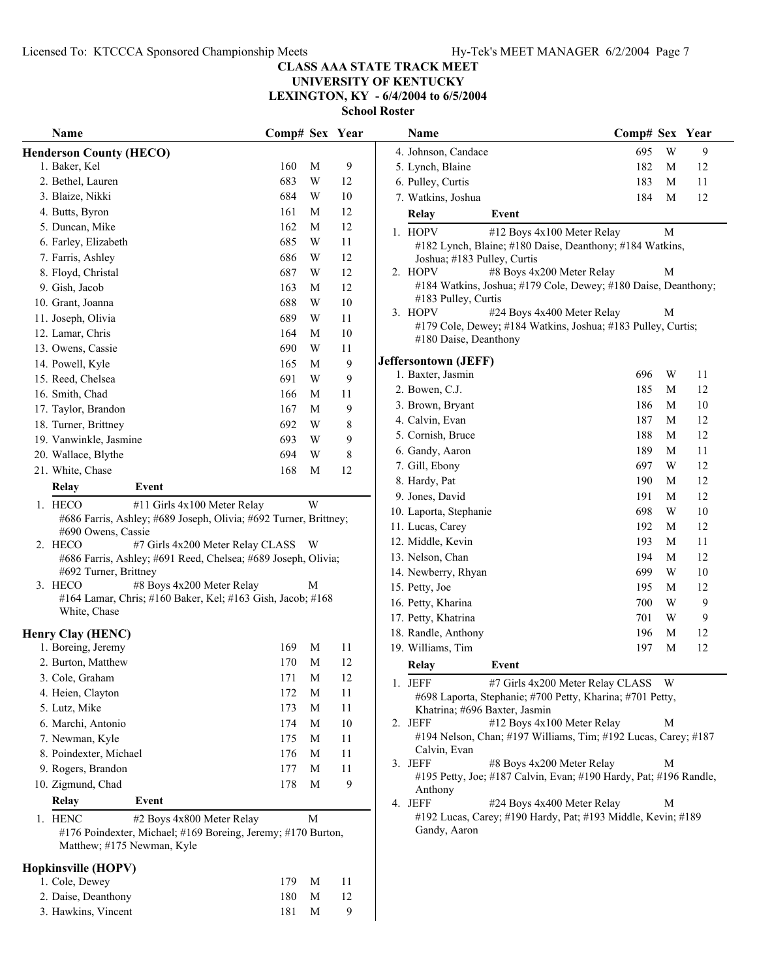**UNIVERSITY OF KENTUCKY**

**LEXINGTON, KY - 6/4/2004 to 6/5/2004**

|    | <b>Name</b>                                                                            | Comp# Sex |             | Year |
|----|----------------------------------------------------------------------------------------|-----------|-------------|------|
|    | <b>Henderson County (HECO)</b>                                                         |           |             |      |
|    | 1. Baker, Kel                                                                          | 160       | М           | 9    |
|    | 2. Bethel, Lauren                                                                      | 683       | W           | 12   |
|    | 3. Blaize, Nikki                                                                       | 684       | W           | 10   |
|    | 4. Butts, Byron                                                                        | 161       | М           | 12   |
|    | 5. Duncan, Mike                                                                        | 162       | М           | 12   |
|    | 6. Farley, Elizabeth                                                                   | 685       | W           | 11   |
|    | 7. Farris, Ashley                                                                      | 686       | W           | 12   |
|    | 8. Floyd, Christal                                                                     | 687       | W           | 12   |
|    | 9. Gish, Jacob                                                                         | 163       | M           | 12   |
|    | 10. Grant, Joanna                                                                      | 688       | W           | 10   |
|    | 11. Joseph, Olivia                                                                     | 689       | W           | 11   |
|    | 12. Lamar, Chris                                                                       | 164       | М           | 10   |
|    | 13. Owens, Cassie                                                                      | 690       | W           | 11   |
|    | 14. Powell, Kyle                                                                       | 165       | М           | 9    |
|    | 15. Reed, Chelsea                                                                      | 691       | W           | 9    |
|    | 16. Smith, Chad                                                                        | 166       | М           | 11   |
|    | 17. Taylor, Brandon                                                                    | 167       | М           | 9    |
|    | 18. Turner, Brittney                                                                   | 692       | W           | 8    |
|    | 19. Vanwinkle, Jasmine                                                                 | 693       | W           | 9    |
|    | 20. Wallace, Blythe                                                                    | 694       | W           | 8    |
|    | 21. White, Chase                                                                       | 168       | М           | 12   |
|    | Relay<br>Event                                                                         |           |             |      |
|    | 1. HECO<br>#11 Girls 4x100 Meter Relay                                                 |           | W           |      |
|    | #686 Farris, Ashley; #689 Joseph, Olivia; #692 Turner, Brittney;                       |           |             |      |
|    | #690 Owens, Cassie                                                                     |           |             |      |
| 2. | <b>HECO</b><br>#7 Girls 4x200 Meter Relay CLASS                                        |           | W           |      |
|    | #686 Farris, Ashley; #691 Reed, Chelsea; #689 Joseph, Olivia;<br>#692 Turner, Brittney |           |             |      |
| 3. | <b>HECO</b><br>#8 Boys 4x200 Meter Relay                                               |           | М           |      |
|    | #164 Lamar, Chris; #160 Baker, Kel; #163 Gish, Jacob; #168                             |           |             |      |
|    | White, Chase                                                                           |           |             |      |
|    | <b>Henry Clay (HENC)</b>                                                               |           |             |      |
|    | 1. Boreing, Jeremy                                                                     | 169       | М           | 11   |
|    | 2. Burton, Matthew                                                                     | 170       | М           | 12   |
|    | 3. Cole, Graham                                                                        | 171       | $\mathbf M$ | 12   |
|    | 4. Heien, Clayton                                                                      | 172       | М           | 11   |
|    | 5. Lutz, Mike                                                                          | 173       | M           | 11   |
|    | 6. Marchi, Antonio                                                                     | 174       | M           | 10   |
|    | 7. Newman, Kyle                                                                        | 175       | $\mathbf M$ | 11   |
|    | 8. Poindexter, Michael                                                                 | 176       | М           | 11   |
|    | 9. Rogers, Brandon                                                                     | 177       | М           | 11   |
|    | 10. Zigmund, Chad                                                                      | 178       | M           | 9    |
|    | Event<br>Relay                                                                         |           |             |      |
| 1. | <b>HENC</b><br>#2 Boys 4x800 Meter Relay                                               |           | М           |      |
|    | #176 Poindexter, Michael; #169 Boreing, Jeremy; #170 Burton,                           |           |             |      |
|    | Matthew; #175 Newman, Kyle                                                             |           |             |      |
|    |                                                                                        |           |             |      |
|    | Hopkinsville (HOPV)<br>1. Cole, Dewey                                                  | 179       | М           | 11   |
|    | 2. Daise, Deanthony                                                                    | 180       | М           | 12   |
|    | 3. Hawkins, Vincent                                                                    | 181       | M           | 9    |
|    |                                                                                        |           |             |      |

| Name                                                                                                        | Comp# Sex Year |             |    | <b>Name</b>                                                                                                | Comp# Sex Year |        |          |
|-------------------------------------------------------------------------------------------------------------|----------------|-------------|----|------------------------------------------------------------------------------------------------------------|----------------|--------|----------|
| erson County (HECO)                                                                                         |                |             |    | 4. Johnson, Candace                                                                                        | 695            | W      | 9        |
| Baker, Kel                                                                                                  | 160            | M           | 9  | 5. Lynch, Blaine                                                                                           | 182            | M      | 12       |
| Bethel, Lauren                                                                                              | 683            | W           | 12 | 6. Pulley, Curtis                                                                                          | 183            | M      | 11       |
| Blaize, Nikki                                                                                               | 684            | W           | 10 | 7. Watkins, Joshua                                                                                         | 184            | M      | 12       |
| Butts, Byron                                                                                                | 161            | M           | 12 | <b>Relay</b><br>Event                                                                                      |                |        |          |
| Duncan, Mike                                                                                                | 162            | M           | 12 | 1. HOPV<br>#12 Boys 4x100 Meter Relay                                                                      |                | M      |          |
| Farley, Elizabeth                                                                                           | 685            | W           | 11 | #182 Lynch, Blaine; #180 Daise, Deanthony; #184 Watkins,                                                   |                |        |          |
| Farris, Ashley                                                                                              | 686            | W           | 12 | Joshua; #183 Pulley, Curtis                                                                                |                |        |          |
| Floyd, Christal                                                                                             | 687            | W           | 12 | 2. HOPV<br>#8 Boys 4x200 Meter Relay                                                                       |                | M      |          |
| Gish, Jacob                                                                                                 | 163            | М           | 12 | #184 Watkins, Joshua; #179 Cole, Dewey; #180 Daise, Deanthony;                                             |                |        |          |
| Grant, Joanna                                                                                               | 688            | W           | 10 | #183 Pulley, Curtis<br>3. HOPV                                                                             |                |        |          |
| Joseph, Olivia                                                                                              | 689            | W           | 11 | #24 Boys 4x400 Meter Relay<br>#179 Cole, Dewey; #184 Watkins, Joshua; #183 Pulley, Curtis;                 |                | М      |          |
| Lamar, Chris                                                                                                | 164            | M           | 10 | #180 Daise, Deanthony                                                                                      |                |        |          |
| Owens, Cassie                                                                                               | 690            | W           | 11 |                                                                                                            |                |        |          |
| Powell, Kyle                                                                                                | 165            | M           | 9  | Jeffersontown (JEFF)                                                                                       |                |        |          |
| Reed, Chelsea                                                                                               | 691            | W           | 9  | 1. Baxter, Jasmin                                                                                          | 696            | W      | 11       |
| Smith, Chad                                                                                                 | 166            | M           | 11 | 2. Bowen, C.J.                                                                                             | 185            | M      | 12       |
| Taylor, Brandon                                                                                             | 167            | М           | 9  | 3. Brown, Bryant                                                                                           | 186            | M      | 10       |
| Turner, Brittney                                                                                            | 692            | W           | 8  | 4. Calvin, Evan<br>5. Cornish, Bruce                                                                       | 187<br>188     | M<br>M | 12<br>12 |
| Vanwinkle, Jasmine                                                                                          | 693            | W           | 9  | 6. Gandy, Aaron                                                                                            | 189            | M      | 11       |
| Wallace, Blythe                                                                                             | 694            | W           | 8  | 7. Gill, Ebony                                                                                             | 697            | W      | 12       |
| White, Chase                                                                                                | 168            | M           | 12 | 8. Hardy, Pat                                                                                              | 190            | M      | 12       |
| Relay<br>Event                                                                                              |                |             |    | 9. Jones, David                                                                                            | 191            | M      | 12       |
| HECO<br>#11 Girls 4x100 Meter Relay                                                                         |                | W           |    | 10. Laporta, Stephanie                                                                                     | 698            | W      | 10       |
| #686 Farris, Ashley; #689 Joseph, Olivia; #692 Turner, Brittney;                                            |                |             |    | 11. Lucas, Carey                                                                                           | 192            | M      | 12       |
| #690 Owens, Cassie                                                                                          |                |             |    | 12. Middle, Kevin                                                                                          | 193            | M      | 11       |
| HECO<br>#7 Girls 4x200 Meter Relay CLASS W<br>#686 Farris, Ashley; #691 Reed, Chelsea; #689 Joseph, Olivia; |                |             |    | 13. Nelson, Chan                                                                                           | 194            | M      | 12       |
| #692 Turner, Brittney                                                                                       |                |             |    | 14. Newberry, Rhyan                                                                                        | 699            | W      | 10       |
| #8 Boys 4x200 Meter Relay<br>HECO                                                                           |                | M           |    | 15. Petty, Joe                                                                                             | 195            | M      | 12       |
| #164 Lamar, Chris; #160 Baker, Kel; #163 Gish, Jacob; #168                                                  |                |             |    | 16. Petty, Kharina                                                                                         | 700            | W      | 9        |
| White, Chase                                                                                                |                |             |    | 17. Petty, Khatrina                                                                                        | 701            | W      | 9        |
| y Clay (HENC)                                                                                               |                |             |    | 18. Randle, Anthony                                                                                        | 196            | M      | 12       |
| Boreing, Jeremy                                                                                             | 169            | M           | 11 | 19. Williams, Tim                                                                                          | 197            | M      | 12       |
| Burton, Matthew                                                                                             | 170            | M           | 12 | Relay<br>Event                                                                                             |                |        |          |
| Cole, Graham                                                                                                | 171            | $\mathbf M$ | 12 |                                                                                                            |                |        |          |
| Heien, Clayton                                                                                              | 172            | M           | 11 | 1. JEFF<br>#7 Girls 4x200 Meter Relay CLASS W<br>#698 Laporta, Stephanie; #700 Petty, Kharina; #701 Petty, |                |        |          |
| Lutz, Mike                                                                                                  | 173            | M           | 11 | Khatrina; #696 Baxter, Jasmin                                                                              |                |        |          |
| Marchi, Antonio                                                                                             | 174            | M           | 10 | #12 Boys 4x100 Meter Relay<br>2. JEFF                                                                      |                | М      |          |
| Newman, Kyle                                                                                                | 175            | M           | 11 | #194 Nelson, Chan; #197 Williams, Tim; #192 Lucas, Carey; #187                                             |                |        |          |
| Poindexter, Michael                                                                                         | 176            | M           | 11 | Calvin, Evan                                                                                               |                |        |          |
| Rogers, Brandon                                                                                             | 177            | M           | 11 | 3. JEFF<br>#8 Boys 4x200 Meter Relay                                                                       |                | М      |          |
| Zigmund, Chad                                                                                               | 178            | M           | 9  | #195 Petty, Joe; #187 Calvin, Evan; #190 Hardy, Pat; #196 Randle,                                          |                |        |          |
| Relav<br>Event                                                                                              |                |             |    | Anthony<br>4. JEFF<br>#24 Boys 4x400 Meter Relay                                                           |                | М      |          |
| <b>HENC</b><br>#2 Boys 4x800 Meter Relay                                                                    |                | M           |    | #192 Lucas, Carey; #190 Hardy, Pat; #193 Middle, Kevin; #189                                               |                |        |          |
| #176 Poindexter, Michael; #169 Boreing, Jeremy; #170 Burton,                                                |                |             |    | Gandy, Aaron                                                                                               |                |        |          |
| Matthew; #175 Newman, Kyle                                                                                  |                |             |    |                                                                                                            |                |        |          |
|                                                                                                             |                |             |    |                                                                                                            |                |        |          |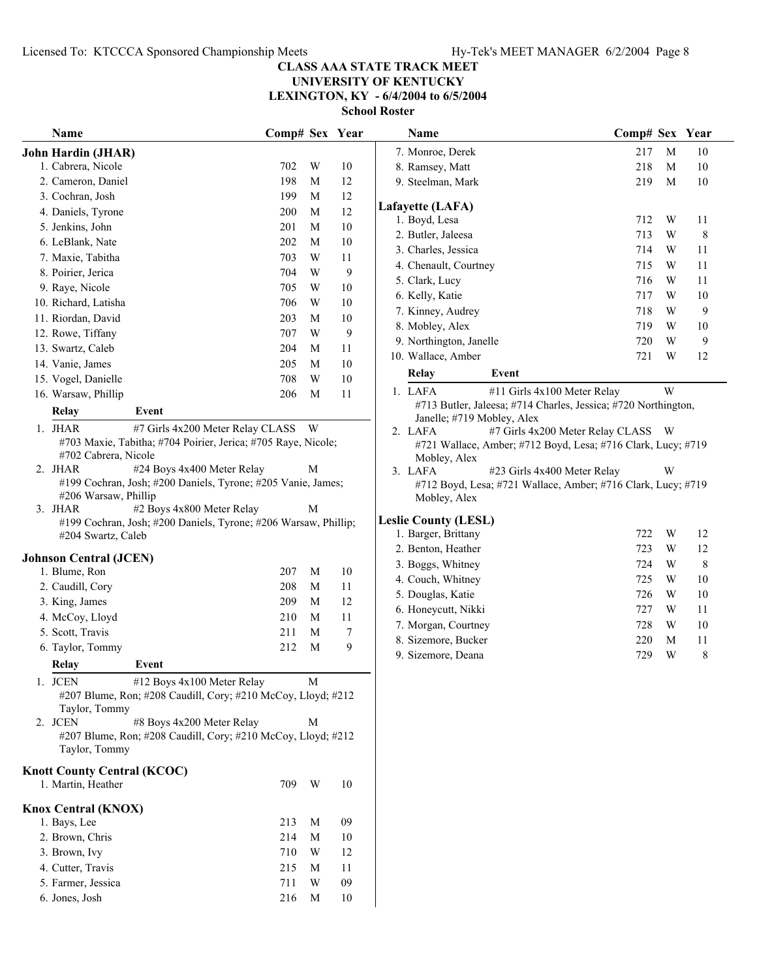**LEXINGTON, KY - 6/4/2004 to 6/5/2004**

| <b>Name</b>                                                                           | Comp# Sex Year |   |                  | Name                                                                         | Comp# Sex Year |   |        |
|---------------------------------------------------------------------------------------|----------------|---|------------------|------------------------------------------------------------------------------|----------------|---|--------|
| John Hardin (JHAR)                                                                    |                |   |                  | 7. Monroe, Derek                                                             | 217            | M | 10     |
| 1. Cabrera, Nicole                                                                    | 702            | W | 10               | 8. Ramsey, Matt                                                              | 218            | M | 10     |
| 2. Cameron, Daniel                                                                    | 198            | M | 12               | 9. Steelman, Mark                                                            | 219            | M | $10\,$ |
| 3. Cochran, Josh                                                                      | 199            | M | 12               |                                                                              |                |   |        |
| 4. Daniels, Tyrone                                                                    | 200            | M | 12               | Lafayette (LAFA)                                                             |                |   |        |
| 5. Jenkins, John                                                                      | 201            | M | 10               | 1. Boyd, Lesa                                                                | 712            | W | 11     |
| 6. LeBlank, Nate                                                                      | 202            | M | 10               | 2. Butler, Jaleesa                                                           | 713            | W | 8      |
| 7. Maxie, Tabitha                                                                     | 703            | W | 11               | 3. Charles, Jessica                                                          | 714            | W | 11     |
| 8. Poirier, Jerica                                                                    | 704            | W | 9                | 4. Chenault, Courtney                                                        | 715            | W | 11     |
| 9. Raye, Nicole                                                                       | 705            | W | 10               | 5. Clark, Lucy                                                               | 716            | W | 11     |
| 10. Richard, Latisha                                                                  | 706            | W | 10               | 6. Kelly, Katie                                                              | 717            | W | 10     |
| 11. Riordan, David                                                                    | 203            | M | 10               | 7. Kinney, Audrey                                                            | 718            | W | 9      |
| 12. Rowe, Tiffany                                                                     | 707            | W | 9                | 8. Mobley, Alex                                                              | 719            | W | 10     |
| 13. Swartz, Caleb                                                                     | 204            | M | 11               | 9. Northington, Janelle                                                      | 720            | W | 9      |
| 14. Vanie, James                                                                      | 205            | M | $10\,$           | 10. Wallace, Amber                                                           | 721            | W | 12     |
| 15. Vogel, Danielle                                                                   | 708            | W | 10               | Relay<br>Event                                                               |                |   |        |
| 16. Warsaw, Phillip                                                                   | 206            | M | 11               | 1. LAFA<br>#11 Girls 4x100 Meter Relay                                       |                | W |        |
| Relay<br>Event                                                                        |                |   |                  | #713 Butler, Jaleesa; #714 Charles, Jessica; #720 Northington,               |                |   |        |
| #7 Girls 4x200 Meter Relay CLASS<br>1. JHAR                                           |                | W |                  | Janelle; #719 Mobley, Alex                                                   |                |   |        |
| #703 Maxie, Tabitha; #704 Poirier, Jerica; #705 Raye, Nicole;                         |                |   |                  | #7 Girls 4x200 Meter Relay CLASS W<br>2. LAFA                                |                |   |        |
| #702 Cabrera, Nicole                                                                  |                |   |                  | #721 Wallace, Amber; #712 Boyd, Lesa; #716 Clark, Lucy; #719<br>Mobley, Alex |                |   |        |
| #24 Boys 4x400 Meter Relay<br>2. JHAR                                                 |                | М |                  | 3. LAFA<br>#23 Girls 4x400 Meter Relay                                       |                | W |        |
| #199 Cochran, Josh; #200 Daniels, Tyrone; #205 Vanie, James;                          |                |   |                  | #712 Boyd, Lesa; #721 Wallace, Amber; #716 Clark, Lucy; #719                 |                |   |        |
| #206 Warsaw, Phillip                                                                  |                |   |                  | Mobley, Alex                                                                 |                |   |        |
| 3. JHAR<br>#2 Boys 4x800 Meter Relay                                                  |                | M |                  | <b>Leslie County (LESL)</b>                                                  |                |   |        |
| #199 Cochran, Josh; #200 Daniels, Tyrone; #206 Warsaw, Phillip;<br>#204 Swartz, Caleb |                |   |                  | 1. Barger, Brittany                                                          | 722            | W | 12     |
|                                                                                       |                |   |                  | 2. Benton, Heather                                                           | 723            | W | 12     |
| <b>Johnson Central (JCEN)</b>                                                         |                |   |                  | 3. Boggs, Whitney                                                            | 724            | W | 8      |
| 1. Blume, Ron                                                                         | 207            | M | 10               | 4. Couch, Whitney                                                            | 725            | W | 10     |
| 2. Caudill, Cory                                                                      | 208            | M | 11               | 5. Douglas, Katie                                                            | 726            | W | $10\,$ |
| 3. King, James                                                                        | 209            | M | 12               | 6. Honeycutt, Nikki                                                          | 727            | W | 11     |
| 4. McCoy, Lloyd                                                                       | 210            | M | 11               | 7. Morgan, Courtney                                                          | 728            | W | 10     |
| 5. Scott, Travis                                                                      | 211            | M | $\boldsymbol{7}$ | 8. Sizemore, Bucker                                                          | 220            | M | 11     |
| 6. Taylor, Tommy                                                                      | 212            | M | 9                | 9. Sizemore, Deana                                                           | 729            | W | 8      |
| Relay<br>Event                                                                        |                |   |                  |                                                                              |                |   |        |
| 1. JCEN<br>#12 Boys 4x100 Meter Relay                                                 |                | M |                  |                                                                              |                |   |        |
| #207 Blume, Ron; #208 Caudill, Cory; #210 McCoy, Lloyd; #212                          |                |   |                  |                                                                              |                |   |        |
| Taylor, Tommy                                                                         |                |   |                  |                                                                              |                |   |        |
| 2. JCEN<br>#8 Boys 4x200 Meter Relay                                                  |                | M |                  |                                                                              |                |   |        |
| #207 Blume, Ron; #208 Caudill, Cory; #210 McCoy, Lloyd; #212                          |                |   |                  |                                                                              |                |   |        |
| Taylor, Tommy                                                                         |                |   |                  |                                                                              |                |   |        |
| <b>Knott County Central (KCOC)</b>                                                    |                |   |                  |                                                                              |                |   |        |
| 1. Martin, Heather                                                                    | 709            | W | 10               |                                                                              |                |   |        |
| <b>Knox Central (KNOX)</b>                                                            |                |   |                  |                                                                              |                |   |        |
| 1. Bays, Lee                                                                          | 213            | M | 09               |                                                                              |                |   |        |
| 2. Brown, Chris                                                                       | 214            | M | 10               |                                                                              |                |   |        |
| 3. Brown, Ivy                                                                         | 710            | W | 12               |                                                                              |                |   |        |
| 4. Cutter, Travis                                                                     | 215            | M | 11               |                                                                              |                |   |        |
| 5. Farmer, Jessica                                                                    | 711            | W | 09               |                                                                              |                |   |        |
| 6. Jones, Josh                                                                        | 216            | M | 10               |                                                                              |                |   |        |
|                                                                                       |                |   |                  |                                                                              |                |   |        |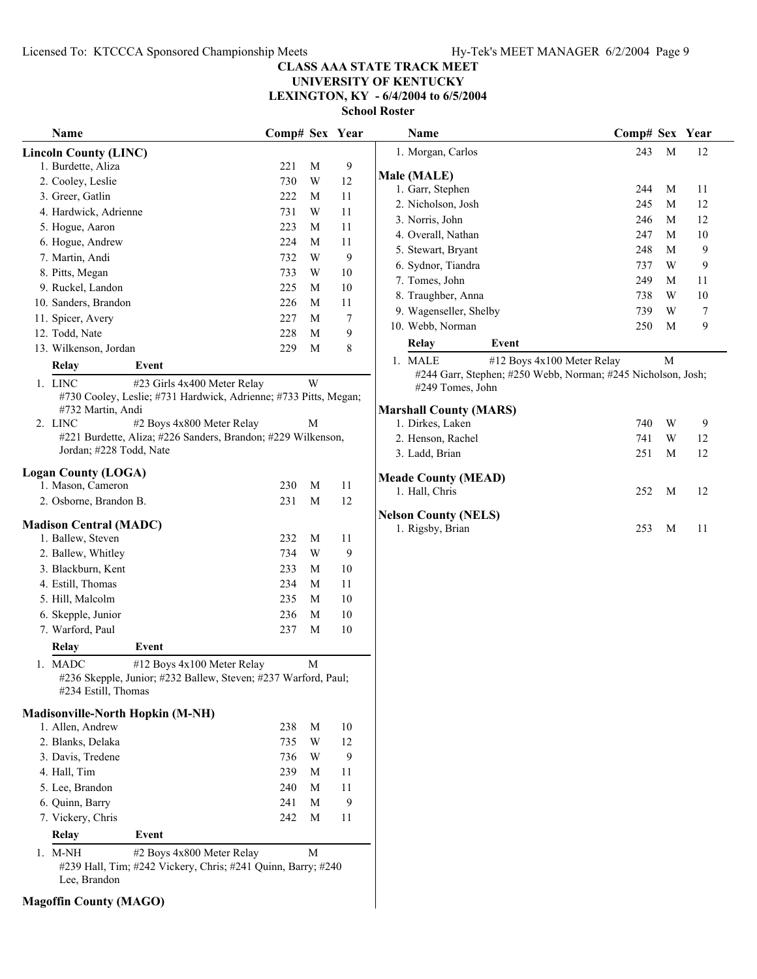#### **CLASS AAA STATE TRACK MEET UNIVERSITY OF KENTUCKY LEXINGTON, KY - 6/4/2004 to 6/5/2004**

**School Roster**

| Name                                 | Comp# Sex Year                                                                               |   |                | Name                                                                             | Comp# Sex Year |        |                  |
|--------------------------------------|----------------------------------------------------------------------------------------------|---|----------------|----------------------------------------------------------------------------------|----------------|--------|------------------|
| <b>Lincoln County (LINC)</b>         |                                                                                              |   |                | 1. Morgan, Carlos                                                                | 243            | M      | 12               |
| 1. Burdette, Aliza                   | 221                                                                                          | M | 9              |                                                                                  |                |        |                  |
| 2. Cooley, Leslie                    | 730                                                                                          | W | 12             | Male (MALE)                                                                      |                |        |                  |
| 3. Greer, Gatlin                     | 222                                                                                          | M | 11             | 1. Garr, Stephen                                                                 | 244            | M      | 11               |
| 4. Hardwick, Adrienne                | 731                                                                                          | W | 11             | 2. Nicholson, Josh                                                               | 245            | M      | 12               |
| 5. Hogue, Aaron                      | 223                                                                                          | M | 11             | 3. Norris, John                                                                  | 246            | M      | 12               |
| 6. Hogue, Andrew                     | 224                                                                                          | M | 11             | 4. Overall, Nathan                                                               | 247            | M      | 10               |
| 7. Martin, Andi                      | 732                                                                                          | W | 9              | 5. Stewart, Bryant                                                               | 248            | M      | 9                |
| 8. Pitts, Megan                      | 733                                                                                          | W | 10             | 6. Sydnor, Tiandra                                                               | 737            | W      | 9                |
| 9. Ruckel, Landon                    | 225                                                                                          | M | 10             | 7. Tomes, John                                                                   | 249            | M      | 11               |
| 10. Sanders, Brandon                 | 226                                                                                          | M | 11             | 8. Traughber, Anna                                                               | 738            | W      | 10               |
| 11. Spicer, Avery                    | 227                                                                                          | M | $\overline{7}$ | 9. Wagenseller, Shelby                                                           | 739            | W      | $\boldsymbol{7}$ |
| 12. Todd, Nate                       | 228                                                                                          | M | 9              | 10. Webb, Norman                                                                 | 250            | M      | 9                |
| 13. Wilkenson, Jordan                | 229                                                                                          | M | 8              | Relay<br>Event                                                                   |                |        |                  |
| Relay<br>Event                       |                                                                                              |   |                | 1. MALE<br>#12 Boys 4x100 Meter Relay                                            |                | M      |                  |
| 1. LINC                              | #23 Girls 4x400 Meter Relay                                                                  | W |                | #244 Garr, Stephen; #250 Webb, Norman; #245 Nicholson, Josh;<br>#249 Tomes, John |                |        |                  |
|                                      | #730 Cooley, Leslie; #731 Hardwick, Adrienne; #733 Pitts, Megan;                             |   |                |                                                                                  |                |        |                  |
| #732 Martin, Andi<br>2. LINC         |                                                                                              |   |                | <b>Marshall County (MARS)</b>                                                    |                |        |                  |
|                                      | #2 Boys 4x800 Meter Relay<br>#221 Burdette, Aliza; #226 Sanders, Brandon; #229 Wilkenson,    | M |                | 1. Dirkes, Laken                                                                 | 740            | W      | 9                |
| Jordan; #228 Todd, Nate              |                                                                                              |   |                | 2. Henson, Rachel<br>3. Ladd, Brian                                              | 741<br>251     | W<br>M | 12<br>12         |
| <b>Logan County (LOGA)</b>           |                                                                                              |   |                | <b>Meade County (MEAD)</b>                                                       |                |        |                  |
| 1. Mason, Cameron                    | 230                                                                                          | M | 11             | 1. Hall, Chris                                                                   | 252            | M      | 12               |
| 2. Osborne, Brandon B.               | 231                                                                                          | M | 12             |                                                                                  |                |        |                  |
| <b>Madison Central (MADC)</b>        |                                                                                              |   |                | <b>Nelson County (NELS)</b>                                                      |                |        |                  |
| 1. Ballew, Steven                    | 232                                                                                          | M | 11             | 1. Rigsby, Brian                                                                 | 253            | M      | 11               |
| 2. Ballew, Whitley                   | 734                                                                                          | W | 9              |                                                                                  |                |        |                  |
| 3. Blackburn, Kent                   | 233                                                                                          | M | 10             |                                                                                  |                |        |                  |
| 4. Estill, Thomas                    | 234                                                                                          | M | 11             |                                                                                  |                |        |                  |
| 5. Hill, Malcolm                     | 235                                                                                          | M | 10             |                                                                                  |                |        |                  |
| 6. Skepple, Junior                   | 236                                                                                          | M | 10             |                                                                                  |                |        |                  |
| 7. Warford, Paul                     | 237                                                                                          | M | 10             |                                                                                  |                |        |                  |
| Event                                |                                                                                              |   |                |                                                                                  |                |        |                  |
| Relay                                |                                                                                              |   |                |                                                                                  |                |        |                  |
| 1. MADC<br>#234 Estill, Thomas       | #12 Boys 4x100 Meter Relay<br>#236 Skepple, Junior; #232 Ballew, Steven; #237 Warford, Paul; | M |                |                                                                                  |                |        |                  |
| Madisonville-North Hopkin (M-NH)     |                                                                                              |   |                |                                                                                  |                |        |                  |
| 1. Allen, Andrew                     | 238                                                                                          | M | 10             |                                                                                  |                |        |                  |
| 2. Blanks, Delaka                    | 735                                                                                          | W | 12             |                                                                                  |                |        |                  |
| 3. Davis, Tredene                    | 736                                                                                          | W | 9              |                                                                                  |                |        |                  |
| 4. Hall, Tim                         | 239                                                                                          | M | 11             |                                                                                  |                |        |                  |
| 5. Lee, Brandon                      | 240                                                                                          | M | 11             |                                                                                  |                |        |                  |
|                                      | 241                                                                                          | M |                |                                                                                  |                |        |                  |
| 6. Quinn, Barry<br>7. Vickery, Chris |                                                                                              |   | 9              |                                                                                  |                |        |                  |
|                                      | 242                                                                                          | M | 11             |                                                                                  |                |        |                  |
| Relay<br>Event                       |                                                                                              |   |                |                                                                                  |                |        |                  |
| 1. M-NH                              | #2 Boys 4x800 Meter Relay<br>#239 Hall, Tim; #242 Vickery, Chris; #241 Quinn, Barry; #240    | M |                |                                                                                  |                |        |                  |
| Lee, Brandon                         |                                                                                              |   |                |                                                                                  |                |        |                  |

**Magoffin County (MAGO)**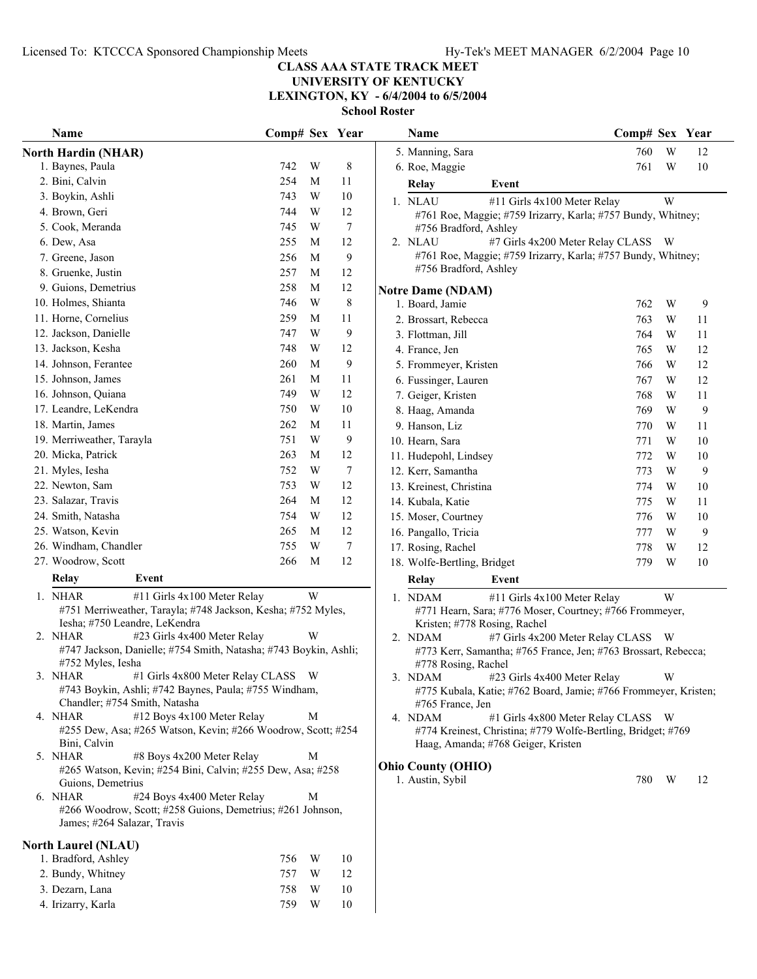**UNIVERSITY OF KENTUCKY LEXINGTON, KY - 6/4/2004 to 6/5/2004**

| Name                                                                                                                         | Comp# Sex Year |   |        |                                                                | Name                                    |                                                                                                    |     |   | Comp# Sex Year |
|------------------------------------------------------------------------------------------------------------------------------|----------------|---|--------|----------------------------------------------------------------|-----------------------------------------|----------------------------------------------------------------------------------------------------|-----|---|----------------|
| <b>North Hardin (NHAR)</b>                                                                                                   |                |   |        |                                                                | 5. Manning, Sara                        |                                                                                                    | 760 | W | 12             |
| 1. Baynes, Paula                                                                                                             | 742            | W | 8      |                                                                | 6. Roe, Maggie                          |                                                                                                    | 761 | W | 10             |
| 2. Bini, Calvin                                                                                                              | 254            | M | 11     |                                                                | Relay                                   | Event                                                                                              |     |   |                |
| 3. Boykin, Ashli                                                                                                             | 743            | W | 10     |                                                                | 1. NLAU                                 | #11 Girls 4x100 Meter Relay                                                                        |     | W |                |
| 4. Brown, Geri                                                                                                               | 744            | W | 12     |                                                                |                                         | #761 Roe, Maggie; #759 Irizarry, Karla; #757 Bundy, Whitney;                                       |     |   |                |
| 5. Cook, Meranda                                                                                                             | 745            | W | $\tau$ |                                                                | #756 Bradford, Ashley                   |                                                                                                    |     |   |                |
| 6. Dew, Asa                                                                                                                  | 255            | M | 12     |                                                                | 2. NLAU                                 | #7 Girls 4x200 Meter Relay CLASS W                                                                 |     |   |                |
| 7. Greene, Jason                                                                                                             | 256            | M | 9      |                                                                |                                         | #761 Roe, Maggie; #759 Irizarry, Karla; #757 Bundy, Whitney;                                       |     |   |                |
| 8. Gruenke, Justin                                                                                                           | 257            | M | 12     |                                                                | #756 Bradford, Ashley                   |                                                                                                    |     |   |                |
| 9. Guions, Demetrius                                                                                                         | 258            | M | 12     |                                                                | <b>Notre Dame (NDAM)</b>                |                                                                                                    |     |   |                |
| 10. Holmes, Shianta                                                                                                          | 746            | W | 8      |                                                                | 1. Board, Jamie                         |                                                                                                    | 762 | W | 9              |
| 11. Horne, Cornelius                                                                                                         | 259            | M | 11     |                                                                | 2. Brossart, Rebecca                    |                                                                                                    | 763 | W | 11             |
| 12. Jackson, Danielle                                                                                                        | 747            | W | 9      |                                                                | 3. Flottman, Jill                       |                                                                                                    | 764 | W | 11             |
| 13. Jackson, Kesha                                                                                                           | 748            | W | 12     |                                                                | 4. France, Jen                          |                                                                                                    | 765 | W | 12             |
| 14. Johnson, Ferantee                                                                                                        | 260            | M | 9      |                                                                | 5. Frommeyer, Kristen                   |                                                                                                    | 766 | W | 12             |
| 15. Johnson, James                                                                                                           | 261            | M | 11     |                                                                | 6. Fussinger, Lauren                    |                                                                                                    | 767 | W | 12             |
| 16. Johnson, Quiana                                                                                                          | 749            | W | 12     |                                                                | 7. Geiger, Kristen                      |                                                                                                    | 768 | W | 11             |
| 17. Leandre, LeKendra                                                                                                        | 750            | W | 10     |                                                                | 8. Haag, Amanda                         |                                                                                                    | 769 | W | 9              |
| 18. Martin, James                                                                                                            | 262            | M | 11     |                                                                | 9. Hanson, Liz                          |                                                                                                    | 770 | W | 11             |
| 19. Merriweather, Tarayla                                                                                                    | 751            | W | 9      |                                                                | 10. Hearn, Sara                         |                                                                                                    | 771 | W | 10             |
| 20. Micka, Patrick                                                                                                           | 263            | M | 12     |                                                                | 11. Hudepohl, Lindsey                   |                                                                                                    | 772 | W | 10             |
| 21. Myles, Iesha                                                                                                             | 752            | W | 7      |                                                                | 12. Kerr, Samantha                      |                                                                                                    | 773 | W | 9              |
| 22. Newton, Sam                                                                                                              | 753            | W | 12     |                                                                | 13. Kreinest, Christina                 |                                                                                                    | 774 | W | 10             |
| 23. Salazar, Travis                                                                                                          | 264            | M | 12     |                                                                | 14. Kubala, Katie                       |                                                                                                    | 775 | W | 11             |
| 24. Smith, Natasha                                                                                                           | 754            | W | 12     |                                                                | 15. Moser, Courtney                     |                                                                                                    | 776 | W | 10             |
| 25. Watson, Kevin                                                                                                            | 265            | M | 12     |                                                                | 16. Pangallo, Tricia                    |                                                                                                    | 777 | W | 9              |
| 26. Windham, Chandler                                                                                                        | 755            | W | 7      |                                                                | 17. Rosing, Rachel                      |                                                                                                    | 778 | W | 12             |
| 27. Woodrow, Scott                                                                                                           | 266            | M | 12     |                                                                | 18. Wolfe-Bertling, Bridget             |                                                                                                    | 779 | W | 10             |
| Relay<br>Event                                                                                                               |                |   |        |                                                                | Relay                                   | Event                                                                                              |     |   |                |
| 1. NHAR                                                                                                                      |                | W |        |                                                                |                                         |                                                                                                    |     |   |                |
| #11 Girls 4x100 Meter Relay<br>#751 Merriweather, Tarayla; #748 Jackson, Kesha; #752 Myles,<br>Iesha; #750 Leandre, LeKendra |                |   |        |                                                                | 1. NDAM                                 | #11 Girls 4x100 Meter Relay<br>#771 Hearn, Sara; #776 Moser, Courtney; #766 Frommeyer,             |     | W |                |
| 2. NHAR<br>#23 Girls 4x400 Meter Relay                                                                                       |                | W |        |                                                                | Kristen; #778 Rosing, Rachel<br>2. NDAM | #7 Girls 4x200 Meter Relay CLASS                                                                   |     | W |                |
| #747 Jackson, Danielle; #754 Smith, Natasha; #743 Boykin, Ashli;                                                             |                |   |        | #773 Kerr, Samantha; #765 France, Jen; #763 Brossart, Rebecca; |                                         |                                                                                                    |     |   |                |
| #752 Myles, Iesha                                                                                                            |                |   |        |                                                                | #778 Rosing, Rachel                     |                                                                                                    |     |   |                |
| 3. NHAR #1 Girls 4x800 Meter Relay CLASS W                                                                                   |                |   |        |                                                                | 3. NDAM                                 | #23 Girls 4x400 Meter Relay                                                                        |     | W |                |
| #743 Boykin, Ashli; #742 Baynes, Paula; #755 Windham,                                                                        |                |   |        |                                                                |                                         | #775 Kubala, Katie; #762 Board, Jamie; #766 Frommeyer, Kristen;                                    |     |   |                |
| Chandler; #754 Smith, Natasha                                                                                                |                |   |        |                                                                | #765 France, Jen                        |                                                                                                    |     |   |                |
| #12 Boys 4x100 Meter Relay<br>4. NHAR<br>#255 Dew, Asa; #265 Watson, Kevin; #266 Woodrow, Scott; #254                        |                | М |        |                                                                | 4. NDAM                                 | #1 Girls 4x800 Meter Relay CLASS W<br>#774 Kreinest, Christina; #779 Wolfe-Bertling, Bridget; #769 |     |   |                |
| Bini, Calvin                                                                                                                 |                |   |        |                                                                |                                         | Haag, Amanda; #768 Geiger, Kristen                                                                 |     |   |                |
| #8 Boys 4x200 Meter Relay<br>5. NHAR                                                                                         |                | М |        |                                                                |                                         |                                                                                                    |     |   |                |
| #265 Watson, Kevin; #254 Bini, Calvin; #255 Dew, Asa; #258                                                                   |                |   |        |                                                                | <b>Ohio County (OHIO)</b>               |                                                                                                    |     |   |                |
| Guions, Demetrius                                                                                                            |                |   |        |                                                                | 1. Austin, Sybil                        |                                                                                                    | 780 | W | 12             |
| #24 Boys 4x400 Meter Relay<br>6. NHAR                                                                                        |                | М |        |                                                                |                                         |                                                                                                    |     |   |                |
| #266 Woodrow, Scott; #258 Guions, Demetrius; #261 Johnson,<br>James; #264 Salazar, Travis                                    |                |   |        |                                                                |                                         |                                                                                                    |     |   |                |
| <b>North Laurel (NLAU)</b>                                                                                                   |                |   |        |                                                                |                                         |                                                                                                    |     |   |                |
| 1. Bradford, Ashley                                                                                                          | 756            | W | 10     |                                                                |                                         |                                                                                                    |     |   |                |
| 2. Bundy, Whitney                                                                                                            | 757            | W | 12     |                                                                |                                         |                                                                                                    |     |   |                |
| 3. Dezarn, Lana                                                                                                              | 758            | W | 10     |                                                                |                                         |                                                                                                    |     |   |                |
| 4. Irizarry, Karla                                                                                                           | 759            | W | 10     |                                                                |                                         |                                                                                                    |     |   |                |
|                                                                                                                              |                |   |        |                                                                |                                         |                                                                                                    |     |   |                |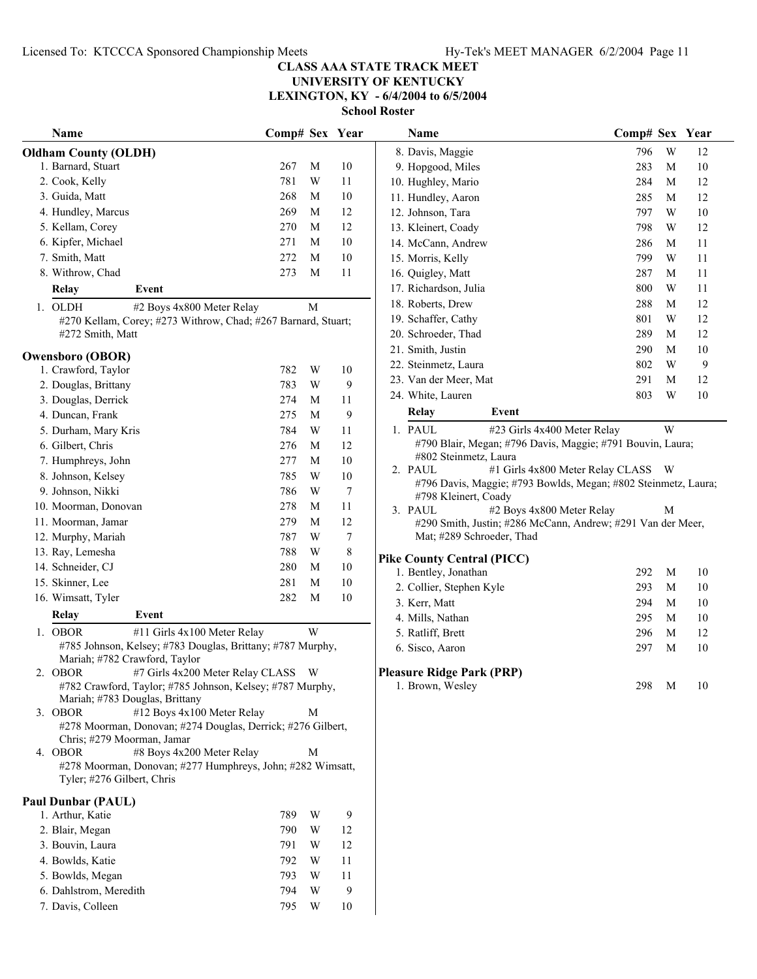#### **CLASS AAA STATE TRACK MEET UNIVERSITY OF KENTUCKY LEXINGTON, KY - 6/4/2004 to 6/5/2004**

**School Roster**

| Name                                                                                        | Comp# Sex Year |             |                  | <b>Name</b>                                                   | Comp# Sex Year                          |        |
|---------------------------------------------------------------------------------------------|----------------|-------------|------------------|---------------------------------------------------------------|-----------------------------------------|--------|
| <b>Oldham County (OLDH)</b>                                                                 |                |             |                  | 8. Davis, Maggie                                              | W<br>796                                | 12     |
| 1. Barnard, Stuart                                                                          | 267            | M           | 10               | 9. Hopgood, Miles                                             | 283<br>M                                | 10     |
| 2. Cook, Kelly                                                                              | 781            | W           | 11               | 10. Hughley, Mario                                            | 284<br>М                                | 12     |
| 3. Guida, Matt                                                                              | 268            | M           | 10               | 11. Hundley, Aaron                                            | 285<br>M                                | 12     |
| 4. Hundley, Marcus                                                                          | 269            | M           | 12               | 12. Johnson, Tara                                             | 797<br>W                                | $10\,$ |
| 5. Kellam, Corey                                                                            | 270            | M           | 12               | 13. Kleinert, Coady                                           | 798<br>W                                | 12     |
| 6. Kipfer, Michael                                                                          | 271            | M           | 10               | 14. McCann, Andrew                                            | 286<br>M                                | 11     |
| 7. Smith, Matt                                                                              | 272            | M           | 10               | 15. Morris, Kelly                                             | 799<br>W                                | 11     |
| 8. Withrow, Chad                                                                            | 273            | M           | 11               | 16. Quigley, Matt                                             | 287<br>M                                | 11     |
| Relay<br>Event                                                                              |                |             |                  | 17. Richardson, Julia                                         | 800<br>W                                | 11     |
| 1. OLDH<br>#2 Boys 4x800 Meter Relay                                                        |                | $\mathbf M$ |                  | 18. Roberts, Drew                                             | 288<br>M                                | 12     |
| #270 Kellam, Corey; #273 Withrow, Chad; #267 Barnard, Stuart;                               |                |             |                  | 19. Schaffer, Cathy                                           | W<br>801                                | 12     |
| #272 Smith, Matt                                                                            |                |             |                  | 20. Schroeder, Thad                                           | 289<br>М                                | 12     |
|                                                                                             |                |             |                  | 21. Smith, Justin                                             | 290<br>M                                | 10     |
| <b>Owensboro (OBOR)</b><br>1. Crawford, Taylor                                              | 782            | W           | 10               | 22. Steinmetz, Laura                                          | W<br>802                                | 9      |
| 2. Douglas, Brittany                                                                        | 783            | W           | 9                | 23. Van der Meer, Mat                                         | 291<br>M                                | 12     |
|                                                                                             |                |             |                  | 24. White, Lauren                                             | 803<br>W                                | $10\,$ |
| 3. Douglas, Derrick                                                                         | 274            | M           | 11               | Relay<br>Event                                                |                                         |        |
| 4. Duncan, Frank                                                                            | 275            | M           | $\mathbf{9}$     | 1. PAUL<br>#23 Girls 4x400 Meter Relay                        | W                                       |        |
| 5. Durham, Mary Kris                                                                        | 784            | W           | 11               | #790 Blair, Megan; #796 Davis, Maggie; #791 Bouvin, Laura;    |                                         |        |
| 6. Gilbert, Chris                                                                           | 276            | M           | 12               | #802 Steinmetz, Laura                                         |                                         |        |
| 7. Humphreys, John                                                                          | 277            | $\mathbf M$ | 10               | 2. PAUL                                                       | #1 Girls 4x800 Meter Relay CLASS<br>- W |        |
| 8. Johnson, Kelsey                                                                          | 785            | W           | 10               | #796 Davis, Maggie; #793 Bowlds, Megan; #802 Steinmetz, Laura |                                         |        |
| 9. Johnson, Nikki                                                                           | 786            | W           | $\boldsymbol{7}$ | #798 Kleinert, Coady                                          |                                         |        |
| 10. Moorman, Donovan                                                                        | 278            | M           | 11               | 3. PAUL<br>#2 Boys 4x800 Meter Relay                          | М                                       |        |
| 11. Moorman, Jamar                                                                          | 279            | M           | 12               | #290 Smith, Justin; #286 McCann, Andrew; #291 Van der Meer,   |                                         |        |
| 12. Murphy, Mariah                                                                          | 787            | W           | $\boldsymbol{7}$ | Mat; #289 Schroeder, Thad                                     |                                         |        |
| 13. Ray, Lemesha                                                                            | 788            | W           | $\,$ 8 $\,$      | <b>Pike County Central (PICC)</b>                             |                                         |        |
| 14. Schneider, CJ                                                                           | 280            | M           | 10               | 1. Bentley, Jonathan                                          | 292<br>M                                | 10     |
| 15. Skinner, Lee                                                                            | 281            | M           | 10               | 2. Collier, Stephen Kyle                                      | 293<br>M                                | 10     |
| 16. Wimsatt, Tyler                                                                          | 282            | M           | 10               | 3. Kerr, Matt                                                 | 294<br>M                                | 10     |
| Relay<br>Event                                                                              |                |             |                  | 4. Mills, Nathan                                              | 295<br>M                                | 10     |
| 1. OBOR<br>#11 Girls 4x100 Meter Relay                                                      |                | W           |                  | 5. Ratliff, Brett                                             | 296<br>M                                | 12     |
| #785 Johnson, Kelsey; #783 Douglas, Brittany; #787 Murphy,<br>Mariah; #782 Crawford, Taylor |                |             |                  | 6. Sisco, Aaron                                               | M<br>297                                | 10     |
| 2. OBOR<br>#7 Girls 4x200 Meter Relay CLASS W                                               |                |             |                  | <b>Pleasure Ridge Park (PRP)</b>                              |                                         |        |
| #782 Crawford, Taylor; #785 Johnson, Kelsey; #787 Murphy,                                   |                |             |                  | 1. Brown, Wesley                                              | 298<br>M                                | 10     |
| Mariah; #783 Douglas, Brittany                                                              |                |             |                  |                                                               |                                         |        |
| #12 Boys 4x100 Meter Relay<br>3. OBOR                                                       |                | M           |                  |                                                               |                                         |        |
| #278 Moorman, Donovan; #274 Douglas, Derrick; #276 Gilbert,<br>Chris; #279 Moorman, Jamar   |                |             |                  |                                                               |                                         |        |
| 4. OBOR<br>#8 Boys 4x200 Meter Relay                                                        |                | M           |                  |                                                               |                                         |        |
| #278 Moorman, Donovan; #277 Humphreys, John; #282 Wimsatt,<br>Tyler; #276 Gilbert, Chris    |                |             |                  |                                                               |                                         |        |
| Paul Dunbar (PAUL)                                                                          |                |             |                  |                                                               |                                         |        |
| 1. Arthur, Katie                                                                            | 789            | W           | 9                |                                                               |                                         |        |
| 2. Blair, Megan                                                                             | 790            | W           | 12               |                                                               |                                         |        |
| 3. Bouvin, Laura                                                                            | 791            | W           | 12               |                                                               |                                         |        |
| 4. Bowlds, Katie                                                                            | 792            | W           | 11               |                                                               |                                         |        |
| 5. Bowlds, Megan                                                                            | 793            | W           | 11               |                                                               |                                         |        |
| 6. Dahlstrom, Meredith                                                                      | 794            | W           | 9                |                                                               |                                         |        |
| 7. Davis, Colleen                                                                           | 795            | W           | 10               |                                                               |                                         |        |
|                                                                                             |                |             |                  |                                                               |                                         |        |

| Name                  |       |     |   | Comp# Sex Year |  |
|-----------------------|-------|-----|---|----------------|--|
| 8. Davis, Maggie      |       | 796 | W | 12             |  |
| 9. Hopgood, Miles     |       | 283 | М | 10             |  |
| 10. Hughley, Mario    |       | 284 | M | 12             |  |
| 11. Hundley, Aaron    |       | 285 | М | 12             |  |
| 12. Johnson, Tara     |       | 797 | W | 10             |  |
| 13. Kleinert, Coady   |       | 798 | W | 12             |  |
| 14. McCann, Andrew    |       | 286 | М | 11             |  |
| 15. Morris, Kelly     |       | 799 | W | 11             |  |
| 16. Quigley, Matt     |       | 287 | М | 11             |  |
| 17. Richardson, Julia |       | 800 | W | 11             |  |
| 18. Roberts, Drew     |       | 288 | M | 12             |  |
| 19. Schaffer, Cathy   |       | 801 | W | 12             |  |
| 20. Schroeder, Thad   |       | 289 | M | 12             |  |
| 21. Smith, Justin     |       | 290 | M | 10             |  |
| 22. Steinmetz, Laura  |       | 802 | W | 9              |  |
| 23. Van der Meer, Mat |       | 291 | M | 12             |  |
| 24. White, Lauren     |       | 803 | W | 10             |  |
| Relay                 | Event |     |   |                |  |

| 1. PAUL | #23 Girls 4x400 Meter Relay                                | W |
|---------|------------------------------------------------------------|---|
|         | #790 Blair, Megan; #796 Davis, Maggie; #791 Bouvin, Laura; |   |
|         | #802 Steinmetz, Laura                                      |   |

- 2. PAUL #1 Girls 4x800 Meter Relay CLASS W #796 Davis, Maggie; #793 Bowlds, Megan; #802 Steinmetz, Laura; #798 Kleinert, Coady
- 3. PAUL #2 Boys 4x800 Meter Relay M #290 Smith, Justin; #286 McCann, Andrew; #291 Van der Meer, Mat; #289 Schroeder, Thad

### **Pike County Central (PICC)**

| 1. Bentley, Jonathan     | 292 | M | -10 |
|--------------------------|-----|---|-----|
| 2. Collier, Stephen Kyle | 293 | M | 10  |
| 3. Kerr, Matt            | 294 | M | 10  |
| 4. Mills, Nathan         | 295 | M | 10  |
| 5. Ratliff, Brett        | 296 | M | 12  |
| 6. Sisco, Aaron          | 297 | M | 10  |
|                          |     |   |     |

### **Pleasure Ridge Park (PRP)**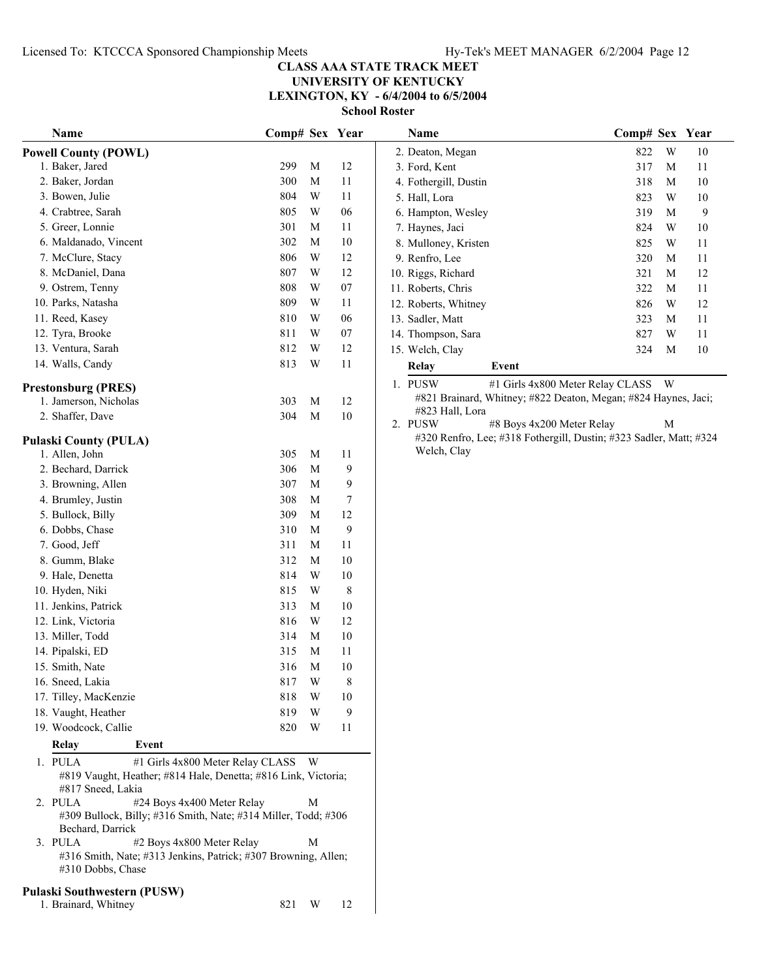**LEXINGTON, KY - 6/4/2004 to 6/5/2004**

**School Roster**

| Name                                                                                                                        | Comp# Sex Year |                         |              | Name                                                                             | Comp# Sex Year                               |
|-----------------------------------------------------------------------------------------------------------------------------|----------------|-------------------------|--------------|----------------------------------------------------------------------------------|----------------------------------------------|
| <b>Powell County (POWL)</b>                                                                                                 |                |                         |              | 2. Deaton, Megan                                                                 | W<br>822<br>10                               |
| 1. Baker, Jared                                                                                                             | 299            | M                       | 12           | 3. Ford, Kent                                                                    | 317<br>M<br>11                               |
| 2. Baker, Jordan                                                                                                            | 300            | M                       | 11           | 4. Fothergill, Dustin                                                            | 318<br>10<br>M                               |
| 3. Bowen, Julie                                                                                                             | 804            | $\ensuremath{\text{W}}$ | 11           | 5. Hall, Lora                                                                    | W<br>10<br>823                               |
| 4. Crabtree, Sarah                                                                                                          | 805            | $\ensuremath{\text{W}}$ | 06           | 6. Hampton, Wesley                                                               | $\boldsymbol{9}$<br>319<br>M                 |
| 5. Greer, Lonnie                                                                                                            | 301            | M                       | 11           | 7. Haynes, Jaci                                                                  | 824<br>W<br>10                               |
| 6. Maldanado, Vincent                                                                                                       | 302            | $\mathbf M$             | $10\,$       | 8. Mulloney, Kristen                                                             | 825<br>W<br>11                               |
| 7. McClure, Stacy                                                                                                           | 806            | $\mathbf W$             | 12           | 9. Renfro, Lee                                                                   | 320<br>M<br>11                               |
| 8. McDaniel, Dana                                                                                                           | 807            | $\mathbf W$             | 12           | 10. Riggs, Richard                                                               | 12<br>321<br>M                               |
| 9. Ostrem, Tenny                                                                                                            | 808            | $\mathbf W$             | $07\,$       | 11. Roberts, Chris                                                               | 322<br>M<br>11                               |
| 10. Parks, Natasha                                                                                                          | 809            | W                       | 11           | 12. Roberts, Whitney                                                             | 826<br>W<br>12                               |
| 11. Reed, Kasey                                                                                                             | 810            | W                       | 06           | 13. Sadler, Matt                                                                 | 323<br>11<br>M                               |
| 12. Tyra, Brooke                                                                                                            | 811            | W                       | 07           | 14. Thompson, Sara                                                               | 827<br>W<br>11                               |
| 13. Ventura, Sarah                                                                                                          | 812            | W                       | 12           | 15. Welch, Clay                                                                  | 10<br>324<br>M                               |
| 14. Walls, Candy                                                                                                            | 813            | W                       | 11           | <b>Relay</b><br>Event                                                            |                                              |
| <b>Prestonsburg (PRES)</b>                                                                                                  |                |                         |              | 1. PUSW                                                                          | #1 Girls 4x800 Meter Relay CLASS<br><b>W</b> |
| 1. Jamerson, Nicholas                                                                                                       | 303            | M                       | 12           | #821 Brainard, Whitney; #822 Deaton, Megan; #824 Haynes, Jaci;                   |                                              |
| 2. Shaffer, Dave                                                                                                            | 304            | $\mathbf M$             | 10           | #823 Hall, Lora                                                                  |                                              |
|                                                                                                                             |                |                         |              | #8 Boys 4x200 Meter Relay<br>2. PUSW                                             | M                                            |
| <b>Pulaski County (PULA)</b>                                                                                                |                |                         |              | #320 Renfro, Lee; #318 Fothergill, Dustin; #323 Sadler, Matt; #32<br>Welch, Clay |                                              |
| 1. Allen, John                                                                                                              | 305            | $\mathbf M$             | 11           |                                                                                  |                                              |
| 2. Bechard, Darrick                                                                                                         | 306            | $\mathbf M$             | 9            |                                                                                  |                                              |
| 3. Browning, Allen                                                                                                          | 307            | M                       | 9            |                                                                                  |                                              |
| 4. Brumley, Justin                                                                                                          | 308            | M                       | 7<br>12      |                                                                                  |                                              |
| 5. Bullock, Billy                                                                                                           | 309            | M                       |              |                                                                                  |                                              |
| 6. Dobbs, Chase                                                                                                             | 310            | $\mathbf M$             | $\mathbf{9}$ |                                                                                  |                                              |
| 7. Good, Jeff                                                                                                               | 311            | M                       | 11           |                                                                                  |                                              |
| 8. Gumm, Blake                                                                                                              | 312            | $\mathbf M$             | $10\,$       |                                                                                  |                                              |
| 9. Hale, Denetta                                                                                                            | 814            | $\mathbf W$             | $10\,$       |                                                                                  |                                              |
| 10. Hyden, Niki                                                                                                             | 815            | $\mathbf W$             | $\,8\,$      |                                                                                  |                                              |
| 11. Jenkins, Patrick                                                                                                        | 313            | M                       | 10           |                                                                                  |                                              |
| 12. Link, Victoria                                                                                                          | 816            | $\mathbf W$             | 12           |                                                                                  |                                              |
| 13. Miller, Todd                                                                                                            | 314            | M                       | 10           |                                                                                  |                                              |
| 14. Pipalski, ED                                                                                                            | 315            | M                       | 11           |                                                                                  |                                              |
| 15. Smith, Nate                                                                                                             | 316            | M                       | $10\,$       |                                                                                  |                                              |
| 16. Sneed, Lakia                                                                                                            | 817            | W                       | 8            |                                                                                  |                                              |
| 17. Tilley, MacKenzie                                                                                                       | 818            | W                       | 10           |                                                                                  |                                              |
| 18. Vaught, Heather<br>19. Woodcock, Callie                                                                                 | 819<br>820     | W<br>W                  | 9<br>11      |                                                                                  |                                              |
| Event<br><b>Relay</b>                                                                                                       |                |                         |              |                                                                                  |                                              |
| 1. PULA<br>#1 Girls 4x800 Meter Relay CLASS                                                                                 |                | W                       |              |                                                                                  |                                              |
| #819 Vaught, Heather; #814 Hale, Denetta; #816 Link, Victoria;<br>#817 Sneed, Lakia                                         |                |                         |              |                                                                                  |                                              |
| #24 Boys 4x400 Meter Relay<br>2. PULA<br>#309 Bullock, Billy; #316 Smith, Nate; #314 Miller, Todd; #306<br>Bechard, Darrick |                | M                       |              |                                                                                  |                                              |
| 3. PULA<br>#2 Boys 4x800 Meter Relay<br>#316 Smith, Nate; #313 Jenkins, Patrick; #307 Browning, Allen;<br>#310 Dobbs, Chase |                | M                       |              |                                                                                  |                                              |
| <b>Pulaski Southwestern (PUSW)</b>                                                                                          |                |                         |              |                                                                                  |                                              |
| 1. Brainard, Whitney                                                                                                        | 821            | W                       | 12           |                                                                                  |                                              |

| Name                   |       | Comp# Sex Year                            |              |    |
|------------------------|-------|-------------------------------------------|--------------|----|
| 2. Deaton, Megan       |       | 822                                       | W            | 10 |
| 3. Ford, Kent          |       | 317                                       | М            | 11 |
| 4. Fothergill, Dustin  |       | 318                                       | М            | 10 |
| 5. Hall, Lora          |       | 823                                       | W            | 10 |
| 6. Hampton, Wesley     |       | 319                                       | М            | 9  |
| 7. Haynes, Jaci        |       | 824                                       | W            | 10 |
| 8. Mulloney, Kristen   |       | 825                                       | W            | 11 |
| 9. Renfro, Lee         |       | 320                                       | М            | 11 |
| 10. Riggs, Richard     |       | 321                                       | М            | 12 |
| 11. Roberts, Chris     |       | 322                                       | М            | 11 |
| 12. Roberts, Whitney   |       | 826                                       | W            | 12 |
| 13. Sadler, Matt       |       | 323                                       | М            | 11 |
| 14. Thompson, Sara     |       | 827                                       | W            | 11 |
| 15. Welch, Clay        |       | 324                                       | M            | 10 |
| Relay                  | Event |                                           |              |    |
| DI JOW<br>$\mathbf{1}$ |       | $\#1$ Cirls $4x900$ Motor $B_2$ lov CLASS | $\mathbf{H}$ |    |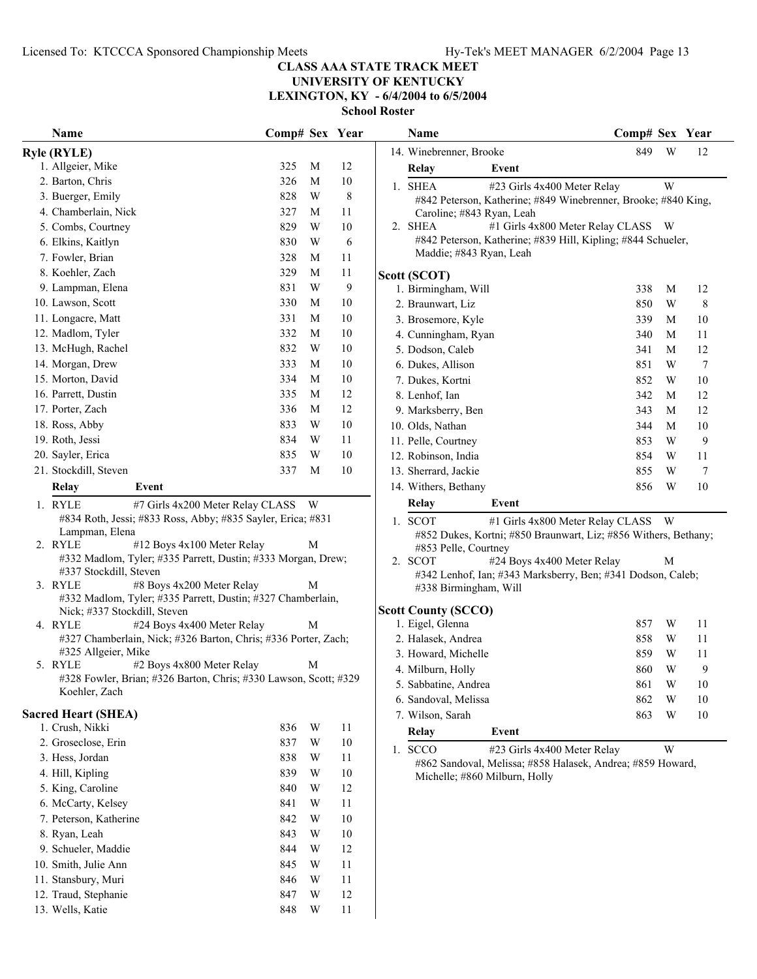**UNIVERSITY OF KENTUCKY LEXINGTON, KY - 6/4/2004 to 6/5/2004**

**School Roster**

| ƏCIIOOI KOSU |  |  |  |
|--------------|--|--|--|
|              |  |  |  |

| Name                                                                                                                                                                                                                                                     | Comp# Sex Year |   |                                                                                                                                                                                                                                                                                   |  | Name                                                           | Comp# Sex Year |   |                |
|----------------------------------------------------------------------------------------------------------------------------------------------------------------------------------------------------------------------------------------------------------|----------------|---|-----------------------------------------------------------------------------------------------------------------------------------------------------------------------------------------------------------------------------------------------------------------------------------|--|----------------------------------------------------------------|----------------|---|----------------|
| <b>Ryle (RYLE)</b>                                                                                                                                                                                                                                       |                |   |                                                                                                                                                                                                                                                                                   |  | 14. Winebrenner, Brooke                                        | 849            | W | 12             |
| 1. Allgeier, Mike                                                                                                                                                                                                                                        | 325            | M | 12                                                                                                                                                                                                                                                                                |  | Relay<br>Event                                                 |                |   |                |
| 2. Barton, Chris                                                                                                                                                                                                                                         | 326            | M | $10\,$                                                                                                                                                                                                                                                                            |  | 1. SHEA<br>#23 Girls 4x400 Meter Relay                         |                | W |                |
| 3. Buerger, Emily                                                                                                                                                                                                                                        | 828            | W | $\,$ 8 $\,$                                                                                                                                                                                                                                                                       |  | #842 Peterson, Katherine; #849 Winebrenner, Brooke; #840 King, |                |   |                |
| 4. Chamberlain, Nick                                                                                                                                                                                                                                     | 327            | М | 11                                                                                                                                                                                                                                                                                |  | Caroline; #843 Ryan, Leah                                      |                |   |                |
| 5. Combs, Courtney                                                                                                                                                                                                                                       | 829            | W | $10\,$                                                                                                                                                                                                                                                                            |  | #1 Girls 4x800 Meter Relay CLASS W<br>2. SHEA                  |                |   |                |
| 6. Elkins, Kaitlyn                                                                                                                                                                                                                                       | 830            | W | 6                                                                                                                                                                                                                                                                                 |  | #842 Peterson, Katherine; #839 Hill, Kipling; #844 Schueler,   |                |   |                |
| 7. Fowler, Brian                                                                                                                                                                                                                                         | 328            | M | 11                                                                                                                                                                                                                                                                                |  | Maddie; #843 Ryan, Leah                                        |                |   |                |
| 8. Koehler, Zach                                                                                                                                                                                                                                         | 329            | M | 11                                                                                                                                                                                                                                                                                |  | Scott (SCOT)                                                   |                |   |                |
| 9. Lampman, Elena                                                                                                                                                                                                                                        | 831            | W | 9                                                                                                                                                                                                                                                                                 |  | 1. Birmingham, Will                                            | 338            | M | 12             |
| 10. Lawson, Scott                                                                                                                                                                                                                                        | 330            | M | 10                                                                                                                                                                                                                                                                                |  | 2. Braunwart, Liz                                              | 850            | W | 8              |
| 11. Longacre, Matt                                                                                                                                                                                                                                       | 331            | M | 10                                                                                                                                                                                                                                                                                |  | 3. Brosemore, Kyle                                             | 339            | M | 10             |
| 12. Madlom, Tyler                                                                                                                                                                                                                                        | 332            | M | 10                                                                                                                                                                                                                                                                                |  | 4. Cunningham, Ryan                                            | 340            | M | 11             |
| 13. McHugh, Rachel                                                                                                                                                                                                                                       | 832            | W | 10                                                                                                                                                                                                                                                                                |  | 5. Dodson, Caleb                                               | 341            | M | 12             |
| 14. Morgan, Drew                                                                                                                                                                                                                                         | 333            | M | 10                                                                                                                                                                                                                                                                                |  | 6. Dukes, Allison                                              | 851            | W | $\overline{7}$ |
| 15. Morton, David                                                                                                                                                                                                                                        | 334            | M | 10                                                                                                                                                                                                                                                                                |  | 7. Dukes, Kortni                                               | 852            | W | 10             |
| 16. Parrett, Dustin                                                                                                                                                                                                                                      | 335            | M | 12                                                                                                                                                                                                                                                                                |  | 8. Lenhof, Ian                                                 | 342            | M | 12             |
| 17. Porter, Zach                                                                                                                                                                                                                                         | 336            | M | 12                                                                                                                                                                                                                                                                                |  | 9. Marksberry, Ben                                             | 343            | M | 12             |
| 18. Ross, Abby                                                                                                                                                                                                                                           | 833            | W | 10                                                                                                                                                                                                                                                                                |  | 10. Olds, Nathan                                               | 344            | M | $10\,$         |
| 19. Roth, Jessi                                                                                                                                                                                                                                          | 834            | W | 11                                                                                                                                                                                                                                                                                |  | 11. Pelle, Courtney                                            | 853            | W | 9              |
| 20. Sayler, Erica                                                                                                                                                                                                                                        | 835            | W | 10                                                                                                                                                                                                                                                                                |  | 12. Robinson, India                                            | 854            | W | 11             |
| 21. Stockdill, Steven                                                                                                                                                                                                                                    | 337            | M | $10\,$                                                                                                                                                                                                                                                                            |  | 13. Sherrard, Jackie                                           | 855            | W | 7              |
| <b>Relay</b><br>Event                                                                                                                                                                                                                                    |                |   |                                                                                                                                                                                                                                                                                   |  | 14. Withers, Bethany                                           | 856            | W | 10             |
| 1. RYLE<br>#7 Girls 4x200 Meter Relay CLASS W                                                                                                                                                                                                            |                |   |                                                                                                                                                                                                                                                                                   |  | Relay<br>Event                                                 |                |   |                |
| #834 Roth, Jessi; #833 Ross, Abby; #835 Sayler, Erica; #831<br>Lampman, Elena<br>2. RYLE<br>#12 Boys 4x100 Meter Relay<br>#332 Madlom, Tyler; #335 Parrett, Dustin; #333 Morgan, Drew;<br>#337 Stockdill, Steven<br>3. RYLE<br>#8 Boys 4x200 Meter Relay |                |   | 1. SCOT<br>#1 Girls 4x800 Meter Relay CLASS<br>W<br>#852 Dukes, Kortni; #850 Braunwart, Liz; #856 Withers, Bethany;<br>#853 Pelle, Courtney<br>#24 Boys 4x400 Meter Relay<br>2. SCOT<br>M<br>#342 Lenhof, Ian; #343 Marksberry, Ben; #341 Dodson, Caleb;<br>#338 Birmingham, Will |  |                                                                |                |   |                |
| #332 Madlom, Tyler; #335 Parrett, Dustin; #327 Chamberlain,                                                                                                                                                                                              |                |   |                                                                                                                                                                                                                                                                                   |  | <b>Scott County (SCCO)</b>                                     |                |   |                |
| Nick; #337 Stockdill, Steven<br>4. RYLE<br>#24 Boys 4x400 Meter Relay                                                                                                                                                                                    |                | M |                                                                                                                                                                                                                                                                                   |  | 1. Eigel, Glenna                                               | 857            | W | 11             |
| #327 Chamberlain, Nick; #326 Barton, Chris; #336 Porter, Zach;                                                                                                                                                                                           |                |   |                                                                                                                                                                                                                                                                                   |  | 2. Halasek, Andrea                                             | 858            | W | 11             |
| #325 Allgeier, Mike                                                                                                                                                                                                                                      |                |   |                                                                                                                                                                                                                                                                                   |  | 3. Howard, Michelle                                            | 859            | W | 11             |
| #2 Boys 4x800 Meter Relay<br>5. RYLE                                                                                                                                                                                                                     |                | M |                                                                                                                                                                                                                                                                                   |  | 4. Milburn, Holly                                              | 860            | W | 9              |
| #328 Fowler, Brian; #326 Barton, Chris; #330 Lawson, Scott; #329                                                                                                                                                                                         |                |   |                                                                                                                                                                                                                                                                                   |  | 5. Sabbatine, Andrea                                           | 861            | W | 10             |
| Koehler, Zach                                                                                                                                                                                                                                            |                |   |                                                                                                                                                                                                                                                                                   |  | 6. Sandoval, Melissa                                           | 862            | W | 10             |
| <b>Sacred Heart (SHEA)</b>                                                                                                                                                                                                                               |                |   |                                                                                                                                                                                                                                                                                   |  | 7. Wilson, Sarah                                               | 863            | W | 10             |
| 1. Crush, Nikki                                                                                                                                                                                                                                          | 836            | W | 11                                                                                                                                                                                                                                                                                |  | Relay<br>Event                                                 |                |   |                |
| 2. Groseclose, Erin                                                                                                                                                                                                                                      | 837            | W | $10\,$                                                                                                                                                                                                                                                                            |  | 1. SCCO<br>#23 Girls 4x400 Meter Relay                         |                | W |                |
| 3. Hess, Jordan                                                                                                                                                                                                                                          | 838            | W | 11                                                                                                                                                                                                                                                                                |  | #862 Sandoval, Melissa; #858 Halasek, Andrea; #859 Howard,     |                |   |                |
| 4. Hill, Kipling                                                                                                                                                                                                                                         | 839            | W | $10\,$                                                                                                                                                                                                                                                                            |  | Michelle; #860 Milburn, Holly                                  |                |   |                |
| 5. King, Caroline                                                                                                                                                                                                                                        | 840            | W | 12                                                                                                                                                                                                                                                                                |  |                                                                |                |   |                |
| 6. McCarty, Kelsey                                                                                                                                                                                                                                       | 841            | W | 11                                                                                                                                                                                                                                                                                |  |                                                                |                |   |                |
| 7. Peterson, Katherine                                                                                                                                                                                                                                   | 842            | W | 10                                                                                                                                                                                                                                                                                |  |                                                                |                |   |                |
| 8. Ryan, Leah                                                                                                                                                                                                                                            | 843            | W | $10\,$                                                                                                                                                                                                                                                                            |  |                                                                |                |   |                |
| 9. Schueler, Maddie                                                                                                                                                                                                                                      | 844            | W | 12                                                                                                                                                                                                                                                                                |  |                                                                |                |   |                |
| 10. Smith, Julie Ann                                                                                                                                                                                                                                     | 845            | W | 11                                                                                                                                                                                                                                                                                |  |                                                                |                |   |                |
| 11. Stansbury, Muri                                                                                                                                                                                                                                      | 846            | W | 11                                                                                                                                                                                                                                                                                |  |                                                                |                |   |                |
| 12. Traud, Stephanie                                                                                                                                                                                                                                     | 847            | W | 12                                                                                                                                                                                                                                                                                |  |                                                                |                |   |                |
| 13. Wells, Katie                                                                                                                                                                                                                                         | 848            | W | $11\,$                                                                                                                                                                                                                                                                            |  |                                                                |                |   |                |

 $\mathbf{I}$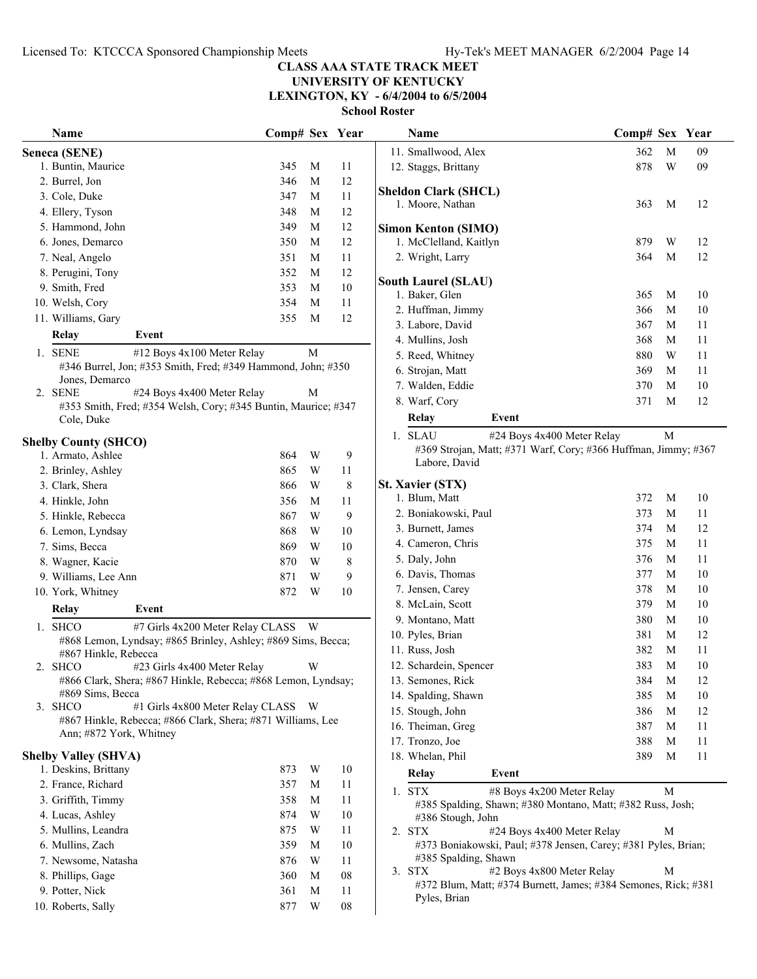**LEXINGTON, KY - 6/4/2004 to 6/5/2004**

| Name                                                                     | Comp# Sex Year |                         |        | Name                                                                                   | Comp# Sex Year |             |    |
|--------------------------------------------------------------------------|----------------|-------------------------|--------|----------------------------------------------------------------------------------------|----------------|-------------|----|
| Seneca (SENE)                                                            |                |                         |        | 11. Smallwood, Alex                                                                    | 362            | M           | 09 |
| 1. Buntin, Maurice                                                       | 345            | M                       | 11     | 12. Staggs, Brittany                                                                   | 878            | W           | 09 |
| 2. Burrel, Jon                                                           | 346            | M                       | 12     |                                                                                        |                |             |    |
| 3. Cole, Duke                                                            | 347            | M                       | 11     | <b>Sheldon Clark (SHCL)</b>                                                            |                |             |    |
| 4. Ellery, Tyson                                                         | 348            | M                       | 12     | 1. Moore, Nathan                                                                       | 363            | M           | 12 |
| 5. Hammond, John                                                         | 349            | M                       | 12     | <b>Simon Kenton (SIMO)</b>                                                             |                |             |    |
| 6. Jones, Demarco                                                        | 350            | M                       | 12     | 1. McClelland, Kaitlyn                                                                 | 879            | W           | 12 |
| 7. Neal, Angelo                                                          | 351            | M                       | 11     | 2. Wright, Larry                                                                       | 364            | M           | 12 |
| 8. Perugini, Tony                                                        | 352            | M                       | 12     |                                                                                        |                |             |    |
| 9. Smith, Fred                                                           | 353            | M                       | $10\,$ | <b>South Laurel (SLAU)</b>                                                             |                |             |    |
| 10. Welsh, Cory                                                          | 354            | M                       | 11     | 1. Baker, Glen                                                                         | 365            | M           | 10 |
| 11. Williams, Gary                                                       | 355            | M                       | 12     | 2. Huffman, Jimmy                                                                      | 366            | M           | 10 |
| Event<br>Relay                                                           |                |                         |        | 3. Labore, David                                                                       | 367            | M           | 11 |
| 1. SENE<br>#12 Boys 4x100 Meter Relay                                    |                | $\mathbf M$             |        | 4. Mullins, Josh                                                                       | 368            | M           | 11 |
| #346 Burrel, Jon; #353 Smith, Fred; #349 Hammond, John; #350             |                |                         |        | 5. Reed, Whitney                                                                       | 880            | W           | 11 |
| Jones, Demarco                                                           |                |                         |        | 6. Strojan, Matt                                                                       | 369            | M           | 11 |
| #24 Boys 4x400 Meter Relay<br>2. SENE                                    |                | M                       |        | 7. Walden, Eddie                                                                       | 370            | M           | 10 |
| #353 Smith, Fred; #354 Welsh, Cory; #345 Buntin, Maurice; #347           |                |                         |        | 8. Warf, Cory                                                                          | 371            | M           | 12 |
| Cole, Duke                                                               |                |                         |        | Relay<br>Event                                                                         |                |             |    |
| <b>Shelby County (SHCO)</b>                                              |                |                         |        | #24 Boys 4x400 Meter Relay<br>1. SLAU                                                  |                | М           |    |
| 1. Armato, Ashlee                                                        | 864            | $\ensuremath{\text{W}}$ | 9      | #369 Strojan, Matt; #371 Warf, Cory; #366 Huffman, Jimmy; #36                          |                |             |    |
| 2. Brinley, Ashley                                                       | 865            | W                       | 11     | Labore, David                                                                          |                |             |    |
| 3. Clark, Shera                                                          | 866            | W                       | 8      | <b>St. Xavier (STX)</b>                                                                |                |             |    |
| 4. Hinkle, John                                                          | 356            | M                       | 11     | 1. Blum, Matt                                                                          | 372            | M           | 10 |
| 5. Hinkle, Rebecca                                                       | 867            | $\mathbf W$             | 9      | 2. Boniakowski, Paul                                                                   | 373            | M           | 11 |
| 6. Lemon, Lyndsay                                                        | 868            | W                       | 10     | 3. Burnett, James                                                                      | 374            | M           | 12 |
| 7. Sims, Becca                                                           | 869            | W                       | 10     | 4. Cameron, Chris                                                                      | 375            | M           | 11 |
|                                                                          |                | W                       |        | 5. Daly, John                                                                          | 376            | M           | 11 |
| 8. Wagner, Kacie                                                         | 870            |                         | 8<br>9 | 6. Davis, Thomas                                                                       | 377            | M           | 10 |
| 9. Williams, Lee Ann                                                     | 871            | W<br>W                  | 10     | 7. Jensen, Carey                                                                       | 378            | M           | 10 |
| 10. York, Whitney                                                        | 872            |                         |        | 8. McLain, Scott                                                                       | 379            | M           | 10 |
| Relay<br>Event                                                           |                |                         |        | 9. Montano, Matt                                                                       | 380            | M           | 10 |
| 1. SHCO<br>#7 Girls 4x200 Meter Relay CLASS W                            |                |                         |        | 10. Pyles, Brian                                                                       | 381            | M           | 12 |
| #868 Lemon, Lyndsay; #865 Brinley, Ashley; #869 Sims, Becca;             |                |                         |        | 11. Russ, Josh                                                                         | 382            | M           | 11 |
| #867 Hinkle, Rebecca<br>#23 Girls 4x400 Meter Relay                      |                |                         |        | 12. Schardein, Spencer                                                                 | 383            | $\mathbf M$ | 10 |
| 2. SHCO<br>#866 Clark, Shera; #867 Hinkle, Rebecca; #868 Lemon, Lyndsay; |                | W                       |        | 13. Semones, Rick                                                                      | 384            | $\mathbf M$ | 12 |
| #869 Sims, Becca                                                         |                |                         |        | 14. Spalding, Shawn                                                                    | 385            | M           | 10 |
| 3. SHCO<br>#1 Girls 4x800 Meter Relay CLASS W                            |                |                         |        | 15. Stough, John                                                                       | 386            | M           | 12 |
| #867 Hinkle, Rebecca; #866 Clark, Shera; #871 Williams, Lee              |                |                         |        |                                                                                        |                |             |    |
| Ann; #872 York, Whitney                                                  |                |                         |        | 16. Theiman, Greg<br>17. Tronzo, Joe                                                   | 387            | M<br>M      | 11 |
| <b>Shelby Valley (SHVA)</b>                                              |                |                         |        |                                                                                        | 388            |             | 11 |
| 1. Deskins, Brittany                                                     | 873            | W                       | 10     | 18. Whelan, Phil                                                                       | 389            | M           | 11 |
| 2. France, Richard                                                       | 357            | M                       | 11     | Relay<br>Event                                                                         |                |             |    |
| 3. Griffith, Timmy                                                       | 358            | M                       | 11     | 1. STX<br>#8 Boys 4x200 Meter Relay                                                    |                | M           |    |
|                                                                          |                |                         |        | #385 Spalding, Shawn; #380 Montano, Matt; #382 Russ, Josh;                             |                |             |    |
| 4. Lucas, Ashley                                                         | 874            | W                       | 10     | #386 Stough, John                                                                      |                |             |    |
| 5. Mullins, Leandra                                                      | 875            | W                       | 11     | #24 Boys 4x400 Meter Relay<br>2. STX                                                   |                | М           |    |
| 6. Mullins, Zach                                                         | 359            | M                       | 10     | #373 Boniakowski, Paul; #378 Jensen, Carey; #381 Pyles, Brian;<br>#385 Spalding, Shawn |                |             |    |
| 7. Newsome, Natasha                                                      | 876            | W                       | 11     | 3. STX<br>#2 Boys 4x800 Meter Relay                                                    |                | М           |    |
| 8. Phillips, Gage                                                        | 360            | M                       | 08     | #372 Blum, Matt; #374 Burnett, James; #384 Semones, Rick; #381                         |                |             |    |
| 9. Potter, Nick                                                          | 361            | M                       | 11     | Pyles, Brian                                                                           |                |             |    |
| 10. Roberts, Sally                                                       | 877            | W                       | 08     |                                                                                        |                |             |    |

|    | Name                                                                            | Comp# Sex |   | Year |
|----|---------------------------------------------------------------------------------|-----------|---|------|
|    | 11. Smallwood, Alex                                                             | 362       | М | 09   |
|    | 12. Staggs, Brittany                                                            | 878       | W | 09   |
|    |                                                                                 |           |   |      |
|    | Sheldon Clark (SHCL)                                                            | 363       | M | 12   |
|    | 1. Moore, Nathan                                                                |           |   |      |
|    | <b>Simon Kenton (SIMO)</b>                                                      |           |   |      |
|    | 1. McClelland, Kaitlyn                                                          | 879       | W | 12   |
|    | 2. Wright, Larry                                                                | 364       | М | 12   |
|    | <b>South Laurel (SLAU)</b>                                                      |           |   |      |
|    | 1. Baker, Glen                                                                  | 365       | M | 10   |
|    | 2. Huffman, Jimmy                                                               | 366       | М | 10   |
|    | 3. Labore, David                                                                | 367       | M | 11   |
|    | 4. Mullins, Josh                                                                | 368       | М | 11   |
|    | 5. Reed, Whitney                                                                | 880       | W | 11   |
|    | 6. Strojan, Matt                                                                | 369       | M | 11   |
|    | 7. Walden, Eddie                                                                | 370       | М | 10   |
|    | 8. Warf, Cory                                                                   | 371       | М | 12   |
|    | Relay<br>Event                                                                  |           |   |      |
|    |                                                                                 |           |   |      |
|    | 1. SLAU<br>#24 Boys 4x400 Meter Relay                                           |           | М |      |
|    | #369 Strojan, Matt; #371 Warf, Cory; #366 Huffman, Jimmy; #367<br>Labore, David |           |   |      |
|    |                                                                                 |           |   |      |
|    | <b>St. Xavier (STX)</b>                                                         |           |   |      |
|    | 1. Blum, Matt                                                                   | 372       | М | 10   |
|    | 2. Boniakowski, Paul                                                            | 373       | М | 11   |
|    | 3. Burnett, James                                                               | 374       | М | 12   |
|    | 4. Cameron, Chris                                                               | 375       | М | 11   |
|    | 5. Daly, John                                                                   | 376       | М | 11   |
|    | 6. Davis, Thomas                                                                | 377       | М | 10   |
|    | 7. Jensen, Carey                                                                | 378       | М | 10   |
|    | 8. McLain, Scott                                                                | 379       | М | 10   |
|    | 9. Montano, Matt                                                                | 380       | М | 10   |
|    | 10. Pyles, Brian                                                                | 381       | М | 12   |
|    | 11. Russ, Josh                                                                  | 382       | М | 11   |
|    | 12. Schardein, Spencer                                                          | 383       | М | 10   |
|    | 13. Semones, Rick                                                               | 384       | M | 12   |
|    | 14. Spalding, Shawn                                                             | 385       | M | 10   |
|    | 15. Stough, John                                                                | 386       | M | 12   |
|    | 16. Theiman, Greg                                                               | 387       | M | 11   |
|    | 17. Tronzo, Joe                                                                 | 388       | M | 11   |
|    | 18. Whelan, Phil                                                                | 389       | М | 11   |
|    | Event<br>Relay                                                                  |           |   |      |
|    | 1. STX<br>#8 Boys 4x200 Meter Relay                                             |           | М |      |
|    | #385 Spalding, Shawn; #380 Montano, Matt; #382 Russ, Josh;                      |           |   |      |
|    | #386 Stough, John                                                               |           |   |      |
| 2. | <b>STX</b><br>#24 Boys 4x400 Meter Relay                                        |           | М |      |
|    | #373 Boniakowski, Paul; #378 Jensen, Carey; #381 Pyles, Brian;                  |           |   |      |
|    | #385 Spalding, Shawn                                                            |           |   |      |
|    | #2 Boys 4x800 Meter Relay<br>3. STX                                             |           | М |      |
|    | #372 Blum, Matt; #374 Burnett, James; #384 Semones, Rick; #381                  |           |   |      |
|    | Pyles, Brian                                                                    |           |   |      |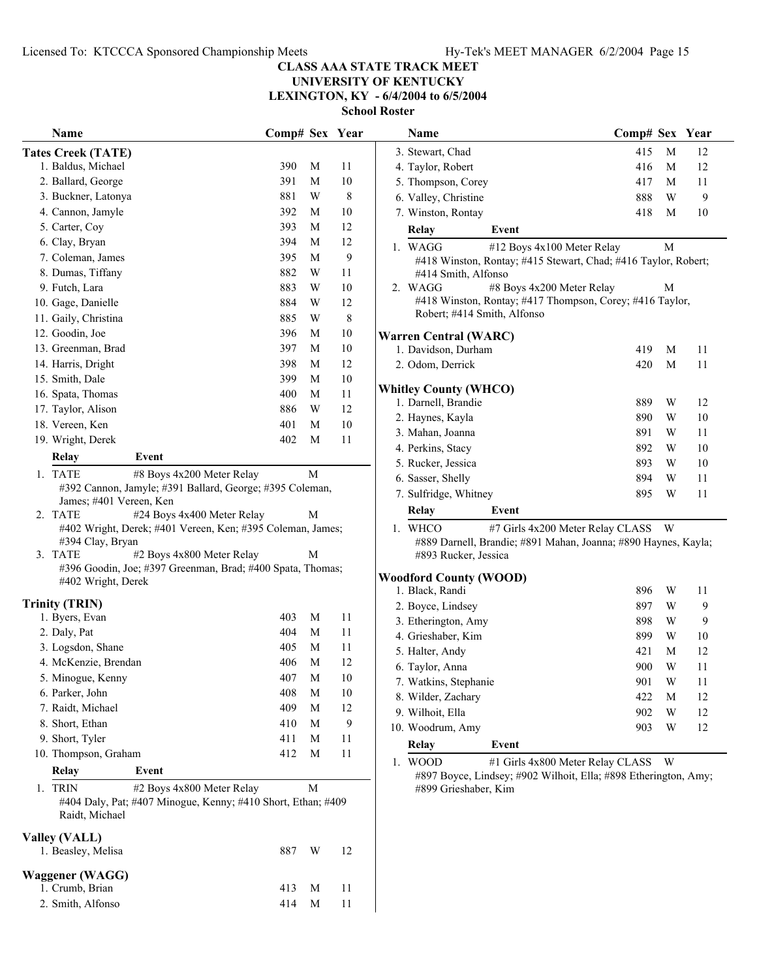**Name Comp# Sex** Year

# **CLASS AAA STATE TRACK MEET**

**UNIVERSITY OF KENTUCKY LEXINGTON, KY - 6/4/2004 to 6/5/2004**

**School Roster**

|                           | Name                                                                           | Comp# Sex Year |   |    |  |  |  |
|---------------------------|--------------------------------------------------------------------------------|----------------|---|----|--|--|--|
| <b>Tates Creek (TATE)</b> |                                                                                |                |   |    |  |  |  |
|                           | 1. Baldus, Michael                                                             | 390            | М | 11 |  |  |  |
|                           | 2. Ballard, George                                                             | 391            | М | 10 |  |  |  |
|                           | 3. Buckner, Latonya                                                            | 881            | W | 8  |  |  |  |
|                           | 4. Cannon, Jamyle                                                              | 392            | М | 10 |  |  |  |
|                           | 5. Carter, Coy                                                                 | 393            | М | 12 |  |  |  |
|                           | 6. Clay, Bryan                                                                 | 394            | M | 12 |  |  |  |
|                           | 7. Coleman, James                                                              | 395            | М | 9  |  |  |  |
|                           | 8. Dumas, Tiffany                                                              | 882            | W | 11 |  |  |  |
|                           | 9. Futch, Lara                                                                 | 883            | W | 10 |  |  |  |
|                           | 10. Gage, Danielle                                                             | 884            | W | 12 |  |  |  |
|                           | 11. Gaily, Christina                                                           | 885            | W | 8  |  |  |  |
|                           | 12. Goodin, Joe                                                                | 396            | M | 10 |  |  |  |
|                           | 13. Greenman, Brad                                                             | 397            | М | 10 |  |  |  |
|                           | 14. Harris, Dright                                                             | 398            | М | 12 |  |  |  |
|                           | 15. Smith, Dale                                                                | 399            | M | 10 |  |  |  |
|                           | 16. Spata, Thomas                                                              | 400            | М | 11 |  |  |  |
|                           | 17. Taylor, Alison                                                             | 886            | W | 12 |  |  |  |
|                           | 18. Vereen, Ken                                                                | 401            | М | 10 |  |  |  |
|                           | 19. Wright, Derek                                                              | 402            | М | 11 |  |  |  |
|                           | <b>Relay</b><br>Event                                                          |                |   |    |  |  |  |
|                           | 1. TATE<br>#8 Boys 4x200 Meter Relay                                           |                | М |    |  |  |  |
|                           | #392 Cannon, Jamyle; #391 Ballard, George; #395 Coleman,                       |                |   |    |  |  |  |
|                           | James; #401 Vereen, Ken                                                        |                |   |    |  |  |  |
|                           | 2. TATE<br>#24 Boys 4x400 Meter Relay                                          |                | М |    |  |  |  |
|                           | #402 Wright, Derek; #401 Vereen, Ken; #395 Coleman, James;<br>#394 Clay, Bryan |                |   |    |  |  |  |
|                           | 3. TATE<br>#2 Boys 4x800 Meter Relay                                           |                | M |    |  |  |  |
|                           | #396 Goodin, Joe; #397 Greenman, Brad; #400 Spata, Thomas;                     |                |   |    |  |  |  |
|                           | #402 Wright, Derek                                                             |                |   |    |  |  |  |
|                           | <b>Trinity (TRIN)</b>                                                          |                |   |    |  |  |  |
|                           | 1. Byers, Evan                                                                 | 403            | M | 11 |  |  |  |
|                           | 2. Daly, Pat                                                                   | 404            | М | 11 |  |  |  |
|                           | 3. Logsdon, Shane                                                              | 405            | М | 11 |  |  |  |
|                           | 4. McKenzie, Brendan                                                           | 406            | М | 12 |  |  |  |
|                           | 5. Minogue, Kenny                                                              | 407            | M | 10 |  |  |  |
|                           | 6. Parker, John                                                                | 408            | М | 10 |  |  |  |
|                           | 7. Raidt, Michael                                                              | 409            | M | 12 |  |  |  |
|                           | 8. Short, Ethan                                                                | 410            | M | 9  |  |  |  |
|                           | 9. Short, Tyler                                                                | 411            | M | 11 |  |  |  |
|                           | 10. Thompson, Graham                                                           | 412            | M | 11 |  |  |  |
|                           | Event<br>Relay                                                                 |                |   |    |  |  |  |
| 1.                        | #2 Boys 4x800 Meter Relay<br><b>TRIN</b>                                       |                | М |    |  |  |  |
|                           | #404 Daly, Pat; #407 Minogue, Kenny; #410 Short, Ethan; #409                   |                |   |    |  |  |  |
|                           | Raidt, Michael                                                                 |                |   |    |  |  |  |
| <b>Valley (VALL)</b>      |                                                                                |                |   |    |  |  |  |
|                           | 1. Beasley, Melisa                                                             | 887            | W | 12 |  |  |  |
|                           |                                                                                |                |   |    |  |  |  |
|                           | Waggener (WAGG)                                                                |                |   |    |  |  |  |
|                           | 1. Crumb, Brian                                                                | 413            | M | 11 |  |  |  |
|                           | 2. Smith, Alfonso                                                              | 414            | M | 11 |  |  |  |

|                               | 3. Stewart, Chad                                                                                                                    |                                                                                                    | 415 | M | 12 |  |  |
|-------------------------------|-------------------------------------------------------------------------------------------------------------------------------------|----------------------------------------------------------------------------------------------------|-----|---|----|--|--|
|                               | 4. Taylor, Robert                                                                                                                   |                                                                                                    | 416 | M | 12 |  |  |
|                               | 5. Thompson, Corey                                                                                                                  |                                                                                                    | 417 | M | 11 |  |  |
|                               | 6. Valley, Christine                                                                                                                |                                                                                                    | 888 | W | 9  |  |  |
|                               | 7. Winston, Rontay                                                                                                                  |                                                                                                    | 418 | M | 10 |  |  |
|                               | Relay                                                                                                                               | Event                                                                                              |     |   |    |  |  |
|                               | M<br>1. WAGG<br>#12 Boys 4x100 Meter Relay<br>#418 Winston, Rontay; #415 Stewart, Chad; #416 Taylor, Robert;<br>#414 Smith, Alfonso |                                                                                                    |     |   |    |  |  |
|                               | 2. WAGG<br>Robert; #414 Smith, Alfonso                                                                                              | #8 Boys 4x200 Meter Relay<br>#418 Winston, Rontay; #417 Thompson, Corey; #416 Taylor,              |     | M |    |  |  |
|                               | <b>Warren Central (WARC)</b>                                                                                                        |                                                                                                    |     |   |    |  |  |
|                               | 1. Davidson, Durham                                                                                                                 |                                                                                                    | 419 | M | 11 |  |  |
|                               | 2. Odom, Derrick                                                                                                                    |                                                                                                    | 420 | M | 11 |  |  |
|                               | <b>Whitley County (WHCO)</b>                                                                                                        |                                                                                                    |     |   |    |  |  |
|                               | 1. Darnell, Brandie                                                                                                                 |                                                                                                    | 889 | W | 12 |  |  |
|                               | 2. Haynes, Kayla                                                                                                                    |                                                                                                    | 890 | W | 10 |  |  |
|                               | 3. Mahan, Joanna                                                                                                                    |                                                                                                    | 891 | W | 11 |  |  |
|                               | 4. Perkins, Stacy                                                                                                                   |                                                                                                    | 892 | W | 10 |  |  |
|                               | 5. Rucker, Jessica                                                                                                                  |                                                                                                    | 893 | W | 10 |  |  |
|                               | 6. Sasser, Shelly                                                                                                                   |                                                                                                    | 894 | W | 11 |  |  |
|                               | 7. Sulfridge, Whitney                                                                                                               |                                                                                                    | 895 | W | 11 |  |  |
|                               | Relay                                                                                                                               | Event                                                                                              |     |   |    |  |  |
|                               | 1. WHCO<br>#893 Rucker, Jessica                                                                                                     | #7 Girls 4x200 Meter Relay CLASS<br>#889 Darnell, Brandie; #891 Mahan, Joanna; #890 Haynes, Kayla; |     | W |    |  |  |
| <b>Woodford County (WOOD)</b> |                                                                                                                                     |                                                                                                    |     |   |    |  |  |

| Relay                 | Event |     |   |    |
|-----------------------|-------|-----|---|----|
| 10. Woodrum, Amy      |       | 903 | W | 12 |
| 9. Wilhoit, Ella      |       | 902 | W | 12 |
| 8. Wilder, Zachary    |       | 422 | M | 12 |
| 7. Watkins, Stephanie |       | 901 | W | 11 |
| 6. Taylor, Anna       |       | 900 | W | 11 |
| 5. Halter, Andy       |       | 421 | M | 12 |
| 4. Grieshaber, Kim    |       | 899 | W | 10 |
| 3. Etherington, Amy   |       | 898 | W | 9  |
| 2. Boyce, Lindsey     |       | 897 | W | 9  |
| 1. Black, Randi       |       | 896 | W | 11 |
|                       |       |     |   |    |

1. WOOD #1 Girls  $4x800$  Meter Relay CLASS W #897 Boyce, Lindsey; #902 Wilhoit, Ella; #898 Etherington, Amy; #899 Grieshaber, Kim